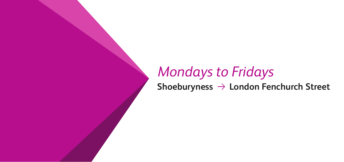## *Mondays to Fridays* Shoeburyness  $\rightarrow$  London Fenchurch Street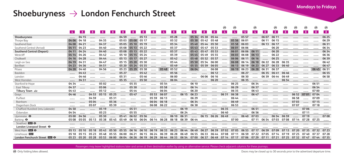### Shoeburyness  $\rightarrow$  London Fenchurch Street

|                                  |       |       |       |          |       |              |             |                |                |                |       |       |       |             |          | ⊛     | ⊛           |       | ⊛              |                | ⊛     | ⊛     | ⊛              | ⊛     | ⊛           | ⊛              |
|----------------------------------|-------|-------|-------|----------|-------|--------------|-------------|----------------|----------------|----------------|-------|-------|-------|-------------|----------|-------|-------------|-------|----------------|----------------|-------|-------|----------------|-------|-------------|----------------|
|                                  | $-4$  | 8     | 8     | <b>8</b> | 8     | 8            | <b>8</b>    | 8 <sup>1</sup> | 8 <sup>1</sup> | 4 <sup>1</sup> | 8     | 8     | -4    | 8           | <b>8</b> | -4    | 4           | 12    | $\overline{4}$ | 8 <sup>1</sup> | -8    | 8     | 4 <sub>1</sub> | 8     | 8           | 8 <sup>°</sup> |
| Shoeburyness                     |       | 04 15 |       |          |       | 04 59        |             | 05 13          |                |                | 05 28 |       |       | 05 34 05 38 | 0544     |       |             | 05 57 |                | 06 07          | 06 11 |       |                |       |             | 06 25          |
| Thorpe Bay                       | 04 06 | 04 18 |       | 04 35    |       | 0503         | 0508        | 05 17          |                |                | 0532  |       | 0538  | 0542        | 0548     |       | 05 56       | 06 01 |                | 06 11          | 06 15 |       |                |       |             | 06 29          |
| Southend East                    | 04 08 | 04 21 |       | 04 37    |       | 05 05        | 05 10       | 05 19          |                |                | 05 34 |       | 0540  | 0544        | 05 50    |       | 05 58       | 06 03 |                | 06 13          | 06 17 |       |                |       |             | 06 31          |
| Southend Central (Arrival)       | 04 11 | 04 23 |       | 04 40    |       | 05 08        | 05 13       | 05 22          |                |                | 0537  |       | 0543  | 0547        | 05 53    |       | 06 01       | 06 06 |                |                | 06 20 |       |                |       |             | 06 34          |
| <b>Southend Central (Depart)</b> | 04 11 | 04 24 |       | 04 40    |       | 0508         | 05 13       | 05 22          |                |                | 0537  |       | 0543  | 0547        | 05 53    |       | 06 01       | 06 06 | 06 11          |                | 06 20 |       |                |       |             | 06 34          |
| Westcliff                        | 04 14 | 04 26 |       | 04 42    |       | 05 10        | 05 15       | 05 24          |                |                | 0539  |       | 0545  | 0549        | 05 55    |       | 06 03       | 06 08 | 06 13          |                | 06 22 |       |                |       |             | 06 36          |
| Chalkwell                        | 04 16 | 04 28 |       | 04 44    |       | 05 13        | 05 17 05 27 |                |                |                | 05 42 |       |       | 0548 0552   | 05 57    |       | 06 06 06 11 |       | 06 16          |                | 06 25 |       |                |       |             | 06 39          |
| Leigh-on-Sea                     | 04 19 | 04 31 |       | 04 47    |       | 05 15        | 05 20       | 05 30          |                |                | 05 44 |       | 05 50 | 05 54       | 06 00    |       | 06 08       | 06 14 | 06 18          | 06 22          | 06 28 | 06 35 |                |       |             | 06 42          |
| Benfleet                         | 04 23 | 04 36 |       | 04 51    |       | 05 20        | 05 24 05 35 |                |                |                | 05 49 |       | 05 55 | 05 59       | 06 05    |       | 06 13       | 06 19 | 06 23          | 0627           | 06 33 | 06 40 |                |       |             | 06 47          |
| Pitsea                           | 04 28 | 04 40 |       | 04 56    |       | 05 23        | 05 29       | 05 38          |                | 0548           | 05 52 |       | 06 04 |             | 06 08    |       | 06 19       | 06 23 | 06 28          | 06 31          | 06 37 |       |                |       | 06 45       | 06 51          |
| Basildon                         |       | 04 43 |       |          |       | 05 27        |             | 0542           |                |                | 05 56 |       |       |             | 06 12    |       |             | 06 27 |                | 06 35          | 0641  | 06 46 |                |       |             | 06 55          |
| Laindon                          |       | 04 46 |       |          |       | 0531         |             | 0546           |                |                | 06 00 |       |       | 06 06       | 06 16    |       |             | 06 30 |                | 06 39          | 06 44 | 06 49 |                |       |             | 06 58          |
| West Horndon                     |       | 04 51 |       |          |       | 05 35        |             | 05 50          |                |                | 06 04 |       |       |             | 06 20    |       |             | 06 35 |                |                |       | 06 54 |                |       |             |                |
| Stanford-le-Hope                 | 04 34 |       |       | 0502     |       |              | 0535        |                |                | 05 54          |       |       | 06 10 |             |          |       | 06 25       |       | 06 34          |                |       |       |                |       | 06 51       |                |
| East Tilbury                     | 04 37 |       |       | 0506     |       |              | 05 38       |                |                | 05 58          |       |       | 06 14 |             |          |       | 06 29       |       | 06 37          |                |       |       |                |       | 06 54       |                |
| Tilbury Town                     | 04 43 |       |       | 05 12    |       |              | 05 44       |                |                | 06 04          |       |       | 06 20 |             |          |       | 06 35       |       | 06 43          |                |       |       |                |       | 07 00       |                |
| Grays                            | 04 46 |       | 04 53 | 05 15    | 05 25 |              | 0547        |                | 05 53          | 06 07          |       | 06 15 | 06 23 |             |          | 06 31 | 06 38       |       | 06 47          |                |       |       | 06 52          | 07 01 | 07 04       |                |
| Purfleet                         |       |       | 04 59 |          | 05 31 |              |             |                | 05 59          | 06 13          |       |       | 06 29 |             |          |       | 06 44       |       |                |                |       |       | 06 58          |       | 07 09       |                |
| Rainham                          |       |       | 0504  |          | 05 36 |              |             |                | 06 04          | 06 18          |       |       | 06 34 |             |          |       | 0649        |       |                |                |       |       | 0703           |       | 07 15       |                |
| Dagenham Dock                    |       |       | 0507  |          | 05 39 |              |             |                | 06 08          | 06 22          |       |       | 06 38 |             |          |       | 06 53       |       |                |                |       |       | 0707           |       | 07 18       |                |
| Chafford Hundred (intu Lakeside) | 04 50 |       |       | 05 19    |       |              | 05 51       |                |                |                |       | 06 19 |       |             |          | 06 35 |             |       | 06 51          |                |       |       |                | 0706  |             |                |
| Ockendon                         | 04 54 |       |       | 05 23    |       |              | 05 55       |                |                |                |       | 06 24 |       |             |          | 06 40 |             |       | 06 56          |                |       |       |                | 07 11 |             |                |
| Upminster $\Theta$               | 05 00 | 04 56 |       | 05 30    |       | 0541         | 06 02       | 05 56          |                |                | 06 10 | 06 31 |       | 06 15       | 06 26    | 06 49 |             | 06 40 | 0703           |                | 06 54 | 06 59 |                | 07 19 |             | 0708           |
| Barking $\Theta$                 | 05 08 | 0505  | 05 13 | 05 38    | 0545  | 0549         | 06 10       | 06 04          | 06 14          | 06 28          | 06 18 | 06 39 | 06 44 |             |          |       | 07 00       |       | 07 11          | 06 54          | 0703  | 0708  | 07 14          | 07 28 | 07 25       |                |
| Stratford <b>DR</b> $\Theta$     |       |       |       |          |       |              |             |                |                |                |       |       |       |             |          |       |             |       |                |                |       |       |                |       |             |                |
| London Liverpool Street $\Theta$ |       |       |       |          |       |              |             |                |                |                |       |       |       |             |          |       |             |       |                |                |       |       |                |       |             |                |
| West Ham $DB$ $\Theta$           | 05 13 | 05 10 | 05 18 | 0543     | 05.50 | 05 55        | 06 16       | 06 10          | 06 19          | 06 33          | 06 23 | 06 44 | 06 49 | 06 27       | 06 39    | 0702  | 0705        | 06 53 | 07 17          | 06 59          | 0709  | 07 13 | 07 20          | 0735  | 0732        | 07 23          |
| Limehouse DIR                    | 05 18 | 05 15 | 05 23 | 0548     | 05 55 | <b>06.00</b> | 06 21       | 06 15          | 06 24          | 06.39          | 06 28 | 06 49 | 06 55 | 06 33       | 06 44    | 0708  | 07 11       | 06 59 | 07 22          | 0705           | 07 14 | 07 19 | 07 25          | 0740  | 0737        | 07 28          |
| London Fenchurch Street DE O     | 05 23 | 05 20 | 05 28 | 05 53    | 06 00 | 06 04        | 06 26       | 06 19          | 06 29          | 06 44          | 06 33 | 06 54 | 07 00 | 06 37       | 06 49    | 07 14 | 07 17       | 07 06 | 07 29          | 07 11          | 07 21 | 07 25 | 0732           | 0747  | 07 44 07 35 |                |

Passengers may leave highlighted stations later and arrive at their destination earlier by using an alternative service. Please check adjacent columns for these journeys.

**<sup></sub>

• Only folding bikes allowed.** the advertised departure time. The advertised departure time. The streament of the advertised departure time.</sup>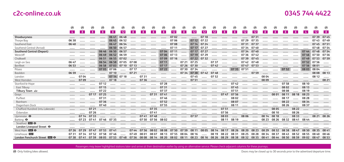|  | 0345 744 4422 |  |  |  |  |
|--|---------------|--|--|--|--|
|--|---------------|--|--|--|--|

|                                  | ⊛              | ⊛     | ⊛     | ⊛     | ⊛           | ⊛     | ⊛     | ⊛     | ⊛     | ⊛     | ⊛           | ⊛     | ⊛                 | ⊛     | ⊛     | ⊛     | ⊛     | ⊛           | ⊛     | ⊛     | ⊛     | ⊛           | ⊛     | ⊛              | ⊛               | ⊛              |
|----------------------------------|----------------|-------|-------|-------|-------------|-------|-------|-------|-------|-------|-------------|-------|-------------------|-------|-------|-------|-------|-------------|-------|-------|-------|-------------|-------|----------------|-----------------|----------------|
|                                  | 4 <sup>1</sup> | 8     | -8    | 8     | -8          | 12    | 8     | 8     | 8     | 8     | 12          | 8     | 12                | 12    | 12    | 8     | 8     | 12          | 12    | -8    | 8     | -8          | 8     | $\overline{4}$ | 12 <sup>1</sup> | 8 <sup>1</sup> |
| Shoeburyness                     |                |       |       |       | 06 41       | 06 48 |       |       |       |       | 0702        |       |                   | 07 18 |       |       |       |             | 0731  |       |       |             |       |                | 0739            | 0745           |
| Thorpe Bay                       | 06 38          |       |       |       | 06 45       | 06 52 |       |       |       |       | 07 06       |       | 07 12             | 07 22 |       |       |       | 07 29       | 0735  |       |       |             |       |                | 0743            | 0749           |
| Southend East                    | 06 40          |       |       |       | 06 47       | 06 54 |       |       |       |       | 0708        |       | 07 14             | 07 24 |       |       |       | 0731        | 0737  |       |       |             |       |                | 0745            | 07 51          |
| Southend Central (Arrival)       |                |       |       |       | 06 50       | 06 57 |       |       |       |       | 07 11       |       | 07 17 07 27       |       |       |       |       | 0734        | 0740  |       |       |             |       |                | 0748            | 0754           |
| <b>Southend Central (Depart)</b> |                |       |       | 06 46 | 06 50       | 06 57 |       |       |       | 0704  | 07 11       |       | 07 17             | 07 27 |       |       |       | 0734        | 0740  |       |       |             |       | 0744           | 0748            | 0754           |
| Westcliff                        |                |       |       | 06 49 | 06 52 06 59 |       |       |       |       | 0706  | 07 13       |       | 07 19             | 07 29 |       |       |       | 0736        | 0742  |       |       |             |       |                | 07 46 07 50     | 07 56          |
| Chalkwell                        |                |       |       | 06 51 | 06 55 07 02 |       |       |       |       | 0709  | 07 16       |       | 07 22 07 32       |       |       |       |       | 0739        | 0745  |       |       |             |       |                | 07 49 07 53     | 07 59          |
| Leigh-on-Sea                     | 06 47          |       |       | 06 54 | 06 58       | 0705  | 0708  |       |       | 07 11 |             | 07 21 | 07 25             |       | 0737  |       |       | 0742        | 0748  |       |       |             |       | 07 52          | 07 56           |                |
| Benfleet                         | 06 53          |       |       | 06 58 | 07 03       | 07 10 | 07 13 |       |       | 07 17 |             | 07 26 | 0730              |       | 0742  |       |       | 0747        | 07 53 |       |       |             |       | 07 56          | 08 01           |                |
| Pitsea                           |                |       |       | 0705  | 07 06       |       | 07 17 |       |       | 07 22 |             | 0730  | 0734              |       |       |       | 0735  | 0751        |       |       |       | 07 52       |       | 08 03          | 08 04           |                |
| Basildon                         | 06 59          |       |       |       | 07 10       |       | 07 21 |       |       |       |             |       | 07 34 07 38 07 42 |       | 0748  |       |       |             | 07 59 |       |       |             |       |                | 08 08           | 08 13          |
| Laindon                          |                | 0704  |       |       | 07 14 07 18 |       |       | 07 31 |       |       |             |       | 0745              |       | 0752  |       |       |             |       | 08 04 |       |             |       |                | 08 12           |                |
| West Horndon                     |                | 0709  |       |       | 07 18       |       |       | 07 36 |       |       |             |       | 07 51             |       |       |       |       |             |       | 08 09 |       |             |       |                |                 | 08 21          |
| Stanford-le-Hope                 |                |       |       | 07 12 |             |       |       |       |       | 07 28 |             |       |                   |       |       |       | 0742  |             |       |       |       | 0758        |       | 08 10          |                 |                |
| East Tilbury                     |                |       |       | 07 15 |             |       |       |       |       | 0731  |             |       |                   |       |       |       | 0745  |             |       |       |       | 08 02       |       | 08 13          |                 |                |
| Tilbury Town $\Rightarrow$       |                |       |       | 07 22 |             |       |       |       |       | 0737  |             |       |                   |       |       |       | 07.51 |             |       |       |       | 08 08       |       | 08 19          |                 |                |
| Grays                            |                |       | 07 17 | 07 25 |             |       |       |       | 0731  | 0741  |             |       |                   |       |       | 0747  | 0756  |             |       |       | 08 01 | 08 11       | 08 18 | 08 23          |                 |                |
| Purfleet                         |                |       |       | 0731  |             |       |       |       |       | 0746  |             |       |                   |       |       |       | 08 02 |             |       |       |       | 08 17       |       | 08 28          |                 |                |
| Rainham                          |                |       |       | 0736  |             |       |       |       |       | 0752  |             |       |                   |       |       |       | 08 07 |             |       |       |       | 08 22       |       | 08 34          |                 |                |
| Dagenham Dock                    |                |       |       | 07 40 |             |       |       |       |       | 07 55 |             |       |                   |       |       |       | 08 11 |             |       |       |       | 08 26       |       | 08 37          |                 |                |
| Chafford Hundred (intu Lakeside) |                |       | 07 21 |       |             |       |       |       | 0735  |       |             |       |                   |       |       | 0751  |       |             |       |       | 08 05 |             | 08 22 |                |                 |                |
| Ockendon                         |                |       | 07 26 |       |             |       |       |       | 07.41 |       |             |       |                   |       |       | 07 56 |       |             |       |       | 08 10 |             | 08 26 |                |                 |                |
| Upminster $\Theta$               |                | 07 14 | 0733  |       |             |       |       | 0741  | 0748  |       |             |       | 0757              |       |       | 08 03 |       | 08 06       |       | 08 14 | 08 18 |             | 08 33 |                | 08 21           | 08 26          |
| Barking $\Theta$                 |                | 07 23 | 0741  | 0746  | 0735        |       |       | 07 50 | 0756  | 08 02 |             |       |                   |       |       | 08 11 | 08 19 |             |       | 08 23 | 08 26 | 0832        | 08 41 | 08 44          |                 |                |
| Stratford <b>DIGI</b> $\Theta$   |                |       |       |       |             |       |       |       |       |       |             |       |                   |       |       |       |       |             |       |       |       |             |       |                |                 |                |
| London Liverpool Street $\Theta$ |                |       |       |       |             |       |       |       |       |       |             |       |                   |       |       |       |       |             |       |       |       |             |       |                |                 |                |
| West Ham <b>DIR O</b>            | 07 26          | 07 29 | 07 47 | 07.53 | 0741        |       | 07 44 | 0756  | 08 02 | 08 08 | 0750        | 0759  | 08 11             | 08 05 | 08 14 | 08 17 | 08 26 | 08 20       | 08 23 | 08 29 | 08 32 | 08 38       | 0847  | 08 50          | 08 35           | 08 41          |
| Limehouse DIR                    | 0731           | 0734  | 07.52 | 07.58 | 0746        |       | 0749  | 08 01 | 08 07 | 08 13 | 0755        | 08 04 | 08 16             |       | 08 19 | 08 22 | 08 31 | 08 25       | 08 28 | 08 34 | 0837  | 08 43       | 08.52 | 08 55          | 08 40           | 08 46          |
| London Fenchurch Street EE O     | 0738           | 0741  | 07 59 | 08 05 | 07 53       | 0748  | 07 56 | 08 08 | 08 14 | 08 20 | 08 02 08 11 |       | 08 23             | 08 16 | 08 26 | 08 29 |       | 08 38 08 32 | 08 35 | 0841  |       | 08 44 08 50 | 08 59 | 09 02 08 47    |                 | 08 53          |

Passengers may leave highlighted stations later and arrive at their destination earlier by using an alternative service. Please check adjacent columns for these journeys.

**<sup></sub>

• Only folding bikes allowed.** the advertised departure time. The advertised departure time. The substitution of the advertised departure time.</sup>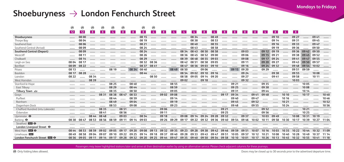### Shoeburyness  $\rightarrow$  London Fenchurch Street

|                                  | ⊛               | ⊛       | ⊛     | ⊛     | ⊛              | ⊛     |       | ⊛     | ⊛              |       |               |                |       |          |                |       |                |       |                |                |       |                |       |             |       |       |
|----------------------------------|-----------------|---------|-------|-------|----------------|-------|-------|-------|----------------|-------|---------------|----------------|-------|----------|----------------|-------|----------------|-------|----------------|----------------|-------|----------------|-------|-------------|-------|-------|
|                                  | 12 <sup>2</sup> | 12      | -8    | -8    | $\overline{4}$ | -8    | 8     | 8     | $\overline{4}$ | 8     | <b>Signal</b> | 4 <sup>1</sup> | 4     | <b>8</b> | 4 <sup>1</sup> | 8     | 8 <sup>1</sup> | 8     | 8 <sup>1</sup> | 4 <sup>1</sup> | 8     | 4 <sup>1</sup> | 8     |             |       |       |
| Shoeburyness                     |                 | 08 00   |       |       |                |       |       | 08 15 |                |       |               |                | 08 34 |          | 08 49          |       |                |       |                |                | 09 10 |                | 09 27 |             | 0941  |       |
| Thorpe Bay                       |                 | 08 04   |       |       |                |       |       | 08 19 |                |       |               |                | 08 38 |          | 08 53          |       |                |       |                |                | 09 14 |                | 09 31 |             | 0945  |       |
| Southend East                    |                 | 08 06   |       |       |                |       |       | 08 21 |                |       |               |                | 08 40 |          | 08 55          |       |                |       |                |                | 09 16 |                | 09 33 |             | 09 47 |       |
| Southend Central (Arrival)       |                 | 08 09   |       |       |                |       |       | 08 24 |                |       |               |                | 08 43 |          | 08 58          |       |                |       |                |                | 09 19 |                | 09 36 |             | 09 50 |       |
| <b>Southend Central (Depart)</b> |                 | 08 09   |       |       |                |       |       | 08 24 |                |       |               | 08 34          | 08 43 | 08 50    | 08.58          |       |                | 09 03 |                | 09 12          | 09 19 |                | 09 36 | 09 42       | 09 50 |       |
| Westcliff                        |                 | 08 11   |       |       |                |       |       | 08 26 |                |       |               | 08 36          | 08 45 | 08 52    | 09 00          |       |                | 09 06 |                | 09 15          | 09 21 |                | 09 38 | 0945        | 09 52 |       |
| Chalkwell                        |                 | 08 14   |       |       |                |       |       | 08 29 |                |       |               | 08 39          | 08 48 | 08 55    | 09 03          |       |                | 09 08 |                | 09 17          | 09 24 |                | 0941  | 09 47       | 09 55 |       |
| Leigh-on-Sea                     | 08 04           | 08 17   |       |       |                |       |       | 08 32 | 08 36          |       |               | 08 42          | 08 51 | 08 58    | 09 05          |       |                | 09 11 |                | 09 20          | 09 27 |                | 0943  | 09 50       | 09 57 |       |
| Benfleet                         | 08 09           | 08 22   |       |       |                |       |       | 08 37 | 0841           |       |               | 08 47          | 08 56 | 09 03    | 09 10          |       |                | 09 16 |                | 09 24          | 09 32 |                | 0948  | 09 54 10 02 |       |       |
| Pitsea                           | 08 13           |         |       |       | 08 19          |       | 08 34 | 08 40 |                |       | 08 49         | 08 50          |       | 09 06    |                |       | 09 15          | 09 20 |                | 09 29          |       |                | 09 51 | 09 59       |       |       |
| Basildon                         | 08 17           | 08 28   |       |       |                |       |       | 08 44 |                |       |               | 08 54          | 09 02 | 09 10    | 09 16          |       |                | 09 24 |                |                | 09 38 |                | 09 55 |             | 10 08 |       |
| Laindon                          | 08 22           |         | 08 34 |       |                |       |       |       | 08 50          |       |               | 08 58          | 09 05 | 09 14    | 09 20          |       |                | 09 27 |                |                | 0941  |                | 09 58 |             | 10 11 |       |
| West Horndon                     |                 |         | 08 39 |       |                |       |       |       |                |       |               | 09 02          |       | 09 18    |                |       |                | 09 32 |                |                |       |                | 10 03 |             |       |       |
| Stanford-le-Hope                 |                 |         |       |       | 08 25          |       | 08 40 |       |                |       | 08 55         |                |       |          |                |       | 09 21          |       |                | 09 35          |       |                |       | 1005        |       |       |
| East Tilbury                     |                 | ------- |       |       | 08 29          |       | 08 44 |       |                |       | 08 59         |                |       |          |                |       | 09 25          |       |                | 09 38          |       |                |       | 1008        |       |       |
| Tilbury Town <b>△</b>            |                 |         |       |       | 08 35          |       | 08 50 |       |                |       | 09 05         |                |       |          |                |       | 09 31          |       |                | 09 44          |       |                |       | 10 14       |       |       |
| Grays                            |                 |         |       | 08 31 | 08 38          | 0847  | 08 53 |       |                | 09 02 | 09 08         |                |       |          |                | 09 17 | 09 34          |       | 09 41          | 0948           |       | 10 10          |       | 10 17       |       | 1040  |
| Purfleet                         |                 |         |       |       | 08 44          |       | 08 59 |       |                |       | 09 14         |                |       |          |                |       | 09 40          |       | 09 47          |                |       | 10 16          |       |             |       | 1046  |
| Rainham                          |                 |         |       |       | 08 49          |       | 09 04 |       |                |       | 09 19         |                |       |          |                |       | 09 45          |       | 09 52          |                |       | 10 21          |       |             |       | 10 52 |
| Dagenham Dock                    |                 |         |       |       | 08 53          |       | 09 08 |       |                |       | 09 23         |                |       |          |                |       | 0948           |       | 09 55          |                |       | 10 24          |       |             |       | 10 56 |
| Chafford Hundred (intu Lakeside) |                 |         |       | 08 35 |                | 08 51 |       |       |                | 09 06 |               |                |       |          |                | 09 21 |                |       |                | 09 52          |       |                |       | 10 21       |       |       |
| Ockendon                         |                 |         |       | 08 41 |                | 08 56 |       |       |                | 09 11 |               |                |       |          |                | 09 25 |                |       |                | 09 56          |       |                |       | 10 25       |       |       |
| Upminster $\Theta$               |                 |         | 08 44 | 08 48 |                | 09 03 |       | 08 54 |                | 09 18 |               | 09 08          | 09 14 | 09 24    | 09 28          | 09 32 |                | 09 37 |                | 10 03          | 09 49 |                | 1008  | 10 31       | 10 19 |       |
| Barking $\Theta$                 | 08 38           | 08 47   | 08 53 | 08 56 | 08 59          | 09 11 | 09 14 | 09 03 |                | 09 26 | 09 29         | 09 17          | 09 22 | 09 32    | 09 36          | 09 40 | 09 54          | 09 46 | 1002           | 10 11          | 09 58 | 10 30          | 10 17 | 10 39       | 10 27 | 1104  |
| Stratford <b>DR</b> $\Theta$     |                 |         |       |       |                |       |       |       |                |       |               |                |       |          |                |       |                |       |                |                |       |                |       |             |       |       |
| London Liverpool Street O        |                 |         |       |       |                |       |       |       |                |       |               |                |       |          |                |       |                |       |                |                |       |                |       |             |       |       |
| West Ham <b>DR</b> $\Theta$      | 08 44           | 08 53   | 08 59 | 09 02 | 09 05          | 09 17 | 09 20 | 09 08 | 09 13          | 09 32 | 09 35         | 09 23          | 09 28 | 09 38    | 09 42          | 0946  | 09 59          | 09 51 | 1007           | 10 16          | 10 03 | 10 35          | 10 22 | 1044        | 10 32 | 11 09 |
| Limehouse DIR                    | 0849            | 08 58   | 09 04 | 09 07 | 09 10          | 09 22 | 09 25 | 09 14 | 09 18          | 09 37 | 09 40         | 09 28          | 09 33 | 0943     | 09 47          | 09 51 | 1005           | 09 57 | 10 12          | 10 21          | 1008  | 1040           | 10 28 | 1049        | 1037  | 11 14 |
| London Fenchurch Street ELBI O   | 08 56           | 09 05   | 09 11 | 09 14 | 09 17          | 09 28 | 09 32 | 09 20 | 09 25          | 09 44 | 09 47         | 09 35          | 09 40 | 09 50    | 09 54          | 09 58 | 10 10          | 1001  | 10 17          | 10 26          | 10 13 | 1045           | 10 32 | 10 55       | 1041  | 11 18 |

Passengers may leave highlighted stations later and arrive at their destination earlier by using an alternative service. Please check adjacent columns for these journeys.

**<sup></sub>

• Only folding bikes allowed.** the advertised departure time. The advertised departure time. The streament of the advertised departure time.</sup>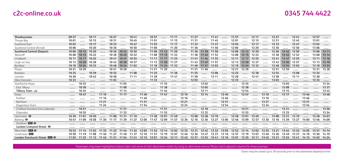| Shoeburvness                     | 09 57 |             | 10 11 |       | 10 27 |                               | 1041  |             | 10 57       |                   | 11 11 |        | 11 27                         |                   | 1141              |       | 1157              |                   | 12 11                               |       | 12 27 |             | 1241  |       | 1257              |       |
|----------------------------------|-------|-------------|-------|-------|-------|-------------------------------|-------|-------------|-------------|-------------------|-------|--------|-------------------------------|-------------------|-------------------|-------|-------------------|-------------------|-------------------------------------|-------|-------|-------------|-------|-------|-------------------|-------|
| Thorpe Bay                       | 1001  |             | 10 15 |       | 1031  |                               | 1045  |             | 1101        |                   | 11 15 |        | 11 31                         |                   | 1145              |       | 1201              |                   | 12 15                               |       | 1231  |             | 1245  |       | 1301              |       |
| Southend East                    | 10 03 |             | 10 17 |       | 10 33 |                               | 1047  |             | 1103        |                   | 11 17 |        | 11 33                         |                   | 1147              |       | 1203              |                   | 12 17                               |       | 1233  |             | 1247  |       | 13 03             |       |
| Southend Central (Arrival)       | 10 06 |             | 10 20 |       | 10 36 |                               | 10 50 |             | 1106        |                   | 11 20 |        | 11 36                         |                   | 1150              |       | 1206              |                   | 12 20                               |       | 1236  |             | 1250  |       | 13 06             |       |
| <b>Southend Central (Depart)</b> | 1006  | 10 12       | 10 20 |       | 10 36 | 10 42 10 50                   |       |             |             | 11 06 11 12 11 20 |       |        |                               | 11 36 11 39 11 50 |                   |       |                   | 12 06 12 12 12 20 |                                     |       | 12 36 | 12 42 12 50 |       |       | 13 06             | 13 11 |
| Westcliff                        | 1008  | 10 15       | 10 22 |       | 10 38 | 10 45 10 52                   |       |             |             | 11 08 11 15 11 22 |       |        |                               | 11 38 11 42 11 52 |                   |       | 12 08 12 15 12 22 |                   |                                     |       | 1238  | 1245        | 12.52 |       | 1308              | 13 14 |
| Chalkwell                        | 10 11 | 10 17       | 10 25 |       | 1041  | 10 47 10 55                   |       |             |             | 11 11 11 17 11 25 |       |        |                               | 11 41 11 44 11 55 |                   |       | 12 11 12 17 12 25 |                   |                                     |       | 1241  | 12 47 12 55 |       |       | 13 11             | 13 16 |
| Leigh-on-Sea                     | 10 13 | 10 20       | 10 28 |       | 1043  | 10 50 10 57                   |       |             |             | 11 13 11 20 11 27 |       |        |                               | 11 43 11 47 11 57 |                   |       | 1213              | 12 20 12 27       |                                     |       | 1243  | 12 50       | 1257  |       | 13 13             | 13 19 |
| Benfleet                         | 10 18 | 10 24       | 10 33 |       | 1048  | 10 54 11 02                   |       |             |             | 11 18 11 24 11 32 |       |        |                               | 11 48 11 51 12 02 |                   |       | 12 18             | 12 24 12 32       |                                     |       | 1248  | 12 54 13 02 |       |       | 13 18             | 13 23 |
| Pitsea                           | 10 21 | 1029        |       |       | 1051  | 10 59                         |       |             | 11 21 11 29 |                   |       |        | 11 51 11 56                   |                   |                   |       | 12 21             | 12 29             |                                     |       | 1251  | 12 59       |       |       | 13 21             | 13 28 |
| Basildon                         | 10 25 |             | 10 39 |       | 10 55 |                               | 11 08 |             | 11 25       |                   | 1138  |        | 1155                          |                   | 1208              |       | 12 25             |                   | 12 38                               |       | 12 55 |             | 13 08 |       | 13 25             |       |
| Laindon                          | 10 28 |             | 1042  |       | 10 58 |                               | 11 11 |             | 11 28       |                   | 1141  |        | 1158                          |                   | 12 11             |       | 12 28             |                   | 1241                                |       | 12 58 |             | 13 11 |       | 13 28             |       |
| West Horndon                     | 10 33 |             |       |       | 1103  |                               |       |             | 11 33       |                   |       |        | 1203                          |                   |                   |       | 1233              |                   |                                     |       | 1303  |             |       |       | 13 33             |       |
| Stanford-le-Hope                 |       | 10 35       |       |       |       | 11 05                         |       |             |             | 11 35             |       |        | 1.1.1.1.1                     | 1202              |                   |       |                   | 1235              |                                     |       |       | 1305        |       |       |                   | 13 34 |
| East Tilbury                     |       | 10 38       |       |       |       | 11 08                         |       |             |             | 1138              |       |        |                               | 1205              |                   |       |                   | 12 38             |                                     |       |       | 1308        |       |       |                   | 13 37 |
| Tilbury Town $\Rightarrow$       |       | 1044        |       |       |       | 11 14                         |       |             |             | 1144              |       |        |                               | 12 11             |                   |       |                   | 1244              |                                     |       |       | 13 14       |       |       |                   | 1343  |
| Grays                            |       | 1047        |       | 11 10 |       | 11 17                         |       | 1140        |             | 1147              |       | 12 10  |                               | 12 14             |                   | 12 40 |                   | 1247              |                                     | 13 10 |       | 13 17       |       | 1340  |                   | 13 46 |
| Purfleet                         |       |             |       | 11 16 |       |                               |       | 1146        |             |                   |       | 12 16  |                               |                   |                   | 1246  |                   |                   |                                     | 13 16 |       |             |       | 1346  |                   |       |
| Rainham                          |       |             |       | 11 21 |       |                               |       | 1151        |             |                   |       | 12 21  |                               |                   |                   | 12 51 |                   |                   |                                     | 13 21 |       |             |       | 13.51 |                   |       |
| Dagenham Dock                    |       |             |       | 11 24 |       |                               |       | 11 54       |             |                   |       | 12 24  |                               |                   |                   | 12 54 |                   |                   |                                     | 13 24 |       |             |       | 13 54 |                   |       |
| Chafford Hundred (intu Lakeside) |       | 1051        |       |       |       | 11 21                         |       |             |             | 11 51             |       |        |                               | 12 18             |                   |       |                   | 12 51             |                                     |       |       | 13 21       |       |       |                   | 13 50 |
| Ockendon                         |       | 1055        |       |       |       | 11 25                         |       |             |             | 1155              |       |        |                               | 12 22             |                   |       |                   | 12 55             |                                     |       |       | 13 25       |       |       |                   | 13 54 |
| Upminster $\Theta$               | 10 39 | 1101        | 10 50 |       | 1108  | 11 31                         | 11 19 |             | 1138        | 1201              | 1149  |        | 1208                          | 12 28             | 12 19             |       | 12 38             | 1301              | 1249                                |       | 1308  | 13 31       | 13 19 |       | 13 38             | 14 01 |
| Barking $\Theta$                 | 1047  | 1109        | 10 58 | 11 30 | 11 17 | 1139                          | 11 27 | 1200        | 1147        | 1209              | 1157  | 12 30  | 12 16                         | 12 36             | 12 27             | 1300  | 1246              | 1309              | 12 57                               | 13 30 | 13 16 | 13 39       | 13 27 | 14 00 | 1346              | 1409  |
| Stratford <b>DR</b> $\Theta$     |       |             |       |       |       |                               |       |             |             |                   |       |        |                               |                   |                   |       |                   |                   |                                     |       |       |             |       |       |                   |       |
| London Liverpool Street O        |       |             |       |       |       |                               |       |             |             |                   |       |        |                               |                   |                   |       |                   |                   |                                     |       |       |             |       |       |                   |       |
| West Ham $DB$ $\Theta$           | 10 53 | 11 14       | 11 03 | 11 35 | 11 22 | 1144                          | 11 32 | 1205        | 11.52       | 12 14             | 1202  | 12 3 5 | 12 21                         | 1242              | 12 32             | 1305  | 12.52             | 13 14             | 1302                                | 13 35 | 13 21 | 13 44       | 13 32 | 1405  | 13.51             | 14 14 |
| Limehouse DIR                    | 10 58 | 11 19       | 11 08 | 11.40 | 11 27 | 11.49                         | 1137  | 12 10       | 11.57       | 12 19             | 1207  | 1240   | 12 26                         | 1247              | 1237              | 13 10 | 12.57             | 13 19             | 1307                                | 1340  | 13 26 | 1349        | 1337  | 14 10 | 13 56             | 14 19 |
| London Fenchurch Street DR O     |       | 11 02 11 25 |       |       |       | 11 12 11 45 11 31 11 54 11 41 |       | 12 15 12 01 |             |                   |       |        | 12 24 12 11 12 45 12 31 12 53 |                   | 12 41 13 16 13 01 |       |                   |                   | 13 25 13 11 13 45 13 31 13 55 13 41 |       |       |             |       |       | 14 15 14 02 14 24 |       |

Passengers may leave highlighted stations later and arrive at their destination earlier by using an alternative service. Please check adjacent columns for these journeys.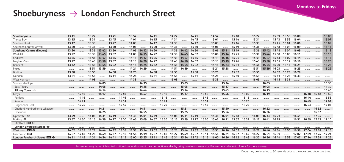### Shoeburyness  $\rightarrow$  London Fenchurch Street

| Shoeburvness                     | 13 11 |       | 13 27 |             | 1341  |       | 13 57 |             | 14 11 |       | 14 27 |             | 14 41                         |       | 14 57 |                   | 15 10 |       | 15 27                         |                   | 1539  | 1555  | 1600  |       |       | 1603  |
|----------------------------------|-------|-------|-------|-------------|-------|-------|-------|-------------|-------|-------|-------|-------------|-------------------------------|-------|-------|-------------------|-------|-------|-------------------------------|-------------------|-------|-------|-------|-------|-------|-------|
| Thorpe Bay                       | 13 15 |       | 1331  |             | 1345  |       | 1401  |             | 14 15 |       | 1431  |             | 14 45                         |       | 1501  |                   | 15 14 |       | 1531                          |                   | 1543  | 15 59 | 1604  |       |       | 1607  |
| Southend East                    | 13 17 |       | 13 33 |             | 1347  |       | 1403  |             | 14 17 |       | 14 33 |             | 14 47                         |       | 1503  |                   | 15 16 |       | 1533                          |                   | 1545  | 1601  | 1606  |       |       | 1609  |
| Southend Central (Arrival)       | 13 20 |       | 13 36 |             | 1350  |       | 14 06 |             | 14 20 |       | 14 36 |             | 14 50                         |       | 15 06 |                   | 15 19 |       | 1536                          |                   | 1548  | 1604  | 1609  |       |       | 16 13 |
| <b>Southend Central (Depart)</b> | 13 20 |       | 13 36 | 1342        | 13 50 |       | 1406  | 1412        | 14 20 |       | 14 36 | 14 42       | 14 50                         |       | 15 06 | 15 11             | 15 19 |       | 1536                          | 1542              | 1548  | 1604  | 1609  |       |       | 16 13 |
| Westcliff                        | 13 22 |       | 1338  | 13 45 13 52 |       |       | 1408  | 14 15 14 22 |       |       | 14 38 | 14 45 14 52 |                               |       | 1508  | 15 14 15 21       |       |       | 1538                          | 1544 1550         |       | 1606  | 16 11 |       |       | 16 15 |
| Chalkwell                        | 13 25 |       | 1341  | 1347        | 1355  |       | 14 11 | 14 17       | 14 25 |       | 14 41 | 14 47       | 14 55                         |       | 15 11 | 15 16 15 24       |       |       | 1541 1547                     |                   | 15 53 | 1609  | 16 14 |       |       | 16 17 |
| Leigh-on-Sea                     | 13 27 |       | 1343  | 13 50       | 1357  |       | 14 13 | 14 20 14 27 |       |       | 14 43 | 14 50 14 57 |                               |       |       | 15 13 15 19 15 26 |       |       |                               | 15 43 15 50 15 55 |       | 16 12 | 16 16 |       |       | 16 20 |
| Benfleet                         | 1332  |       | 1348  | 13 54       | 1402  |       | 14 18 | 14 24 14 32 |       |       | 14 48 | 14 54 15 02 |                               |       | 15 18 | 15 23 15 31       |       |       | 1548                          | 15 54 16 00       |       | 16 17 | 16 21 |       |       | 16 25 |
| Pitsea                           |       |       | 1351  | 13 59       |       |       | 14 21 | 14 29       |       |       | 14 51 | 14 59       |                               |       | 15 21 | 15 28             |       |       | 1551                          | 15 59             | 1603  |       | 16 25 |       |       | 16 29 |
| Basildon                         | 13 38 |       | 13 55 |             | 1408  |       | 14 25 |             | 14 38 |       | 14 55 |             | 1508                          |       | 15 25 |                   | 1537  |       | 15 55                         |                   | 1607  | 16 23 | 16 29 |       |       |       |
| Laindon                          | 1341  |       | 13 58 |             | 14 11 |       | 14 28 |             | 14 41 |       | 14 58 |             | 15 11                         |       | 15 28 |                   | 1540  |       | 15 59                         |                   | 16 11 | 16 26 | 16 33 |       |       |       |
| West Horndon                     |       |       | 1403  |             |       |       | 14 33 |             |       |       | 1503  |             |                               |       | 1533  |                   |       |       | 1603                          |                   | 16 15 | 16 31 |       |       |       |       |
| Stanford-le-Hope                 |       |       |       | 14 05       |       |       |       | 14 35       |       |       |       | 1505        |                               |       |       | 1534              |       |       |                               | 1605              |       |       |       |       |       | 16 36 |
| East Tilbury                     |       |       |       | 14 08       |       |       |       | 14 38       |       |       |       | 1508        |                               |       |       | 1537              |       |       |                               | 16 08             |       |       |       |       |       | 1639  |
| شت Tilbury Town                  |       |       |       | 14 14       |       |       |       | 14 44       |       |       |       | 15 14       |                               |       |       | 1543              |       |       |                               | 16 15             |       |       |       |       |       | 1645  |
| Grays                            |       | 14 10 |       | 14 17       |       | 14 40 |       | 14 47       |       | 15 10 |       | 15 17       |                               | 15 40 |       | 15 46             |       | 16 09 |                               | 16 19             |       |       |       | 1638  | 1648  | 1649  |
| Purfleet                         |       | 14 16 |       |             |       | 1446  |       |             |       | 15 16 |       |             |                               | 15 46 |       |                   |       | 16 15 |                               |                   |       |       |       | 16 44 |       | 16 55 |
| Rainham                          |       | 14 21 |       |             |       | 14 51 |       |             |       | 15 21 |       |             |                               | 15 51 |       |                   |       | 16 20 |                               |                   |       |       |       | 1649  |       | 1701  |
| Dagenham Dock                    |       | 14 24 |       |             |       | 1454  |       |             |       | 15 24 |       |             |                               | 15 54 |       |                   |       | 16 24 |                               |                   |       |       |       | 16 53 |       | 1704  |
| Chafford Hundred (intu Lakeside) |       |       |       | 14 21       |       |       |       | 14 51       |       |       |       | 15 21       |                               |       |       | 15 50             |       |       |                               | 16 22             |       |       |       |       | 16 52 |       |
| Ockendon                         |       |       |       | 14 25       |       |       |       | 14 55       |       |       |       | 15 25       |                               |       |       | 15 54             |       |       |                               | 16 26             |       |       |       |       | 16 57 |       |
| Upminster $\Theta$               | 1349  |       | 1408  | 1431        | 14 19 |       | 14 38 | 1501        | 14 49 |       | 1508  | 15 31       | 15 19                         |       | 1538  | 1601              | 1548  |       | 1609                          | 16 33             | 16 21 |       | 1641  |       | 1704  |       |
| Barking $\Theta$                 | 13 57 | 1430  | 14 16 | 1439        | 14 27 | 1500  | 14 46 | 15 09       | 14 57 | 15 30 | 15 16 | 15 39       | 15 27                         | 1600  | 1546  | 16 11             | 15 57 | 1631  | 16 17                         | 1641              | 16 29 |       | 16 51 | 16 59 | 17 13 | 17 10 |
| Stratford <b>DE</b>              |       |       |       |             |       |       |       |             |       |       |       |             |                               |       |       |                   |       |       |                               |                   |       |       |       |       |       |       |
| London Liverpool Street $\Theta$ |       |       |       |             |       |       |       |             |       |       |       |             |                               |       |       |                   |       |       |                               |                   |       |       |       |       |       |       |
| West Ham $E$ $\theta$            | 1402  |       | 14 21 | 14 44       | 14 32 | 1505  | 14 51 | 15 14       | 1502  | 15 35 | 15 21 | 1544        | 1532                          | 1606  | 15.51 | 16 16             | 1602  | 1637  | 16 22                         | 1646              | 16 34 | 16 50 | 16 56 | 1704  | 17 18 | 17 16 |
| Limehouse <b>DIR</b>             | 1407  | 1440  | 14 26 | 14 49       | 14 37 | 15 10 | 14 56 | 15 19       | 1507  | 1540  | 15 27 | 1549        | 1537                          | 16 11 | 15.56 | 16 21             | 1607  | 1642  | 16 27                         | 16 51             | 16 39 |       | 1702  | 1709  | 17 24 | 17 21 |
| London Fenchurch Street DIR O    | 14 11 | 1445  |       | 14 31 14 54 | 1441  | 15 15 | 15 00 | 15 25       | 15 11 |       |       |             | 15 45 15 31 15 54 15 42 16 16 |       | 1600  |                   |       |       | 16 26 16 12 16 48 16 32 16 56 |                   | 16 44 | 16 59 | 1707  | 17 14 | 17 29 | 17 26 |

Passengers may leave highlighted stations later and arrive at their destination earlier by using an alternative service. Please check adjacent columns for these journeys.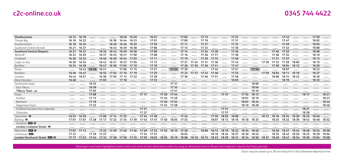| Shoeburvness                     | 16 12 | 16 18 |           |       |       | 16 40 16 49 |       |       | 16 57 |       |             | 1705        |      | 17 15       |       |       | 17 27 |       |             |       |             | 1743  |       |             | 17 59 |       |
|----------------------------------|-------|-------|-----------|-------|-------|-------------|-------|-------|-------|-------|-------------|-------------|------|-------------|-------|-------|-------|-------|-------------|-------|-------------|-------|-------|-------------|-------|-------|
| Thorpe Bay                       | 16 16 | 16 22 |           |       | 16 38 | 1644        | 16 53 |       | 1701  |       |             | 1709        |      | 17 19       |       |       | 1731  |       |             |       |             | 1747  |       |             | 1803  |       |
| Southend East                    | 16 18 | 16 24 |           |       | 1640  | 1646        | 16 55 |       | 1703  |       |             | 17 11       |      | 17 21       |       |       | 1733  |       |             |       |             | 1749  |       |             | 18 05 |       |
| Southend Central (Arrival)       | 16 21 | 16 27 |           |       | 1643  | 1649        | 16 58 |       | 1706  |       |             | 17 14       |      | 17 24       |       |       | 1736  |       |             |       |             | 17 52 |       |             | 18 08 |       |
| <b>Southend Central (Depart)</b> | 16 21 | 16 27 |           | 16 35 | 16 43 | 1649        | 16.58 |       | 1706  |       |             | 17 14       |      | 17 24 17 28 |       |       | 1736  |       |             |       | 1746        | 17.52 |       |             | 18 08 |       |
| Westcliff                        | 16 23 | 16 29 |           | 16 37 | 16 45 | 16 51       | 1700  |       | 1708  |       |             | 17 16       |      | 17 26       | 1731  |       | 1738  |       |             |       | 1748        | 1754  |       |             | 18 10 |       |
| Chalkwell                        | 16 26 | 16 32 |           | 1640  | 16 48 | 16.54       | 1703  |       | 17 11 |       |             | 17 19       |      | 17 29       | 1733  |       | 1740  |       |             |       | 17.51       | 17.57 |       |             | 18 13 |       |
| Leigh-on-Sea                     | 16 29 | 16 34 |           | 1642  | 16.51 | 16.57       | 1705  |       | 17 13 |       |             | 17 21 17 24 |      | 17 31 17 36 |       |       | 1743  |       |             | 1750  | 17 53 17 59 |       | 1806  |             | 18 15 |       |
| Benfleet                         | 16 34 | 16 39 |           | 16 47 | 16 56 | 1702        | 17 10 |       | 17 18 |       | 1.1.1.1.1   | 17 26       | 1730 | 17 36       | 1741  |       | 1747  |       |             |       | 1758        | 1804  | 18 12 |             | 18 20 |       |
| Pitsea                           |       | 1643  | 1649      | 16 51 |       | 1706        | 1715  |       | 17 21 |       | 17 25 17 29 |             |      |             | 1744  |       | 17 51 |       | 17 54       |       |             | 1807  |       |             | 18 23 |       |
| Basildon                         | 1640  | 1647  |           | 16.55 | 1702  | 17 10       | 17 19 |       | 17 25 |       |             | 1733        | 1737 | 1743        | 1748  |       | 17 55 |       |             | 17 59 | 1804        | 18 11 | 18 18 |             | 18 27 |       |
| Laindon                          | 1643  | 16 51 |           | 16 58 | 1705  | 17 13       | 17 22 |       | 17 28 |       |             | 1736        |      | 1746        | 1751  |       | 1758  |       |             |       | 1808        | 18 14 | 18 22 |             | 18 30 |       |
| West Horndon                     | 16 48 |       |           | 1703  |       | 17 18       |       |       | 1733  |       |             |             |      |             |       |       | 1803  |       |             |       |             | 18 19 |       |             | 18 35 |       |
| Stanford-le-Hope                 |       |       | 16 55     |       |       |             |       |       |       |       | 1731        |             |      |             |       |       |       |       | 1800        |       |             |       |       |             |       |       |
| East Tilbury                     |       |       | 16 59     |       |       |             |       |       |       |       | 1735        |             |      |             |       |       |       |       | 1804        |       |             |       |       |             |       |       |
| Tilbury Town $\Rightarrow$       |       |       | 1705      |       |       |             |       |       |       |       | 1741        |             |      |             |       |       |       |       | 18 10       |       |             |       |       |             |       |       |
| Grays                            |       |       | 1708      |       |       |             |       | 17 17 |       | 17 28 | 1744        |             |      |             |       | 1747  |       | 17.55 | 18 13       |       |             |       |       | 18 17       |       | 18 31 |
| Purfleet                         |       |       | 17 13     |       |       |             |       |       |       | 1734  | 1749        |             |      |             |       |       |       | 1801  | 18 19       |       |             |       |       |             |       | 1837  |
| Rainham                          |       |       | 17 18     |       |       |             |       |       |       | 1740  | 1754        |             |      |             |       |       |       | 1807  | 18 24       |       |             |       |       |             |       | 1842  |
| Dagenham Dock                    |       |       | 17 22     |       |       |             |       |       |       | 1743  | 1758        |             |      |             |       |       |       | 18 10 | 18 28       |       |             |       |       |             |       | 1846  |
| Chafford Hundred (intu Lakeside) |       |       |           |       |       |             |       | 17 21 |       |       |             |             |      |             |       | 1751  |       |       |             |       |             |       |       | 18 21       |       |       |
| Ockendon                         |       |       |           |       |       |             |       | 17 27 |       |       |             |             |      |             |       | 1757  |       |       |             |       |             |       |       | 18 28       |       |       |
| Upminster $\Theta$               | 16 53 | 16 59 |           | 1708  | 17 14 | 1725        |       | 1734  | 1738  |       |             | 1745        |      |             | 17 59 | 1805  | 18 08 |       |             | 18 12 | 18 16       | 18 24 | 18 30 | 1835        | 1840  |       |
| Barking $\Theta$                 | 1701  | 1707  | 17 28     | 1717  | 17 22 | 1734        | 1739  | 1743  | 1747  | 1750  | 1805        | 1753        |      |             | 1807  | 18 13 | 18 16 | 18 18 | 1835        |       | 18 25       | 1832  | 1839  | 1843        | 1848  | 18 52 |
| Stratford <b>DE +</b>            |       |       |           |       |       |             |       |       |       |       |             |             |      |             |       |       |       |       |             |       |             |       |       |             |       |       |
| London Liverpool Street $\Theta$ |       |       |           |       |       |             |       |       |       |       |             |             |      |             |       |       |       |       |             |       |             |       |       |             |       |       |
| West Ham $DB$ $\Theta$           | 1707  | 17 13 |           | 17 22 | 17 29 | 1740        | 1746  | 1749  | 17.52 | 1755  | 18 10       | 1758        |      | 1806        | 18 13 | 18 19 | 18 22 | 18 24 | 1840        |       | 18 30       | 1837  | 18 44 | 1848        | 18 54 | 18 58 |
| Limehouse DIR                    | 17 12 |       | 1739      | 17 27 |       |             |       | 17.54 | 17.57 |       |             | 1803        |      |             | 18 18 | 18 24 | 18 27 | 18 30 | 1845        |       | 1835        | 1842  | 18.50 | 1853        | 18.59 | 1904  |
| London Fenchurch Street DR O     | 17 17 | 17 23 | 1744 1732 |       | 1738  | 17 50       | 1755  | 1759  | 1802  | 1805  | 18 19       | 1808        |      | 18 10 18 15 | 18 23 | 18 29 | 1831  |       | 18 34 18 50 | 1837  | 18 40 18 47 |       | 18 54 | 18 58 19 04 |       | 19 08 |

Passengers may leave highlighted stations later and arrive at their destination earlier by using an alternative service. Please check adjacent columns for these journeys.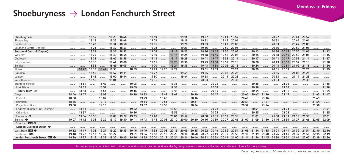### Shoeburyness  $\rightarrow$  London Fenchurch Street

| Shoeburyness                     |       |       | 18 14 |       | 18 28 | 1844  |       |       | 18.59  |       |       | 19 14 |           | 19 27  |       | 1941  | 1957              |       |       |       | 20 27                               |             | 2041                    | 20.57 |       |       |
|----------------------------------|-------|-------|-------|-------|-------|-------|-------|-------|--------|-------|-------|-------|-----------|--------|-------|-------|-------------------|-------|-------|-------|-------------------------------------|-------------|-------------------------|-------|-------|-------|
| Thorpe Bay                       |       |       | 18 18 |       | 1832  | 1848  |       |       | 1903   |       |       | 19 18 |           | 1931   |       | 1945  | 2001              |       |       |       | 20 31                               |             | 2045                    | 2101  |       |       |
| Southend East                    |       |       | 18 20 |       | 18 34 | 18.50 |       |       | 1905   |       |       | 19 20 |           | 19 3 3 |       | 1947  | 20 03             |       |       |       | 20 33                               |             | 2047                    | 21 03 |       |       |
| Southend Central (Arrival)       |       |       | 18 23 |       | 1837  | 18 53 |       |       | 1908   |       |       | 1923  |           | 19 36  |       | 1950  | 20 06             |       |       |       | 20 36                               |             | 20 50                   | 21 06 |       |       |
| <b>Southend Central (Depart)</b> |       |       | 18 23 |       | 18 37 | 18.53 |       |       | 1908   |       | 19 12 | 19 23 |           | 19 36  | 1942  | 1950  | 2006              |       | 20 12 |       | 20 36                               | 2042        | 20 50                   | 21 06 |       | 21 12 |
| Westcliff                        |       |       | 18 25 |       | 18 39 | 1855  |       |       | 19 10  |       | 19 15 | 19 25 |           | 1938   | 1945  | 19 52 | 2008              |       | 20 15 |       |                                     |             | 20 38 20 45 20 52 21 08 |       |       | 21 15 |
| Chalkwell                        |       |       | 18 28 |       | 1842  | 18.58 |       |       | 19 13  |       | 19 17 | 19 28 |           | 1941   | 1947  | 1955  | 20 11             |       | 20 17 |       | 2041                                | 2047        | 20 55                   | 21 11 |       | 21 17 |
| Leigh-on-Sea                     |       |       | 18 30 |       | 1844  | 1900  |       |       | 19 15  |       | 19 20 | 19 30 |           | 1943   | 19 50 | 19.57 | 2013              |       | 20 20 |       |                                     | 20 43 20 50 | 20 57                   | 21 13 |       | 21 20 |
| Benfleet                         |       |       | 1835  |       | 1849  | 1905  |       |       | 19 20  |       | 19 24 | 19 35 |           | 1948   | 19 54 | 20 02 | 20 18             |       | 20 24 |       | 2048                                | 20 54       | 21 02                   | 21 18 |       | 21 24 |
| Pitsea                           |       | 18 27 | 1838  | 1842  | 18 53 |       | 18 59 |       | 19 23  | 19 25 | 19 29 |       |           | 19 51  | 19 59 |       | 20 21             |       | 20 29 |       | 20 51                               | 20 59       |                         | 21 21 |       | 21 29 |
| Basildon                         |       |       | 1842  |       | 18 57 | 19 11 |       |       | 19 27  |       |       | 1941  |           | 1955   |       | 20 08 | 20 25             |       |       |       | 20 55                               |             | 21 08                   | 21 25 |       |       |
| Laindon                          |       |       | 1845  |       | 1900  | 19 14 |       |       | 19 30  |       |       | 1944  |           | 1958   |       | 20 11 | 20 28             |       |       |       | 20 58                               |             | 21 11                   | 21 28 |       |       |
| West Horndon                     |       |       | 18 50 |       | 1904  |       |       |       | 19 3 5 |       |       |       |           | 20 03  |       |       | 2033              |       |       |       | 21 03                               |             |                         | 21 33 |       |       |
| Stanford-le-Hope                 |       | 1834  |       | 1849  |       |       | 1905  |       |        |       | 1935  |       |           |        | 2005  |       |                   |       | 2035  |       |                                     | 2105        |                         |       |       | 21 35 |
| East Tilbury                     |       | 1837  |       | 18 52 |       |       | 1909  |       |        |       | 1938  |       |           |        | 20 08 |       |                   |       | 20 38 |       |                                     | 21 08       |                         |       |       | 2138  |
| Tilbury Town $\Rightarrow$       |       | 1843  |       | 1858  |       |       | 19 15 |       |        |       | 1944  |       |           |        | 20 14 |       |                   |       | 20 44 |       |                                     | 21 14       |                         |       |       | 21 44 |
| Grays                            | 1844  | 1847  |       | 1902  |       |       | 19 19 | 19 23 |        | 1942  | 1947  |       | 20 10     |        | 20 17 |       |                   | 2040  | 20 47 | 21 10 |                                     | 21 17       |                         |       | 21 43 | 21 47 |
| Purfleet                         | 18 50 |       |       | 1907  |       |       |       | 19 29 |        | 1948  |       |       | 20 16     |        |       |       |                   | 2046  |       | 21 16 |                                     |             |                         |       | 21 49 |       |
| Rainham                          | 18.56 |       |       | 19 12 |       |       |       | 19 34 |        | 1953  |       |       | 20 21     |        |       |       |                   | 20 51 |       | 21 21 |                                     |             |                         |       | 21 54 |       |
| Dagenham Dock                    | 1900  |       |       | 19 16 |       |       |       | 19 37 |        | 19 56 |       |       | 20 24     |        |       |       |                   | 20 54 |       | 21 24 |                                     |             |                         |       | 21 58 |       |
| Chafford Hundred (intu Lakeside) |       | 1851  |       |       |       |       | 19 22 |       |        |       | 19 51 |       |           |        | 20 21 |       |                   |       | 20 51 |       |                                     | 21 21       |                         |       |       | 21 51 |
| Ockendon                         |       | 18 57 |       |       |       |       | 19 26 |       |        |       | 19 55 |       |           |        | 20 25 |       |                   |       | 20 55 |       |                                     | 21 25       |                         |       |       | 21 55 |
| Upminster $\Theta$               |       | 1904  | 18 55 |       | 1909  | 19 22 | 19 33 |       | 1940   |       | 20 01 | 1952  |           | 20 08  | 20 31 | 20 19 | 20 38             |       | 2101  |       | 21 08                               | 2131        | 21 19                   | 21 38 |       | 2201  |
| Barking $\Theta$                 | 1907  | 19 12 | 1903  | 19 22 | 19 17 | 19 30 | 1941  | 1943  | 1948   | 20 03 | 20 10 | 20 00 | 20 30     | 20 16  | 2039  | 20 27 | 20 46             | 21 00 | 2109  | 21 30 | 21 16                               | 2139        | 21 27                   | 2146  | 2205  | 2209  |
| Stratford <b>DR</b> $\Theta$     |       |       |       |       |       |       |       |       |        |       |       |       |           |        |       |       |                   |       |       |       |                                     |             |                         |       |       |       |
| London Liverpool Street $\Theta$ |       |       |       |       |       |       |       |       |        |       |       |       |           |        |       |       |                   |       |       |       |                                     |             |                         |       |       |       |
| West Ham <b>DIR</b> $\Theta$     | 19 12 | 19 17 | 1908  | 19 27 | 19 22 | 19 35 | 1946  | 1949  | 19 53  | 2008  | 2015  | 20 05 | 2035      | 20 22  | 2044  | 20 32 | 2051              | 2105  | 21 14 | 21 35 | 21 21                               | 21 44       | 21 32                   | 2151  | 22 10 | 22 14 |
| Limehouse DIR                    | 19 18 | 19 22 | 19 13 | 19 32 | 19 27 |       | 19 51 | 1954  | 1958   | 2013  | 20 20 | 20 10 | 2040      | 2027   | 2049  | 2037  | 20 56             | 21 10 | 21 19 | 2140  | 21 26                               | 2149        | 21 37                   | 21.56 | 22 15 | 22 19 |
| London Fenchurch Street DR O     | 19 24 | 19 27 | 19 18 | 19 38 | 1932  | 1945  | 1956  | 1959  | 20 04  | 20 19 | 20 24 | 20 14 | 2044 2031 |        |       |       | 20 54 20 41 21 00 |       |       |       | 21 14 21 24 21 45 21 30 21 54 21 41 |             |                         | 22 00 | 22 19 | 22 24 |

Passengers may leave highlighted stations later and arrive at their destination earlier by using an alternative service. Please check adjacent columns for these journeys.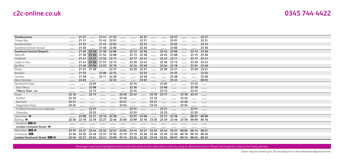| Shoeburyness                     |       | 21 27 |                         |                          | 2141 2157                                                                           |                          | $\cdots$ | 22 27             |             |           | 22 57       |          |             | 23 27    |  |
|----------------------------------|-------|-------|-------------------------|--------------------------|-------------------------------------------------------------------------------------|--------------------------|----------|-------------------|-------------|-----------|-------------|----------|-------------|----------|--|
| Thorpe Bay                       |       | 2131  |                         | 2145                     | 2201                                                                                |                          |          | 22 31             |             |           | 23 01       |          |             | 23 31    |  |
| Southend East                    |       | 21 33 | 1.1.1.1.1.1             | 21 47                    | 22 03                                                                               |                          |          | 22 33             |             |           | 23 03       |          |             | 23 33    |  |
| Southend Central (Arrival)       |       | 21 36 |                         | 2150                     | 22 06                                                                               |                          |          | 22 36             |             |           | 23 06       |          |             | 23 36    |  |
| <b>Southend Central (Depart)</b> |       | 21 36 | 21 42 21 50             |                          | 22 06                                                                               |                          | 22 12    | 22 36             |             | 2242      | 23 06       |          | 23 12 23 36 |          |  |
| Westcliff                        |       |       | 21 38 21 45 21 52 22 08 |                          |                                                                                     |                          |          | 22 15 22 38       |             | 2245      | 23 08       |          | 23 15 23 38 |          |  |
| Chalkwell                        |       |       | 21 41 21 47 21 55 22 11 |                          |                                                                                     | $\overline{\phantom{a}}$ | 22 17    | 2241              |             | 22.47     | 23 11       |          | 23 17 23 41 |          |  |
| Leigh-on-Sea                     |       |       | 21 43 21 50 21 57 22 13 |                          |                                                                                     |                          |          | 22 20 22 43       | .           | 22.50     | 23 13       |          | 23 20 23 43 |          |  |
| Benfleet                         |       |       | 21 48 21 54 22 02       |                          | 22 18                                                                               |                          |          | 22 24 22 48       | $\cdots$    | 22 54     | 23 18       |          | 23 24 23 48 |          |  |
| Pitsea                           |       |       | 21 51 21 59             |                          | 22 21                                                                               |                          | 22 29    | 22 51             |             | 22 59     | 23 21       |          | 23 29 23 51 |          |  |
| Basildon                         |       | 21 55 | 1.1.1.1.1.1             | 2208                     | 22 25                                                                               |                          |          | 22 55             |             |           | 23 25       |          | $\cdots$    | 23 55    |  |
| Laindon                          |       | 21 58 |                         | 22 11                    | 22 28                                                                               |                          |          | 22 58             |             | 1.1.1.1.1 | 23 28       |          |             | 23 58    |  |
| West Horndon                     |       | 2203  |                         | $\overline{\phantom{a}}$ | 22 33                                                                               |                          |          | 23 03             | .           |           | 23 33       |          | 0003        |          |  |
| Stanford-le-Hope                 |       |       | 2205                    |                          |                                                                                     |                          | 22 35    |                   |             | 23 05     |             |          | 23 35       |          |  |
| East Tilbury                     |       |       | 2208                    |                          |                                                                                     |                          | 22 38    |                   | .           | 23 08     |             | $\cdots$ | 23 38       | .        |  |
| Tilbury Town <del></del>         |       |       | 22 14                   |                          |                                                                                     |                          | 22 44    |                   |             | 23 14     |             |          | 23 44       |          |  |
| Grays                            | 22 10 |       | 22 17                   |                          |                                                                                     | 22 40 22 47              |          | 1.1.1.1.1         | 23 10 23 17 |           |             | 23 39    | 2347        |          |  |
| Purfleet                         | 22 16 |       |                         |                          |                                                                                     | 2246                     |          |                   | 23 16       |           |             | 2345     |             |          |  |
| Rainham                          | 22 21 |       |                         |                          |                                                                                     | 22 51                    |          |                   | 23 21       |           |             | 23 50    |             |          |  |
| Dagenham Dock                    | 22 24 |       |                         |                          |                                                                                     | 22 54                    |          |                   |             |           |             | 23 54    |             |          |  |
| Chafford Hundred (intu Lakeside) |       |       | 22 21                   |                          |                                                                                     |                          | 22 51    | 1.1.1.1.1         |             | 23 21     | $\cdots$    |          | 23 51       | $\cdots$ |  |
| Ockendon                         |       |       | 22 25                   |                          |                                                                                     |                          | 22 55    |                   |             | 23 25     |             | .        | 23 55       |          |  |
| Upminster $\Theta$               |       | 2208  | 22 31                   | 22 19                    | 22 38                                                                               |                          | 23 01    | 23 08             | .           | 23 31     | 23 38       |          | 00 01       | 00 08    |  |
| Barking $\Theta$                 | 22 30 | 22 16 | 22 39 22 27             |                          | 22 46 23 00 23 09                                                                   |                          |          | 23 16 23 30       |             | 23 39     | 23 46 23 59 |          | 00 09 00 16 |          |  |
| Stratford <b>DR</b> $\Theta$     |       |       |                         |                          |                                                                                     |                          |          |                   |             |           |             |          |             |          |  |
| London Liverpool Street $\Theta$ |       |       |                         |                          |                                                                                     |                          |          |                   |             |           |             |          |             |          |  |
| West Ham $DB$ $\Theta$           | 22 35 | 22 21 |                         | 22 44 22 32              | 22.51                                                                               | 23 05                    | 23 14    | 23 21             | 23 35       | 23 44     | 23 51       | 00 05    | 00 14 00 21 |          |  |
| Limehouse DIR                    | 2240  | 22 26 |                         | 2249 2237                | 22 56 23 10                                                                         |                          | 23 19    | 23 26 23 40 23 49 |             |           | 23 56 00 10 |          | 00 19 00 26 |          |  |
| London Fenchurch Street EE O     |       |       |                         |                          | 22 45 22 31 22 54 22 41 23 00 23 14 23 24 23 30 23 45 23 54 00 01 00 15 00 24 00 32 |                          |          |                   |             |           |             |          |             |          |  |

Passengers may leave highlighted stations later and arrive at their destination earlier by using an alternative service. Please check adjacent columns for these journeys.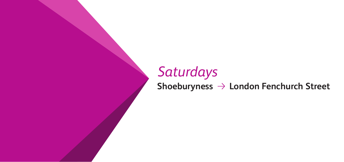# *Saturdays* **Shoeburyness London Fenchurch Street**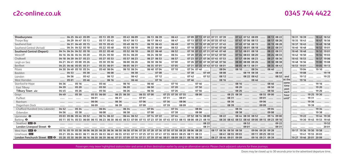|  | 0345 744 4422 |
|--|---------------|
|--|---------------|

| Shoeburvness                     | 06 13 06 39  06 43<br>07 09 07 13 07 22 07 31 07 39<br>08 13 08 22<br>05 13 05 39<br>$05430609$<br>07 43 07 52 08 09<br>04 25 04 43 05 09                                                  | 18 31 18 39<br>18 43 18 52     |
|----------------------------------|--------------------------------------------------------------------------------------------------------------------------------------------------------------------------------------------|--------------------------------|
| Thorpe Bay                       | 06 17 06 43<br>$\frac{1}{2}$ 06.47<br>07 13 07 17 07 26 07 35 07 43<br>05 17 05 43<br>05 47 06 13<br>07 47 07 56 08 13<br>04 29 04 47 05 13<br>08 17 08 26<br>                             | 18 35 18 43<br>18 47 18 56     |
| Southend East                    | $m = 0649$<br>07 15 07 19 07 28 07 37 07 45<br>05 19 05 45<br>05 49 06 15<br>06 19 06 45<br>07 49 07 58 08 15<br>04 31 04 49 05 15<br>08 19 08 28                                          | 18 37 18 45<br>18 49 18 58     |
| Southend Central (Arrival)       | $10652$ $1001$<br>05 52 06 18<br>06 22 06 48<br>07 18 07 22 07 31 07 40 07 48<br>05 22 05 48<br>07 52 08 01 08 18<br>08 22 08 31<br>04 34 04 52 05 18                                      | 18 40 18 48<br>18 52 19 01     |
| <b>Southend Central (Depart)</b> | 06 52<br>05 52 06 18<br>06 22 06 48<br>05 22 05 48<br>07 18 07 22 07 31 07 40 07 48<br>07 52 08 01 08 18<br>08 22 08 31<br>04 14 04 34 04 52 05 18                                         | 18 40 18 48<br>18 52 19 01     |
| Westcliff                        | $\sim$ 06.54 $\sim$<br>05 54 06 20<br>06 24 06 50<br>05 24 05 50<br>07 20 07 24 07 33 07 42 07 50<br>07 54 08 03 08 20<br>08 24 08 33<br>04 16 04 36 04 54 05 20<br>$\cdots$               | 18 42 18 50<br>18 54 19 03<br> |
| Chalkwell                        | $\ldots$ 06 57 $\ldots$ 07 23 07 27 07 36 07 45 07 53<br>05 57 06 23<br>06 27 06 53<br>$\ldots$ 05 27 05 53<br>07 57 08 06 08 23<br>08 27 08 36<br>04 18 04 39 04 57 05 23<br>$\cdots$<br> | 18 45 18 53  18 57 19 06       |
| Leigh-on-Sea                     | 06 00 06 26<br>06 30 06 56  07 00  07 26 07 30 07 38 07 48 07 56<br>08 00 08 08 08 26<br>04 21 04 41 05 00 05 26<br>05 30 05 56<br>08 30 08 38                                             | 18 48 18 56<br>19 00 19 08     |
| Benfleet                         | 06 05 06 31  06 35 07 01  07 05  07 31 07 35 07 43 07 53 08 01<br>$\ldots$ 0535 0601 $\ldots$<br>08 05 08 13 08 31<br>08 35 08 43<br>04 25 04 46 05 05 05 31                               | 18 53 19 01  19 05 19 13       |
| Pitsea                           | 06 10 06 34<br>06 40 07 04  07 10  07 34 07 40<br>08 04<br>04 30 04 49 05 10 05 34  05 40 06 04<br>08 10 08 34<br>08 40<br>$\cdots$<br>$\cdots$                                            | 1904  1910                     |
| Basildon                         | 07 08    07 38  07 49<br>08 08<br>08 19 08 38<br>08 49<br>$m = 0453$<br>                                                                                                                   | 1908                           |
| Laindon                          | 06 42   07 12   07 42  07 52<br>08 12<br>08 22 08 42<br>08 52<br>04 56<br>0542<br>and<br>$\cdots$<br>$\cdots$<br>                                                                          | 19 12<br>1922                  |
| West Horndon                     | at the<br>$\cdots$ $\cdots$ 06.46<br>07 46<br>08 16<br>08 46<br>0546                                                                                                                       | 1916                           |
| Stanford-le-Hope                 | same<br>08 16<br>08 46<br>04 36<br>time                                                                                                                                                    | 19 16                          |
| East Tilbury                     | 06 50   07 20   07 50<br>05 20<br>08 50<br><br><br>past                                                                                                                                    | 19 20                          |
| Tilbury Town $\Rightarrow$       | 05 56   06 26   06 56   07 26  07 56<br>08 56<br>05 26<br>04 45<br>each                                                                                                                    | 19 26                          |
| Gravs                            | 07 25 07 30 07 55  08 00<br>06 25 06 30<br>06 55 07 00<br>08 25 08 30<br>05 55 06 00<br>08 55 09 00<br>05 30<br>04 49<br><br>hour<br><br>                                                  | 19 25 19 30                    |
| Purfleet                         | 06 31<br>09 01<br>until*<br>$\cdots$<br>06 01<br>.                                                                                                                                         | 1931                           |
| Rainham                          | 07 36  08 06<br>08 36<br>09 06<br>06 06<br>06 36<br>07 06<br><br><br>.                                                                                                                     | 19 36                          |
| Dagenham Dock                    | 08 39<br>0709<br>07 39  08 09<br>09 09<br>06 09<br>06 39<br><br>$\cdots$                                                                                                                   | 1939                           |
| Chafford Hundred (intu Lakeside) | 08 04<br>06 04   06 34   07 04<br>07 34<br>08 34<br>09 04<br>05 34<br>04 52<br>-------- -------- --------                                                                                  | 19 34                          |
| Ockendon                         | 06 08   06 38   07 08   07 38<br>08 08<br>09 08<br>04 56<br>0538<br><br>                                                                                                                   | 19 38                          |
| Upminster $\Theta$               | 06 44 06 52<br>07 44  07 52 08 14 08 00<br>08 22<br>06 14 06 22<br>07 14 07 22<br>08 44 08 30 08 52<br>05 03 05 06 05 44 05 52<br>09 14 09 00                                              | 19 22  19 44 19 30             |
| Barking $\Theta$                 | 05 11 05 14 05 53 06 00 06 15 06 23 06 30 06 45 06 53 07 00 07 15 07 23 07 30 07 45 07 53 08 15 08 00 08 23 08 10<br>08 30 08 45 08 53 08 40 09 00 09 15 09 23 09 10                       | 19 30 19 45 19 53 19 40        |
| Stratford <b>DIR</b> $\Theta$    | 08 22<br>09 22<br>08.52<br>المسترد المسترد المسترد المسترد المسترد المسترد المسترد المسترد المسترد المسترد المسترد المسترد المسترد المسترد                                                 |                                |
| London Liverpool Street $\Theta$ | $\ldots$ 08 31<br>09 01       09 31                                                                                                                                                        | 2001                           |
| West Ham <b>DIR &amp;</b>        | 05 16 05 19 05 58 06 06 06 20 06 28 06 36 06 50 06 58 07 06 07 20 07 28 07 36 07 50 07 58 08 20 08 06 08 28<br>08 17 08 36 08 50 08 58<br>09 06 09 20 09 28                                | 19 17 19 36 19 50 19 58        |
| Limehouse <b>DLR</b>             | 08 41 08 55 09 03<br>06 55 07 03 07 11 07 25 07 33 07 41 07 55 08 03 08 25 08 11 08 33<br>09 11 09 25 09 33<br>05 21 05 24 06 03 06 11 06 25 06 33 06 41<br>1.1.1.1.1                      | 1941 1955 2003                 |
| London Fenchurch Street ELRI O   | 05 28 05 30 06 09 06 16 06 30 06 39 06 46 07 01 07 09 07 16 07 31 07 39 07 46 08 01 08 09 08 31 08 16 08 39  08 27 08 46 09 01 09 09  09 16 09 31 09 39                                    | 19 27 19 46 20 01 20 09        |

Passengers may leave highlighted stations later and arrive at their destination earlier by using an alternative service. Please check adjacent columns for these journeys.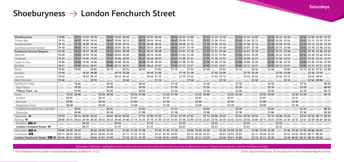#### Shoeburyness  $\rightarrow$  London Fenchurch Street

| Shoeburvness                                                                                                                                                     | 1909                                                                                                                                                                                                                   |                | 19 13 19 22 19 39        |                   |          |       |       | 1943 1952 2009    |                               |      | 20 13 20 22 20 39 |  | 20 43 20 52 21 09 |  |                           |       | 21 13 21 22 21 39                                                                                    |          | 21 43 21 52 22 09 |  |                   | 22 13 22 22 22 39 |  |  | 22 43 23 09 23 29 23 33                                                                                             |  |
|------------------------------------------------------------------------------------------------------------------------------------------------------------------|------------------------------------------------------------------------------------------------------------------------------------------------------------------------------------------------------------------------|----------------|--------------------------|-------------------|----------|-------|-------|-------------------|-------------------------------|------|-------------------|--|-------------------|--|---------------------------|-------|------------------------------------------------------------------------------------------------------|----------|-------------------|--|-------------------|-------------------|--|--|---------------------------------------------------------------------------------------------------------------------|--|
| Thorpe Bay                                                                                                                                                       | 19 13                                                                                                                                                                                                                  |                | 19 17 19 26 19 43        |                   |          |       |       | 19 47 19 56 20 13 |                               |      | 20 17 20 26 20 43 |  | 20 47 20 56 21 13 |  |                           |       | 21 17 21 26 21 43  21 47 21 56 22 13                                                                 |          |                   |  |                   |                   |  |  | 22 17 22 26 22 43  22 47 23 13 23 33 23 37                                                                          |  |
| Southend East                                                                                                                                                    | 19 15                                                                                                                                                                                                                  |                | 19 19 19 28 19 45        |                   |          |       |       | 1949 1958 2015    |                               |      |                   |  |                   |  |                           |       | 20 19 20 28 20 45 20 49 20 58 21 15 21 19 21 28 21 45 22 49 21 58 22 15 20 40                        |          |                   |  |                   | 22 19 22 28 22 45 |  |  | 22 49 23 15 23 35 23 39                                                                                             |  |
| Southend Central (Arrival)                                                                                                                                       | 19 18                                                                                                                                                                                                                  |                | 19 22 19 31 19 48        |                   |          |       |       | 19 52 20 01 20 18 |                               |      |                   |  |                   |  |                           |       | 20 22 20 31 20 48  20 52 21 01 21 18  21 22 21 31 21 48  21 52 22 01 22 18                           |          |                   |  |                   | 22 22 22 31 22 48 |  |  | 22 52 23 18 23 38 23 42                                                                                             |  |
| <b>Southend Central (Depart)</b>                                                                                                                                 | 19 18                                                                                                                                                                                                                  |                | 19 22 19 31 19 48        |                   |          |       |       |                   |                               |      |                   |  |                   |  |                           |       | 1952 2001 2018  2022 2031 2048  2052 2101 2118  2122 2131 2148  2152 2201 2218                       |          |                   |  |                   |                   |  |  | 22 22 22 31 22 48  22 52 23 18 23 38 23 42                                                                          |  |
| Westcliff                                                                                                                                                        | 19 20                                                                                                                                                                                                                  |                | 19 24 19 33 19 50        |                   |          |       |       | 19 54 20 03 20 20 |                               |      | 20 24 20 33 20 50 |  | 20 54 21 03 21 20 |  |                           |       | 21 24 21 33 21 50                                                                                    |          | 21 54 22 03 22 20 |  |                   | 22 24 22 33 22 50 |  |  | 22 54 23 20 23 40 23 44                                                                                             |  |
| Chalkwell                                                                                                                                                        | 19 23                                                                                                                                                                                                                  |                | 19 27 19 36 19 53        |                   |          |       |       | 19 57 20 06 20 23 |                               |      | 20 27 20 36 20 53 |  | 20 57 21 06 21 23 |  |                           |       | 21 27 21 36 21 53  21 57 22 06 22 23                                                                 |          |                   |  |                   | 22 27 22 36 22 53 |  |  | 22 57 23 23 23 43 23 47                                                                                             |  |
| Leigh-on-Sea                                                                                                                                                     | 19 26                                                                                                                                                                                                                  |                | 19 30 19 38 19 56        |                   |          |       |       | 20 00 20 08 20 26 |                               |      |                   |  |                   |  |                           |       | 20 30 20 38 20 56  21 00 21 08 21 26  21 30 21 38 21 56  22 00 22 08 22 26                           |          |                   |  |                   |                   |  |  | 22 30 22 38 22 56  23 00 23 26 23 46 23 50                                                                          |  |
| Benfleet                                                                                                                                                         |                                                                                                                                                                                                                        | 1935 1943 2001 |                          |                   |          |       |       |                   |                               |      |                   |  |                   |  |                           |       |                                                                                                      |          |                   |  |                   |                   |  |  | 2005 2013 2031  2035 2043 2101  2105 2113 2131  2135 2143 2201  2205 2213 2231  2235 2243 2301  2305 2331 2351 2351 |  |
| Pitsea                                                                                                                                                           | 1934                                                                                                                                                                                                                   |                |                          |                   |          |       |       |                   |                               |      |                   |  |                   |  |                           |       |                                                                                                      |          |                   |  |                   |                   |  |  |                                                                                                                     |  |
| Basildon                                                                                                                                                         | 1938                                                                                                                                                                                                                   |                |                          |                   |          |       |       |                   |                               |      |                   |  |                   |  |                           |       |                                                                                                      |          |                   |  |                   |                   |  |  |                                                                                                                     |  |
| Laindon                                                                                                                                                          | 1942                                                                                                                                                                                                                   |                |                          | 19 52 20 12       | $\cdots$ |       |       | 20 22 20 42       |                               |      |                   |  |                   |  | 20 52 21 12   21 22 21 42 |       | 21 52 22 12                                                                                          |          | 22 22 22 42       |  |                   | 22 52 23 12       |  |  | 23 42 00 01                                                                                                         |  |
| West Horndon                                                                                                                                                     | 1946                                                                                                                                                                                                                   |                |                          |                   |          |       |       |                   |                               |      |                   |  |                   |  |                           |       |                                                                                                      |          |                   |  |                   |                   |  |  |                                                                                                                     |  |
| Stanford-le-Hope                                                                                                                                                 |                                                                                                                                                                                                                        | 1946           |                          | $\cdots$          |          |       |       |                   |                               |      |                   |  |                   |  |                           |       |                                                                                                      |          |                   |  |                   |                   |  |  |                                                                                                                     |  |
| East Tilbury                                                                                                                                                     |                                                                                                                                                                                                                        | 19.50          |                          |                   |          |       |       |                   |                               |      |                   |  |                   |  |                           |       |                                                                                                      |          |                   |  |                   |                   |  |  | 23 20 \ 00 09                                                                                                       |  |
| Tilbury Town <del>△</del>                                                                                                                                        |                                                                                                                                                                                                                        |                |                          |                   |          | 20 26 |       |                   |                               |      |                   |  |                   |  |                           |       |                                                                                                      |          |                   |  |                   |                   |  |  |                                                                                                                     |  |
| Grays                                                                                                                                                            |                                                                                                                                                                                                                        | 19 55 20 00    |                          | $\cdots$          |          |       |       |                   |                               |      |                   |  |                   |  |                           |       |                                                                                                      |          |                   |  | 22 55 23 00       |                   |  |  |                                                                                                                     |  |
| Purfleet                                                                                                                                                         | 20 01                                                                                                                                                                                                                  |                |                          |                   |          |       |       |                   |                               |      |                   |  |                   |  |                           |       |                                                                                                      |          |                   |  |                   |                   |  |  |                                                                                                                     |  |
| Rainham                                                                                                                                                          | 2006                                                                                                                                                                                                                   |                |                          |                   |          |       |       |                   |                               |      |                   |  |                   |  |                           |       |                                                                                                      |          |                   |  |                   |                   |  |  |                                                                                                                     |  |
| Dagenham Dock                                                                                                                                                    | 20.09                                                                                                                                                                                                                  |                | -------- ------- ------- |                   |          | 20 39 |       |                   |                               |      |                   |  |                   |  |                           |       |                                                                                                      |          |                   |  |                   |                   |  |  |                                                                                                                     |  |
| Chafford Hundred (intu Lakeside)                                                                                                                                 |                                                                                                                                                                                                                        |                |                          |                   |          |       |       |                   |                               |      |                   |  |                   |  |                           |       |                                                                                                      |          |                   |  |                   |                   |  |  |                                                                                                                     |  |
| Ockendon                                                                                                                                                         |                                                                                                                                                                                                                        |                |                          |                   |          |       |       |                   |                               |      |                   |  |                   |  |                           |       |                                                                                                      |          |                   |  |                   |                   |  |  |                                                                                                                     |  |
| Upminster $\Theta$                                                                                                                                               |                                                                                                                                                                                                                        |                |                          |                   |          |       |       |                   |                               |      |                   |  |                   |  |                           |       |                                                                                                      |          |                   |  |                   |                   |  |  |                                                                                                                     |  |
| Barking $\Theta$                                                                                                                                                 | 20 00 20 23 20 30 23 20 10 20 30 20 45 20 53 20 40 21 00 21 15 21 23 21 10 21 30 21 45 21 53 21 40 22 00 22 15 22 32 21 0 22 30 22 45 22 53 22 40 23 00 23 15 23 23 09 23 30 23 45 23 30 23 45 23 53 23 59 00 20 00 43 |                |                          |                   |          |       |       |                   |                               |      |                   |  |                   |  |                           |       |                                                                                                      |          |                   |  |                   |                   |  |  |                                                                                                                     |  |
| Stratford <b>DIG +</b>                                                                                                                                           |                                                                                                                                                                                                                        |                |                          |                   |          |       |       |                   |                               |      |                   |  |                   |  |                           |       |                                                                                                      |          |                   |  |                   |                   |  |  |                                                                                                                     |  |
| London Liverpool Street $\Theta$                                                                                                                                 |                                                                                                                                                                                                                        |                |                          |                   |          |       | 21 01 |                   | $\ldots \ldots \ldots \ldots$ | 2131 |                   |  |                   |  | 22 01                     | 22 31 |                                                                                                      | $\cdots$ | 23 01             |  |                   |                   |  |  |                                                                                                                     |  |
| West Ham $DB$ $\Theta$                                                                                                                                           | 20 06 20 20 20 28                                                                                                                                                                                                      |                |                          | 20 36 20 50 20 58 |          |       |       | 21 06 21 20 21 28 |                               |      |                   |  |                   |  |                           |       | 21 36 21 50 21 58 12 20 6 22 20 22 28 12 23 24 25 27 28 27 36 22 58 12 28 28 27 58 27 58 27 58 27 58 |          |                   |  |                   |                   |  |  | 23 06 23 20 23 28  23 36 23 50 23 58 00 06 00 25                                                                    |  |
| Limehouse DIR                                                                                                                                                    | 20 11 20 25 20 33                                                                                                                                                                                                      |                |                          | 2041 2055 2103    |          |       |       | 21 11 21 25 21 33 |                               |      | 21 41 21 55 22 03 |  |                   |  | 22 11 22 25 22 33         |       | 22 41 22 55 23 03                                                                                    |          |                   |  | 23 11 23 25 23 33 |                   |  |  | 23 41 23 55 00 03 00 11 00 30                                                                                       |  |
| London Fenchurch Street DXI+ → 12016 2031 2039  2046 2101 2109  2116 2131 2139  2146 2201 2209  2216 2231 2239  2246 2301 2309  2346 2331 2339  2346 0002 0010 0 |                                                                                                                                                                                                                        |                |                          |                   |          |       |       |                   |                               |      |                   |  |                   |  |                           |       |                                                                                                      |          |                   |  |                   |                   |  |  |                                                                                                                     |  |

Passengers may leave highlighted stations later and arrive at their destination earlier by using an alternative service. Please check adjacent columns for these journeys.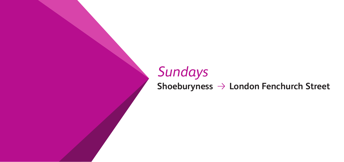# *Sundays* **Shoeburyness London Fenchurch Street**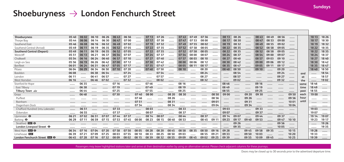**Sundays**

### Shoeburyness  $\rightarrow$  London Fenchurch Street

| Shoeburyness                                 | 0540  | 06 02   | 06 10    | 06 26 | 06 43 | 06 56 |       | 07 13 | 07 26    |       | 0743    | 0749     | 07 56    |       | 08 13 | 08 26 |       | 08 43 | 08 49 | 08 56 |               |       | 18 13 | 18 26 |
|----------------------------------------------|-------|---------|----------|-------|-------|-------|-------|-------|----------|-------|---------|----------|----------|-------|-------|-------|-------|-------|-------|-------|---------------|-------|-------|-------|
| Thorpe Bay                                   | 05 44 | 06 06   | 06 14    | 06 30 | 06 47 | 0700  |       | 07 17 | 0730     |       | 0747    | 07 53    | 08 00    |       | 08 17 | 08 30 |       | 08 47 | 08 53 | 09 00 |               |       | 181   | 18 30 |
| Southend East                                | 05 46 | 06 08   | 06 16    | 06 32 | 06 49 | 0702  |       | 07 19 | 07 32    |       | 07 49   | 07 55    | 08 02    |       | 08 19 | 08 32 |       | 08 49 | 08 55 | 09 02 |               |       | 18 19 | 1832  |
| Southend Central (Arrival)                   | 0549  | 061'    | 06 19    | 06 35 | 06 52 | 0705  |       | 07 22 | 0735     |       | 07 52   | 0758     | 08 05    |       | 08 22 | 0835  |       | 08 52 | 08 58 | 09 05 |               |       | 18 22 | 1835  |
| <b>Southend Central (Depart)</b>             | 0549  | 06 11   | 06 19    | 06 35 | 06 52 | 0705  |       | 07 22 | 0735     |       | 0752    | 0758     | 08 05    |       | 08 22 | 08 35 |       | 08 52 | 08 58 | 09 05 |               |       | 18 22 | 1835  |
| Westcliff                                    | 05 51 | 06 13   | 06 21    | 06 37 | 06 54 | 0707  |       | 07 24 | 0737     |       | 07 54   | 08 00    | 08 07    |       | 08 24 | 08 37 |       | 08 54 | 09 00 | 09 07 |               |       | 18 24 | 18 37 |
| Chalkwell                                    | 05 54 | 06 16   | 06 24    | 06 40 | 06 57 | 07 10 |       | 07 27 | 07<br>40 |       | 07 57   | 08 03    | 08 10    |       | 08 27 | 08 40 |       | 08 57 | 09 03 | 09 10 |               |       | 1827  | 1840  |
| Leigh-on-Sea                                 | 05 56 | 06 19   | 06 26    | 06 42 | 0700  | 07 12 |       | 07 30 | 07<br>42 |       | 08 00   | 08 06    | 08 12    |       | 08 30 | 08 42 |       | 09 00 | 09 06 | 09 12 |               |       | 18 30 | 1842  |
| Benfleet                                     | 06 01 | 06 24   | 063'     | 06 47 | 07 05 | 07 17 |       | 0735  | 0747     |       | 08 05   | 08 11    | 08 17    |       | 08 35 | 08 47 |       | 09 05 | 09 11 | 09 17 |               |       | 18 35 | 18 47 |
| Pitsea                                       | 06 04 | 06 29   | 06 34    | 06 50 | 07 10 | 07 20 |       | 0740  | 0750     |       | 08 10   |          | 08 20    |       | 08 40 | 08 50 |       | 09 10 |       | 09 20 |               |       | 1840  | 18 50 |
| Basildon                                     | 06 08 |         | 06 38    | 06 54 |       | 07 24 |       |       | 07 54    |       |         |          | 08 24    |       |       | 08 54 |       |       |       | 09 24 |               | and   |       | 18 54 |
| Laindon                                      | 06 11 |         | 0641     | 06 57 |       | 07 27 |       |       | 07.57    |       |         |          | 08 27    |       |       | 08 57 |       |       |       | 09 27 |               | αt    |       | 1857  |
| West Horndon                                 | 06 16 |         | 06 46    | 0702  |       | 0732  |       |       | 08 02    |       |         |          | 08 32    |       |       | 09 02 |       |       |       | 09 32 |               | the   |       | 1902  |
| Stanford-le-Hope                             |       | 06 35   |          |       | 07 16 |       |       | 0746  |          |       | 08 16   |          |          |       | 08 46 |       |       | 09 16 |       |       |               | same  | 1846  |       |
| East Tilbury                                 |       | 06 38   |          |       | 07 19 |       |       | 0749  |          |       | 08 19   |          |          |       | 08 49 |       |       | 09 19 |       |       |               | time  | 18 49 |       |
| Tilbury Town <                               |       | 06 44   |          |       | 07 25 |       |       | 0755  |          |       | 08 25   |          |          |       | 08 55 |       |       | 09 25 |       |       | 1.1.1.1.1.1.1 | past  | 1855  | .     |
| Grays                                        |       | 06 48   |          |       | 07 30 |       | 0740  | 08 00 |          | 08 20 | 08 30   |          |          | 08 50 | 09 00 |       | 09 20 | 09 30 |       |       | 09 50         | each  | 1900  |       |
| Purfleet                                     |       |         |          |       |       |       | 0746  |       |          | 08 26 |         |          |          | 08 56 |       |       | 09 26 |       |       |       | 09 56         | hour  |       |       |
| Rainham                                      |       |         | -------- |       |       |       | 0751  |       |          | 08 31 | ------- | -------- | -------- | 0901  |       |       | 09 31 |       |       |       | 1001          | until |       |       |
| Dagenham Dock                                |       |         |          |       |       |       | 07 54 |       |          | 08 34 |         |          |          | 09 04 |       |       | 09 34 |       |       |       | 1004          |       |       |       |
| Chafford Hundred (intu Lakeside)             |       | 065'    |          |       | 0733  |       |       | 08 03 |          |       | 08 33   |          |          |       | 09 03 |       |       | 09 33 |       |       |               |       | 1903  |       |
| Ockendon                                     |       | 06 55   |          |       | 0737  |       |       | 08 07 |          |       | 08 37   |          |          |       | 0907  |       |       | 09 37 |       |       |               |       | 19 07 |       |
| Upminster $\Theta$                           | 06 21 | 0702    | 065      | 0707  | 07 44 | 0737  |       | 08 14 | 08.07    |       | 08 44   |          | 08 37    |       | 09 14 | 09 07 |       | 09 44 |       | 0937  |               |       | 19 14 | 1907  |
| Barking $\Theta$                             | 06 29 | 07 11   | 06 59    | 07 15 | 0753  | 0745  | 08 00 | 08 23 | 08 15    | 08 40 | 08 53   |          | 08 45    | 09 11 | 09 23 | 09 17 | 09 40 | 09 53 |       | 09 47 | 10 10         |       | 19 23 | 19 17 |
| Stratford <b>DE O</b>                        |       |         |          |       |       |       |       |       |          |       |         |          |          |       |       | 09 26 |       |       |       | 09 56 |               |       |       | 19 26 |
| London Liverpool Street $\Theta$             |       | ******* |          |       |       |       |       |       |          |       |         |          |          |       |       | 09 35 |       |       |       | 1005  |               |       |       | 1935  |
| West Ham <b>DIR O</b>                        | 06 34 | 07 16   | 0704     |       | 0758  | 0750  | 08 05 | 08 28 | 08 20    | 08 45 | 08 58   | 08 35    | 08 50    | 09 16 | 09 28 |       | 09 45 | 09 58 | 09 35 |       | 10 15         |       | 19 28 |       |
| Limehouse <b>DIR</b>                         | 06 39 | 07 21   | 07       |       | 08.0  | 0755  | 08 10 |       |          | 08 50 | 09 03   |          | 08 55    | 09 21 | 09 33 |       | 09 50 | 1003  |       |       | 10 20         |       | 19 33 |       |
| <b>London Fenchurch Street</b><br><b>DLR</b> | 06 45 | 07 28   | 07 16    | 0732  | 08 09 | 08 02 | 08 15 | 08 39 | 08 32    | 08 55 | 09 09   | 08 45    | 09 02    | 09 25 | 09 39 |       | 09 55 | 1009  | 09 45 |       | 10 25         |       | 19 39 |       |

Passengers may leave highlighted stations later and arrive at their destination earlier by using an alternative service. Please check adjacent columns for these journeys.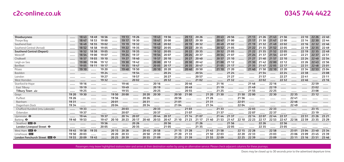| Shoeburvness                     |       | 18 43 | 1849  | 18 56 |       | 19 13 | 19 26 |       | 1943  | 19 56       |       | 20 13 | 20 26 |       | 2043        | 20 56 |       | 21 13 | 21 26 | 2143  | 21 56 |       | 22 10 | 22 26       | 2240  |
|----------------------------------|-------|-------|-------|-------|-------|-------|-------|-------|-------|-------------|-------|-------|-------|-------|-------------|-------|-------|-------|-------|-------|-------|-------|-------|-------------|-------|
| Thorpe Bay                       |       | 18 47 | 1853  | 19 00 |       | 19 17 | 19 30 |       | 1947  | 20 00       |       | 20 17 | 20 30 |       | 2047        | 21 00 |       | 21 17 | 21 30 | 21 47 | 2200  |       | 22 14 | 22 30       | 22 44 |
| Southend East                    |       | 18 49 | 18 55 | 1902  |       | 19 19 | 19 32 |       | 1949  | 20 02       |       | 20 19 | 20 32 |       | 2049        | 2102  |       | 21 19 | 2132  | 2149  | 2202  |       | 22 16 | 22 32       | 2246  |
| Southend Central (Arrival)       |       | 18 52 | 18 58 | 1905  |       | 19 22 | 1935  |       | 19 52 | 2005        |       | 20 22 | 20 35 |       | 20 52       | 2105  |       | 21 22 | 2135  | 21 52 | 2205  |       | 22 19 | 22 35       | 2249  |
| <b>Southend Central (Depart)</b> |       | 18 52 | 18 58 | 19 05 |       | 19 22 | 1935  |       |       | 19 52 20 05 |       | 20 22 | 20 35 |       | 20 52 21 05 |       |       | 21 22 | 2135  | 21 52 | 2205  |       | 22 19 | 22 35 22 49 |       |
| Westcliff                        |       | 18 54 | 1900  | 19 07 |       | 19 24 | 1937  |       | 1954  | 2007        |       | 20 24 | 20 37 |       | 20 54       | 2107  |       | 21 24 | 2137  | 21 54 | 2207  |       | 22 21 | 22 37       | 22 51 |
| Chalkwell                        |       | 18.57 | 1903  | 19 10 |       | 19 27 | 1940  |       | 1957  | 20 10       |       | 20 27 | 2040  |       | 20 57       | 21 10 |       | 21 27 | 2140  | 2157  | 22 10 |       | 22 24 | 22 40       | 22 54 |
| Leigh-on-Sea                     |       | 19 00 | 1906  | 19 12 |       | 19 30 | 1942  |       | 20 00 | 2012        |       | 20 30 | 2042  |       | 21 00       | 21 12 |       | 21 30 | 2142  | 22 00 | 22 12 |       | 22 26 | 2243        | 22 56 |
| Benfleet                         |       | 1905  | 19 11 | 19 17 |       | 19 35 | 1947  |       | 20 05 | 20 17       |       | 20 35 | 2047  |       | 21 05       | 21 17 |       | 2135  | 21 47 | 2205  | 22 17 |       | 22 31 | 22 48       | 23 01 |
| Pitsea                           |       | 19 10 |       | 19 20 |       | 19 40 | 1950  |       | 20 10 | 20 20       |       | 20 40 | 20 50 |       | 21 10       | 21 20 |       | 2140  | 2150  | 22 10 | 22 20 |       | 22 34 | 22 53       | 23 04 |
| Basildon                         |       |       |       | 19 24 |       |       | 1954  |       |       | 20 24       |       |       | 20 54 |       |             | 21 24 |       |       | 21 54 |       | 22 24 |       | 22 38 |             | 23 08 |
| Laindon                          |       |       |       | 19 27 |       |       | 19 57 |       |       | 20 27       |       |       | 20 57 |       |             | 21 27 |       |       | 21 57 |       | 22 27 |       | 2241  |             | 23 11 |
| West Homdon                      |       |       |       | 19 32 |       |       | 20 02 |       |       | 20 32       |       |       | 2102  |       |             | 21 32 |       |       | 2202  |       | 22 32 |       | 22 46 |             | 23 16 |
| Stanford-le-Hope                 |       | 19 16 |       |       |       | 1946  |       |       | 20 16 |             |       | 2046  |       |       | 21 16       |       |       | 21 46 |       | 22 16 |       |       |       | 22 59       |       |
| East Tilbury                     |       | 19 19 |       |       |       | 1949  |       |       | 20 19 |             |       | 2049  |       |       | 21 19       |       |       | 21 49 |       | 22 19 |       |       |       | 23 02       |       |
| Tilbury Town <del></del>         |       | 19 25 |       |       |       | 1955  |       |       | 20 25 |             |       | 20 55 |       |       | 21 25       |       |       | 21 55 |       | 22 25 |       |       |       | 23 08       |       |
| Grays                            | 19 20 | 19 30 |       |       | 1950  | 20 00 |       | 20 20 | 20 30 |             | 20 50 | 21 00 |       | 21 20 | 21 30       |       | 2150  | 2200  |       | 22 30 |       | 22 35 |       | 23 12       |       |
| Purfleet                         | 19 26 |       |       |       | 1956  |       |       | 20 26 |       |             | 20 56 |       |       | 21 26 |             |       | 2156  |       |       |       |       | 2241  |       |             |       |
| Rainham                          | 1931  |       |       |       | 2001  |       |       | 20 31 |       |             | 21 01 |       |       | 21 31 |             |       | 2201  |       |       |       |       | 22 46 |       |             |       |
| Dagenham Dock                    | 1934  |       |       |       | 20 04 |       |       | 20 34 |       |             | 21 04 |       |       | 2134  |             |       | 2204  |       |       |       |       | 22 49 |       |             |       |
| Chafford Hundred (intu Lakeside) |       | 19 33 |       |       |       | 20 03 |       |       | 20 33 |             |       | 21 03 |       |       | 21 33       |       |       | 2203  |       | 22 33 |       |       |       | 23 15       |       |
| Ockendon                         |       | 19 37 |       |       |       | 2007  |       |       | 20 37 |             |       | 21 07 |       |       | 2137        |       |       | 2207  |       | 22 37 |       |       |       | 23 19       |       |
| Upminster $\Theta$               |       | 19 44 |       | 19 37 |       | 20 14 | 2007  |       | 20 44 | 20 37       |       | 21 14 | 21 07 |       | 21 44       | 2137  |       | 22 14 | 2207  | 22 44 | 22 37 |       | 22 51 | 23 26       | 23 21 |
| Barking $\Theta$                 | 1940  | 19 53 |       | 1947  | 20 10 | 20 23 | 20 17 | 2040  | 20 53 | 2047        | 21 10 | 21 23 | 21 17 | 21 40 | 21 53       | 2147  | 22 10 | 22 23 | 22 17 | 22 53 | 22 47 | 22 56 | 22 59 | 23 35       | 23 29 |
| Stratford <b>DIG +</b>           |       |       |       | 19 56 |       |       | 20 26 |       |       | 20 56       |       |       | 21 26 |       |             | 21 56 |       |       | 22 26 |       | 22 56 |       |       |             |       |
| London Liverpool Street $\Theta$ |       |       |       | 2005  |       |       | 2035  |       |       | 21 05       |       |       | 21 35 |       |             | 2205  |       |       | 22 35 |       | 23 05 |       |       |             |       |
| West Ham $DB$ $\Theta$           | 1945  | 19 58 | 19 35 |       | 20 15 | 20 28 |       | 2045  | 20 58 |             | 21 15 | 21 28 |       | 21 45 | 21 58       |       | 22 15 | 22 28 |       | 22 58 |       | 23 01 | 23 04 | 23 40       | 23 34 |
| Limehouse DIR                    | 1950  | 20 03 |       |       | 20 20 | 20 33 |       | 20 50 | 2103  |             | 21 20 | 21 33 |       | 21 50 | 2203        |       | 22 20 | 22 33 |       | 23 03 |       | 23 06 | 23 09 | 23 45       | 23 39 |
| London Fenchurch Street EE O     | 1955  | 20 09 | 1945  |       | 20 25 | 2039  |       | 20 55 | 2109  |             | 21 25 | 2139  |       | 21 55 | 22 09       |       | 22 25 | 22 39 |       | 23 09 |       | 23 11 | 23 16 | 23 51       | 23 46 |

Passengers may leave highlighted stations later and arrive at their destination earlier by using an alternative service. Please check adjacent columns for these journeys.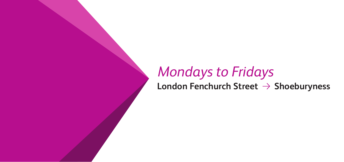# **16** *Mondays to Fridays*<br> **16** *London Fenchurch Street → Shoeburyness*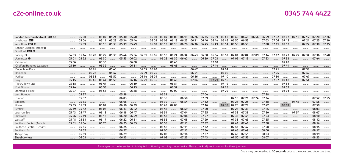#### **0345 744 4422**

| London Fenchurch Street DIR O    |       | 05 00 |       | 0507  | 05 24 | 0530  | 0540  |       |       | 06 00 06 04 | 06 08 | 06 19 | 06 26 |       | 06 35 06 39 |       | 06 42 06 46 06 49 |             | 06 56 | 06 59 | 0702 0707 |       | 07 13 | 07 17 | 07 20       | 07 26 |
|----------------------------------|-------|-------|-------|-------|-------|-------|-------|-------|-------|-------------|-------|-------|-------|-------|-------------|-------|-------------------|-------------|-------|-------|-----------|-------|-------|-------|-------------|-------|
| Limehouse DIR                    |       | 0504  |       | 05 11 | 05 28 | 0534  | 0544  |       | 06 05 | 06 08       | 06 13 | 06 23 | 0631  | 06 40 | 06 44       | 06 46 | 06 50             | 06 53       |       | 0703  | 07 06     | 07 12 |       | 07 21 | 07 25       | 0730  |
| West Ham <b>DIR O</b>            |       | 05 09 |       | 05 16 | 0533  | 05 39 | 0549  |       | 06 10 | 06 13       | 06 18 | 06 28 | 06 36 | 06 45 | 06 49       | 06 51 | 06 55             | 06 59       |       | 0708  | 07 11     | 07 17 |       | 07 27 | 07 30       | 0735  |
| London Liverpool Street $\Theta$ |       |       |       |       |       |       |       |       |       |             |       |       |       |       |             |       |                   |             |       |       |           |       |       |       |             |       |
| Stratford <b>DIR</b> $\Theta$    |       |       |       |       |       |       |       |       |       |             |       |       |       |       |             |       |                   |             |       |       |           |       |       |       |             |       |
| Barking $\Theta$                 | 04 53 | 05 14 | 05 20 | 05 22 | 05 39 | 0544  | 05 54 | 06 01 | 06 16 | 06 18       | 06 24 | 06 34 | 06 43 | 06 50 | 06 54       | 06 57 | 0701              | 0704        | 0709  | 07 14 | 07 17     | 07 23 | 07 27 | 0734  | 0736        | 0740  |
| Upminster $\Theta$               | 05 01 | 05 22 |       | 05 30 |       | 05 53 | 06 02 |       |       | 06 26       | 06 32 | 06 42 |       | 06 59 | 0703        |       | 07 09             | 07 13       |       | 07 23 |           | 0733  |       |       | 07 44       |       |
| Ockendon                         | 05 06 |       |       | 05 36 |       |       | 06 08 |       |       |             | 06 40 |       |       |       | 07 10       |       |                   |             |       |       |           | 0740  |       |       |             |       |
| Chafford Hundred (Lakeside)      | 05 10 |       |       | 05 39 |       |       | 06 11 |       |       |             | 06 43 |       |       |       | 07 14       |       |                   |             |       |       |           | 07 44 |       |       |             |       |
| Dagenham Dock                    |       |       | 05 24 |       | 0543  |       |       | 06 05 | 06 20 |             |       |       | 06 47 |       |             | 0701  |                   |             |       |       | 07 21     |       |       | 0738  |             |       |
| Rainham                          |       |       | 05 28 |       | 05 47 |       |       | 06 09 | 06 24 |             |       |       | 06 51 |       |             | 0705  |                   |             |       |       | 07 25     |       |       | 0742  |             |       |
| Purfleet                         |       |       | 05 33 |       | 05 52 |       |       | 06 14 | 06 29 |             |       |       | 06 56 |       |             | 07 10 |                   |             |       |       | 0730      |       |       | 0747  |             |       |
| Grays                            | 05 15 |       | 05 40 | 05 44 | 05 59 |       | 06 16 | 06 21 | 06 36 |             | 06 48 |       | 0704  |       | 07 21       | 07 16 |                   |             |       |       | 0737      | 0748  |       | 07 54 |             |       |
| Tilbury Town                     | 05 18 |       |       | 05 47 |       |       | 06 19 |       |       |             | 06 51 |       |       |       |             | 07 19 |                   |             |       |       |           | 0751  |       |       |             |       |
| East Tilbury                     | 05 24 |       |       | 05 53 |       |       | 06 25 |       |       |             | 06 57 |       |       |       |             | 07 25 |                   |             |       |       |           | 0757  |       |       |             |       |
| Stanford-le-Hope                 | 05 27 |       |       | 05 56 |       |       | 06 28 |       |       |             | 07 00 |       |       |       |             | 07 29 |                   |             |       |       |           | 08 01 |       |       |             |       |
| West Horndon                     |       | 05 27 |       |       |       | 05 58 |       |       |       | 06 31       |       |       |       | 0704  |             |       |                   |             |       | 07 28 |           |       |       |       |             |       |
| Laindon                          |       | 05 32 |       |       |       | 06 03 |       |       |       | 06 36       |       | 06 50 |       | 0709  |             |       | 07 18             | 07 21       | 07 24 | 0734  |           |       |       |       | 07 52 07 55 |       |
| Basildon                         |       | 05 35 |       |       |       | 06 06 |       |       |       | 06 39       |       | 06 54 |       | 07 12 |             |       | 07 21             | 07 25       |       | 0738  |           |       | 0745  |       | 07 56       |       |
| Pitsea                           | 05 35 | 05 39 |       | 06 04 |       | 06 10 | 06 39 |       |       | 06 43       | 0708  |       |       | 07 16 |             |       | 07 38 07 25 07 29 |             |       | 0742  |           | 08 09 |       |       | 07 59       |       |
| Benfleet                         | 05 39 | 0542  |       | 06 08 |       | 06 13 | 06 42 |       |       | 06 46       |       | 06 59 |       | 07 20 |             |       | 07 28             | 0733        |       | 0745  |           |       |       |       | 08 03       |       |
| Leigh-on-Sea                     | 0543  | 0547  |       | 06 13 |       | 06 18 | 06 47 |       |       | 06 51       |       | 0704  |       | 07 25 |             |       | 0733              | 0738        |       | 07 50 |           |       | 07 54 |       | 08 07       |       |
| Chalkwell                        | 0546  | 0549  |       | 06 15 |       | 06 20 | 06 49 |       |       | 06 53       |       | 0706  |       | 07 27 |             |       | 07 36             | 0741        |       | 07 53 |           |       |       |       | 08 10       |       |
| Westcliff                        | 0548  | 05 51 |       | 06 17 |       | 06 22 | 06 51 |       |       | 06 55       |       | 0708  |       | 07 29 |             |       | 0738              | 0743        |       | 07 55 |           |       |       |       | 08 12       |       |
| Southend Central (Arrival)       | 05 51 | 05 54 |       | 06 20 |       | 06 25 | 06 55 |       |       | 06 58       |       | 07 11 |       | 0732  |             |       |                   | 07 41 07 46 |       | 07 58 |           |       |       |       | 08 14       |       |
| Southend Central (Depart)        |       | 05 55 |       |       |       | 06 25 |       |       |       | 06 58       |       | 07 11 |       | 0732  |             |       | 0741              | 0747        |       | 07 58 |           |       |       |       | 08 15       |       |
| Southend East                    |       | 05 57 |       |       |       | 06 27 |       |       |       | 07 00       |       | 07 13 |       | 0734  |             |       |                   | 07 43 07 49 |       | 08 00 |           |       |       |       | 08 17       |       |
| Thorpe Bay                       |       | 05 59 |       |       |       | 06 29 |       |       |       | 0703        |       | 07 16 |       | 0737  |             |       | 0746              | 07 51       |       | 08 03 |           |       |       |       | 08 19       |       |
| Shoeburyness                     |       | 06 03 |       |       |       | 06 33 |       |       |       | 0708        |       | 07 23 |       | 0743  |             | .     | 07 50 07 55       |             | .     | 08 07 |           |       |       |       | 08 23       |       |

Passengers can arrive earlier at highlighted stations by catching a later service. Please check adjacent columns for these journeys.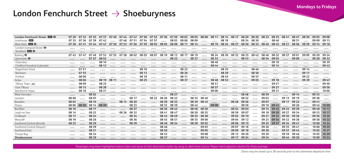#### London Fenchurch Street → Shoeburyness

| London Fenchurch Street <b>DISI O</b> | 07 29 | 0732  | 0735        | 0737        | 0740  | 0744  | 0747  | 07.50 | 07.52 | 07 56 | 07 59 | 08 02 | 08 05 08 08 |       | 08 11 |       | 08 14 08 17 | 08 20       | 08 26 | 08 32 | 08 35             | 0841  | 0847        | 08 50 | 09 05 | 09 08 |
|---------------------------------------|-------|-------|-------------|-------------|-------|-------|-------|-------|-------|-------|-------|-------|-------------|-------|-------|-------|-------------|-------------|-------|-------|-------------------|-------|-------------|-------|-------|-------|
| Limehouse DIR                         | 0733  | 0736  | 07 39 07 42 |             |       | 0748  | 0751  | 07 54 | 07 57 |       | 08 03 | 08 06 | 08 09       |       |       | 08 18 |             | 08 24       | 08 30 |       | 08 40             |       | 08 51       |       | 09 09 | 09 13 |
| West Ham <b>DIG +</b>                 | 0738  | 0741  | 0744        | 0747        | 07 50 | 07 53 | 07 56 | 07 59 | 08 02 | 08 05 | 08 08 | 08 11 | 08 14       |       | 08 19 | 08 24 | 08 27       | 08 30       | 08 35 | 08 40 | 08 45             | 08 51 | 08 56       | 08 59 | 09 14 | 09 18 |
| London Liverpool Street $\Theta$      |       |       |             |             |       |       |       |       |       |       |       |       |             |       |       |       |             |             |       |       |                   |       |             |       |       |       |
| Stratford <b>DE O</b>                 |       |       |             |             |       |       |       |       |       |       |       |       |             |       |       |       |             |             |       |       |                   |       |             |       |       |       |
| Barking $\Theta$                      | 0743  | 07 47 | 0749        | 0753        | 07 55 | 07.58 | 08 02 | 08 05 | 08 07 | 08 10 | 08 13 | 08 17 | 08 19       |       | 08 24 | 08 30 | 08 32       | 08 35       | 08 42 | 08 46 | 08 52             | 08 57 | 09 01       | 09 09 | 09 20 | 09 24 |
| Upminster $\Theta$                    |       |       | 07 57       | 08 02       |       |       |       |       |       |       | 08 22 |       | 08 27       |       | 08 33 |       |             | 08 43       |       | 08 54 | 09 03             |       | 09 09       |       | 09 28 | 09 32 |
| Ockendon                              |       |       |             | 08 10       |       |       |       |       |       |       |       |       |             |       | 08 40 |       |             |             |       |       | 09 10             |       |             |       |       | 09 39 |
| Chafford Hundred (Lakeside)           |       |       |             | 08 13       |       |       |       |       |       |       |       |       |             |       | 08 44 |       |             |             |       |       | 09 14             |       |             |       |       | 09 43 |
| Dagenham Dock                         |       | 0751  |             |             |       |       |       | 08 10 |       |       |       | 08 22 |             |       |       | 08 35 |             |             | 08 46 |       |                   |       |             | 09 14 |       |       |
| Rainham                               |       | 07 55 |             |             |       |       |       | 08 13 |       |       |       | 08 26 |             |       |       | 08 39 |             |             | 08 50 |       |                   |       |             | 09 17 |       |       |
| Purfleet                              |       | 08 00 |             |             |       |       |       | 08 18 |       |       |       | 08 31 |             |       |       | 08 45 |             |             | 08 57 |       |                   |       |             | 09 22 |       |       |
| Grays                                 |       | 08 06 |             | 08 19       | 08 11 |       |       | 08 25 |       |       |       | 08 37 |             |       | 08 48 | 08 52 |             |             | 09 05 |       | 09 18             |       |             | 09 29 |       | 09 47 |
| Tilbury Town                          |       | 08 09 |             | 08 22       |       |       |       |       |       |       |       |       |             |       | 08 51 |       |             |             |       |       | 09 21             |       |             |       |       | 09 50 |
| East Tilbury                          |       | 08 15 |             | 08 28       |       |       |       |       |       |       |       |       |             |       | 08.57 |       |             |             |       |       | 09 27             |       |             |       |       | 09 56 |
| Stanford-le-Hope                      |       | 08 18 |             | 08 31       |       |       |       |       |       |       |       |       |             |       | 09 00 |       |             |             |       |       | 09 31             |       |             |       |       | 10 00 |
| West Horndon                          |       |       | 08 02       |             |       |       |       |       |       |       | 08 27 |       |             |       |       |       |             | 08 48       |       | 08 59 |                   |       | 09 14       |       | 09 33 |       |
| Laindon                               | 08 00 |       | 08 07       |             |       |       | 08 17 |       | 08 22 | 08 26 | 08 32 |       | 08 35       | 08 40 |       |       |             | 08 52       |       | 09 03 |                   | 09 13 | 09 19       |       | 09 38 |       |
| Basildon                              | 08 03 |       | 08 10       |             |       | 08 14 | 08 20 |       |       | 08 29 | 08 35 |       | 08 39       | 08 43 |       |       | 08 48       | 08 56       |       | 09 07 |                   | 09 17 | 09 22       |       | 09 41 |       |
| Pitsea                                | 08 06 | 08 26 |             | 08 14 08 39 |       |       | 08 23 |       |       | 08 33 | 08 39 |       | 08 42       |       | 09 08 |       |             | 08 59       |       | 09 10 | 0941              |       | 09 26       |       | 0945  | 10 09 |
| Benfleet                              | 08 10 |       | 08 17       |             |       |       | 08 27 |       |       | 08 36 | 08 42 |       | 08 46       | 08 50 |       |       | 08 54       | 09 03       |       |       | 09 14 09 45 09 23 |       | 09 29       |       | 09 48 | 10 13 |
| Leigh-on-Sea                          | 08 14 |       | 08 22       |             |       | 08 26 | 08 32 |       |       | 08 41 | 08 47 |       | 08 50       | 08 55 |       |       | 08 59       | 09 07       |       | 09 18 | 09 50             | 09 27 | 09 34       |       | 09 53 | 10 17 |
| Chalkwell                             | 08 17 |       | 08 24       |             |       |       | 08 34 |       |       | 08 43 | 08 49 |       | 08 53       | 08 58 |       |       | 09 02       | 09 10       |       | 09 21 | 09 52             | 09 30 | 09 36       |       | 09 56 | 10 20 |
| Westcliff                             | 08 19 |       | 08 26       |             |       |       | 08 36 |       |       | 08 45 | 08 51 |       | 08 55       | 09 00 |       |       | 09 04       | 09 12       |       | 09 23 | 09 54             | 09 32 | 09 38       |       | 09 58 | 10 22 |
| Southend Central (Arrival)            | 08 22 |       | 08 29       |             |       |       | 08 39 |       |       | 08 48 | 08 54 |       | 08 58       | 09 02 |       |       | 09 06       | 09 15       |       | 09 25 | 09 57             | 09 34 | 09 41       |       | 1000  | 10 24 |
| Southend Central (Depart)             |       |       | 08 29       |             |       |       |       |       |       | 08 48 |       |       |             | 09 03 |       |       | 09 07       | 09 16       |       | 09 26 |                   | 09 35 | 09 41       |       | 1000  | 10 25 |
| Southend East                         |       |       | 08 31       |             |       |       |       |       |       | 08 50 |       |       |             | 09 05 |       |       | 09 09       | 09 18       |       | 09 28 |                   | 09 37 | 09 43       |       | 1002  | 10 27 |
| Thorpe Bay                            |       |       | 08 34       |             |       |       |       |       |       | 08 53 |       |       |             | 09 08 |       |       | 09 12       | 09 20       |       | 09 30 |                   | 09 39 | 09 46       |       | 1005  | 10 29 |
| Shoeburyness                          |       |       | 08 39       |             |       |       |       |       |       | 08 57 |       |       |             | 09 14 |       |       |             | 09 17 09 24 |       | 09 34 |                   |       | 09 44 09 50 |       | 1009  | 10 33 |

Passengers may leave highlighted stations later and arrive at their destination earlier by using an alternative service. Please check adjacent columns for these journeys.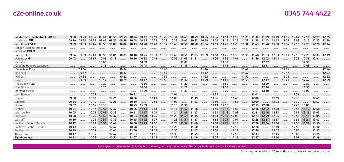|  | 0345 744 4422 |
|--|---------------|
|--|---------------|

| London Fenchurch Street DE O     |       | 09 23 | 09 34       | 0941        | 09 51 | 09 55 | 1004  | 10 11       | 10 19 | 10 25 | 10 34             | 10 41 10 49       |             |       | 1055 1104 1111 1119 1125 1134 1139 1149 1155 1204 |                   |       |           |                   |                   |                   |       |       | 12 11             | 12 19 | 12 25 |
|----------------------------------|-------|-------|-------------|-------------|-------|-------|-------|-------------|-------|-------|-------------------|-------------------|-------------|-------|---------------------------------------------------|-------------------|-------|-----------|-------------------|-------------------|-------------------|-------|-------|-------------------|-------|-------|
| Limehouse DIR                    | 09 24 | 09 28 | 09 39       | 09 45       | 09 55 | 09 59 | 1008  | 10 15       | 10 23 | 10 29 | 1038              | 1045              | 10 53       | 10 59 | 11 08                                             | 11 15             | 11 23 | 11 29     | 11 38             | 11 43             | 11 53             | 11 59 | 1208  | 12 15             | 12 23 | 12 29 |
| West Ham $DB$ $\Theta$           | 09 29 | 09 33 | 09 44 09 50 |             | 10 00 | 1004  | 10 13 | 10 20       | 1028  | 10 34 | 1043              | 1050              | 10 58 11 04 |       | 11 13 11 20 11 28 11 34 11 43                     |                   |       |           |                   |                   | 11 48 11 58 12 04 |       | 12 13 | 12 20             | 12 28 | 12 34 |
| London Liverpool Street $\Theta$ |       |       |             |             |       |       |       |             |       |       |                   |                   |             |       |                                                   |                   |       |           |                   |                   |                   |       |       |                   |       |       |
| Stratford <b>DIR</b> $\Theta$    |       |       |             |             |       |       |       |             |       |       |                   |                   |             |       |                                                   |                   |       |           |                   |                   |                   |       |       |                   |       |       |
| Barking $\Theta$                 | 09 34 | 09 39 | 0949        | 09 55       | 10 05 | 1009  | 10 18 | 10 25       | 10 33 | 10 39 | 1048              | 10 55 11 03       |             | 1109  |                                                   | 11 18 11 25 11 33 |       | 1139      | 1148              | 11 53             | 1203              | 1209  | 12 18 | 12 25             | 1233  | 1239  |
| Upminster $\Theta$               | 0942  |       | 09 57       | 10 03       | 10 13 |       | 10 26 | 10 33       | 1041  |       | 10 56             | 11 03 11 11       |             | .     |                                                   | 11 26 11 33 11 41 |       | 1.1.1.1.1 | 11 56             | 1202              | 12 11             |       | 12 26 | 12 33             | 1241  |       |
| Ockendon                         |       |       |             | 1009        |       |       |       | 10 39       |       |       |                   | 1109              |             |       |                                                   | 1139              |       |           |                   | 1207              |                   |       |       | 1239              |       |       |
| Chafford Hundred (Lakeside)      |       |       |             | 10 13       |       |       |       | 1043        |       |       |                   | 11 13             |             |       |                                                   | 1143              |       |           |                   | 12 11             |                   |       |       | 1243              |       |       |
| Dagenham Dock                    |       | 09 44 |             |             |       | 10 14 |       |             |       | 1044  |                   |                   |             | 11 14 |                                                   |                   |       | 1144      |                   |                   |                   | 12 14 |       |                   |       | 1244  |
| Rainham                          |       | 0947  |             |             |       | 10 17 |       |             |       | 1047  |                   |                   |             | 11 17 |                                                   |                   |       | 1147      |                   |                   |                   | 12 17 |       |                   |       | 1247  |
| Purfleet                         |       | 09 52 |             |             |       | 10 22 |       |             |       | 10 52 |                   |                   |             | 11 22 |                                                   |                   |       | 1152      |                   |                   |                   | 12 22 |       |                   |       | 12 52 |
| Gravs                            |       | 09 59 |             | 10 17       |       | 10 29 |       | 1047        |       | 10 59 |                   | 11 17             |             | 1129  |                                                   | 1147              |       | 1159      |                   | 12 17             |                   | 12 29 |       | 1247              |       | 12 59 |
| Tilbury Town                     |       |       |             | 10 20       |       |       |       | 10 50       |       |       |                   | 11 20             |             |       |                                                   | 1150              |       |           |                   | 12 20             |                   |       |       | 1250              |       |       |
| East Tilbury                     |       |       |             | 10 26       |       |       |       | 10 56       |       |       |                   | 11 26             |             |       |                                                   | 11 56             | .     |           |                   | 12 26             |                   |       |       | 12 56             |       |       |
| Stanford-le-Hope                 |       |       |             | 10 30       |       |       |       | 1100        |       |       |                   | 11 30             |             |       |                                                   | 12 00             |       |           |                   | 12 30             |                   |       |       | 13 00             |       |       |
| West Horndon                     |       |       | 1002        |             |       |       | 10 31 |             |       |       | 1101              |                   |             |       | 11 31                                             |                   |       |           | 1201              |                   |                   |       | 12 31 |                   |       |       |
| Laindon                          | 09 50 |       | 1007        |             | 10 21 |       | 10 36 |             | 1049  |       | 1106              |                   | 11 19       |       | 1136                                              |                   | 1149  |           | 1206              |                   | 12 19             |       | 12 36 |                   | 1249  |       |
| Basildon                         | 09 54 |       | 10 10       |             | 10 25 |       | 10 39 |             | 10 53 |       | 1109              | 1.1.1.1.1.1       | 11 23       |       | 1139                                              | 1.1.1.1.1.1       | 11 53 |           | 1209              |                   | 12 23             |       | 1239  |                   | 12 53 |       |
| Pitsea                           | 09 57 |       | 10 14       | 10 38       |       |       | 1043  | 11 09       |       |       | 11 13             | 11 38             |             |       | 1143                                              | 1208              |       |           | 12 13             | 12 38             |                   |       | 1243  | 1308              |       |       |
| Benfleet                         | 1001  |       | 10 17       | 1042        | 10 30 |       | 1046  | 11 13 10 58 |       |       |                   | 11 16 11 42 11 28 |             |       |                                                   | 11 46 12 12 11 58 |       |           |                   | 12 16 12 42 12 28 |                   |       | 1246  | 13 12 12 58       |       |       |
| Leigh-on-Sea                     | 1005  |       |             | 10 22 10 46 | 10 35 |       | 10 51 | 11 17 11 03 |       |       |                   | 11 21 11 46 11 33 |             |       |                                                   | 11 51 12 16 12 03 |       |           |                   | 12 21 12 46 12 33 |                   |       |       | 12 51 13 16 13 03 |       |       |
| Chalkwell                        | 10 08 |       | 10 24       | 1049        | 1037  |       | 10 53 | 11 20 11 05 |       |       | 11 23             | 11 49 11 35       |             |       | 11 53                                             | 12 19 12 05       |       |           | 12 23             | 1249              | 1235              |       | 12 53 | 13 19             | 1305  |       |
| Westcliff                        | 10 10 |       | 10 26       | 10 51       | 1039  |       | 10 55 | 11 22 11 07 |       |       | 11 25             | 11 51 11 37       |             |       |                                                   | 11 55 12 21 12 07 |       |           | 12 25             |                   | 12 51 12 37       |       | 12 55 | 13 21             | 1307  |       |
| Southend Central (Arrival)       | 10 12 |       | 10 29       | 10 54       | 1042  |       | 10 58 | 11 25 11 10 |       |       | 11 28 11 54 11 40 |                   |             |       |                                                   | 11 58 12 24 12 10 |       |           | 12 28 12 54 12 40 |                   |                   |       |       | 12 58 13 24 13 10 |       |       |
| Southend Central (Depart)        | 10 13 |       | 10 29       |             | 1042  |       | 10 58 |             | 11 10 |       | 11 28             |                   | 1140        |       | 1158                                              |                   | 12 10 |           | 12 28             |                   | 1240              |       | 12 58 |                   | 13 10 |       |
| Southend East                    | 10 15 |       | 10 31       |             | 1044  |       | 11 00 |             | 11 12 |       | 11 30             |                   | 1142        |       | 1200                                              |                   | 12 12 |           | 12 30             |                   | 1242              |       | 13 00 |                   | 13 12 |       |
| Thorpe Bay                       | 10 17 |       | 10 34       |             | 1047  |       | 1103  |             | 11 15 |       | 11 33             |                   | 1145        |       | 1203                                              |                   | 12 15 |           | 1233              |                   | 1245              |       | 1303  |                   | 13 15 |       |
| Shoeburyness                     | 10 21 |       | 10 38       | .           | 1051  |       | 1107  |             |       |       |                   |                   |             |       | 1119  1137  1149  1207  1219                      |                   |       |           | 1237              |                   | $1250$            |       | 1307  |                   | 13 19 |       |

Passengers can arrive earlier at highlighted stations by catching a later service. Please check adjacent columns for these journeys.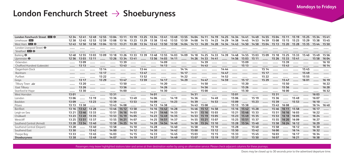#### London Fenchurch Street → Shoeburyness

| London Fenchurch Street DIR O    | 12 34 | 1241  | 1249   | 12.55 | 1304  | 13 11             |       | 13 19 13 25 13 34 13 41 13 49 13 55 14 04 14 11 14 19 |             |                   |             |       |       |                   |             | 14 25    | 14 34 | 1441        | 1449  | 14.55 | 1504        | 15 11       | 15 19 | 15 25 | 1534  | 1541  |
|----------------------------------|-------|-------|--------|-------|-------|-------------------|-------|-------------------------------------------------------|-------------|-------------------|-------------|-------|-------|-------------------|-------------|----------|-------|-------------|-------|-------|-------------|-------------|-------|-------|-------|-------|
| Limehouse DIR                    | 12 38 | 1245  | 12.53  | 12.59 | 1308  | 13 16             | 13 23 | 13 29                                                 | 13 38 13 45 |                   | 13 53 13 59 |       | 1408  |                   | 14 15 14 23 | 14 29    | 14 38 | 1445        | 14 53 | 14.59 | 1508        | 15 15       | 15 23 | 15 29 | 15 38 | 1545  |
| West Ham <b>DIR O</b>            | 1243  | 12.50 | 12.58  | 1304  | 13 13 | 13 21             | 13 28 | 13 34                                                 | 1343        | 13 50             | 13 58       | 1404  | 14 13 | 14 20             | 14 28       | 14 34    | 1443  | 14 50       | 14 58 | 1504  | 15 13       | 15 20       | 15 28 | 1535  | 15 44 | 15 50 |
| London Liverpool Street $\Theta$ |       |       |        |       |       |                   |       |                                                       |             |                   |             |       |       |                   |             |          |       |             |       |       |             |             |       |       |       |       |
| Stratford <b>DR</b> $\Theta$     |       |       |        |       |       |                   |       |                                                       |             |                   |             |       |       |                   |             |          |       |             |       |       |             |             |       |       |       |       |
| Barking $\Theta$                 | 1248  | 12 55 | 1303   | 1309  | 13 18 | 13 26             | 1333  | 13 39                                                 | 1348        | 13.55             | 1403        | 1409  | 14 18 | 14 25             | 14 3 3      | 1439     | 1448  | 14.55       | 1503  | 1509  | 15 18       | 15 25       | 1533  | 1540  | 1549  | 15 56 |
| Upminster $\Theta$               | 12 56 | 1303  | 13 11  |       | 13 26 | 13 34             | 1341  |                                                       | 13 56       | 14 03             | 14 11       |       | 14 26 | 14 3 3            | 1441        |          | 14 56 | 1503        | 15 11 |       | 15 26       | 15 33       | 1541  |       | 15 58 | 1604  |
| Ockendon                         |       | 1309  |        |       |       | 1339              |       |                                                       |             | 14 09             |             |       |       | 14 39             |             |          |       | 1509        |       |       | 1.1.1.1.1.1 | 1539        |       |       |       | 16 10 |
| Chafford Hundred (Lakeside)      |       | 13 13 |        |       |       | 1343              |       |                                                       |             | 14 13             |             |       |       | 14 43             |             |          |       | 15 13       |       |       |             | 1543        |       |       |       | 16 14 |
| Dagenham Dock                    |       |       |        | 13 14 |       |                   |       | 13 44                                                 |             |                   |             | 14 14 |       |                   |             | 14 44    |       |             |       | 15 14 |             |             |       | 1545  |       |       |
| Rainham                          |       |       |        | 13 17 |       |                   |       | 1347                                                  |             |                   |             | 14 17 |       |                   |             | 14 47    |       |             |       | 15 17 |             |             |       | 1549  |       |       |
| Purfleet                         |       |       |        | 13 22 |       |                   |       | 13 52                                                 |             |                   |             | 14 22 |       |                   |             | 14 52    |       |             |       | 15 22 |             |             |       | 15 55 |       |       |
| Grays                            |       | 13 17 |        | 13 29 |       | 13 47             |       | 13 59                                                 |             | 14 17             |             | 14 29 |       | 14 47             |             | 14 59    |       | 15 17       |       | 15 29 |             | 1547        |       | 16 01 |       | 16 19 |
| Tilbury Town                     |       | 13 20 |        |       |       | 13 50             |       |                                                       |             | 14 20             |             |       |       | 14 50             |             |          |       | 15 20       |       |       |             | 15 50       |       |       |       | 16 22 |
| East Tilbury                     |       | 13 26 |        |       |       | 13 56             |       |                                                       |             | 14 26             |             |       |       | 14 56             |             |          |       | 15 26       |       |       |             | 15 56       |       |       |       | 16 28 |
| Stanford-le-Hope                 |       | 13 30 |        |       |       | 14 00             |       |                                                       |             | 14 30             |             |       |       | 1500              |             |          |       | 1530        |       |       |             | 16 00       |       |       |       | 16 32 |
| West Horndon                     | 1301  |       |        |       | 13 31 |                   |       |                                                       | 14 01       |                   |             |       | 14 31 |                   |             |          | 1501  |             |       |       | 1531        |             |       |       | 16 03 |       |
| Laindon                          | 13 06 |       | 13 19  |       | 13 36 |                   | 1349  |                                                       | 14 06       |                   | 14 19       |       | 14 36 |                   | 14 49       |          | 1506  |             | 15 19 |       | 15 36       |             | 1549  |       | 16 07 |       |
| <b>Basildon</b>                  | 1309  |       | 13 23  |       | 13 39 |                   | 13 53 |                                                       | 14 09       |                   | 14 23       |       | 14 39 | $\cdots$          | 14 53       | $\cdots$ | 1509  | $\cdots$    | 15 23 |       | 1539        |             | 15 53 |       | 16 10 |       |
| Pitsea                           | 13 13 | 13 38 |        |       | 13 43 | 1408              |       |                                                       | 14 13       | 14 38             |             |       | 1443  | 1508              |             |          | 15 13 | 1538        |       |       | 1543        | 1608        |       |       | 16 14 | 1640  |
| Benfleet                         | 13 16 | 1342  | 13 28  |       | 13 46 | 14 12 13 58       |       |                                                       | 14 16 14 42 |                   | 14 28       |       | 14 46 | 15 12 14 58       |             | $\cdots$ | 15 16 | 15 42 15 28 |       |       | 1546        | 16 11       | 15 58 |       | 16 17 |       |
| Leigh-on-Sea                     | 13 21 | 1346  | 13 33  |       |       | 13 51 14 16 14 03 |       |                                                       |             | 14 21 14 46 14 33 |             |       |       | 14 51 15 16 15 03 |             |          | 15 21 | 15 46 15 33 |       |       | 15 51       | 16 16 16 03 |       |       | 16 22 |       |
| Chalkwell                        | 13 23 | 1349  | 13 3 5 |       | 13 53 | 14 19             | 14 05 |                                                       | 14 23       | 1449              | 14 35       |       | 14 53 | 15 19             | 1505        |          | 15 23 | 1549        | 1535  |       | 15 53       | 16 18       | 16 05 |       | 16 24 |       |
| Westcliff                        | 13 25 | 13 51 | 13 37  |       | 13 55 | 14 21 14 07       |       |                                                       |             | 14 25 14 51 14 37 |             |       |       | 14 55 15 21       | 1507        |          | 15 25 | 15 51 15 37 |       |       | 15 55       | 16 20       | 16 09 |       | 16 27 |       |
| Southend Central (Arrival)       | 13 28 | 13 54 | 13 40  |       | 13 58 | 14 25 14 10       |       |                                                       |             | 14 28 14 54 14 40 |             |       | 14 58 | 15 24 15 10       |             |          | 15 28 | 15 54 15 40 |       |       | 15 58       | 16 24       | 16 12 |       | 16 29 |       |
| Southend Central (Depart)        | 13 28 |       | 13 40  |       | 13 58 |                   | 14 10 |                                                       | 14 28       |                   | 1440        |       | 14 58 |                   | 15 10       |          | 15 28 |             | 1540  |       | 15 58       |             | 16 12 |       | 16 30 |       |
| Southend East                    | 13 30 |       | 13 42  |       | 14 00 |                   | 14 12 |                                                       | 14 30       |                   | 14 42       |       | 1500  |                   | 15 12       |          | 15 30 |             | 1542  |       | 16 00       |             | 16 14 |       | 16 32 |       |
| Thorpe Bay                       | 13 33 |       | 13 45  |       | 1403  |                   | 14 15 |                                                       | 14 33       |                   | 1445        |       | 1503  |                   | 15 15       |          | 1533  |             | 1545  |       | 1603        |             | 16 17 |       | 16 34 |       |
| Shoeburyness                     | 13 38 |       | 13 49  |       | 1407  |                   | 14 19 |                                                       | 14 37       |                   | 1449        |       | 1507  | .                 | 15 19       |          | 1537  |             | 15 50 |       | 1607        |             | 16 21 |       | 16 38 |       |

Passengers may leave highlighted stations later and arrive at their destination earlier by using an alternative service. Please check adjacent columns for these journeys.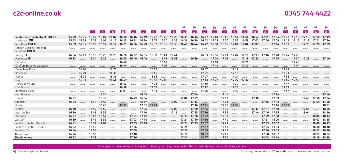|  | 0345 744 4422 |
|--|---------------|
|--|---------------|

|                                  |       |       |             |                |       |       |                |                |                 |                |       | ⊛              | ⊛              | ⊛              | ⊛           | ⊛           | ⊛     | ⊛              | ⊛              | ⊛         | ⊛              | ⊛           | ⊛              | ⊛              | ⊛               | ⊛     |
|----------------------------------|-------|-------|-------------|----------------|-------|-------|----------------|----------------|-----------------|----------------|-------|----------------|----------------|----------------|-------------|-------------|-------|----------------|----------------|-----------|----------------|-------------|----------------|----------------|-----------------|-------|
|                                  |       |       | 8           | 4 <sup>1</sup> | 8     | 8     | 4 <sup>1</sup> | 4 <sup>1</sup> | $\vert 4 \vert$ | 8 <sup>1</sup> | 8     | 4 <sup>1</sup> | $\bullet$      | 4 <sup>1</sup> | -4          | 8           | 4     | 4 <sup>1</sup> | 8 <sup>°</sup> | 8         | 8 <sup>1</sup> | 8           | $\overline{4}$ | 8 <sup>1</sup> | 12 <sup>1</sup> | 8     |
| London Fenchurch Street 23 O     | 1549  | 15.55 | 16 00       | 1604           | 16.07 | 16 10 | 16 16          | 16 19          | 16 22           | 16 25          | 16 28 | 1631           | 16 34          | 1637           | 1640        | 16 45       | 16 51 | 16.54          | 16.57          | 1701      | 1704           | 1707        | 17 10          | 17 13          | 17 16           | 17 19 |
| Limehouse DIR                    | 15 53 | 15 59 | 1605        | 1609           | 16 12 | 16 15 | 16 21          | 16 24          | 16 27           | 16 30          | 1633  |                | 16 36 16 39    |                | 16 42 16 45 | 16 50       |       | 16 56 16 59    | 1702           | 1706      | 1709           | 17 12       | 17 15 17 18    |                | 17 21           | 17 24 |
| West Ham <b>DIR O</b>            | 15 59 | 1605  | 16 10 16 14 |                | 16 17 | 16 21 | 16 26          | 16 29          | 16 32 16 35     |                | 16 38 |                | 1641 1644 1647 |                | 16 50       | 16 55 17 01 |       | 17 04 17 07    |                |           | 17 14 17 17    |             |                | 17 23          | 17 26           | 17 29 |
| London Liverpool Street $\Theta$ |       |       |             |                |       |       |                |                |                 |                |       |                |                |                |             |             |       |                |                |           |                |             |                |                |                 |       |
| Stratford <b>DR</b> $\Theta$     |       |       |             |                |       |       |                |                |                 |                |       |                |                |                |             |             |       |                |                |           |                |             |                |                |                 |       |
| Barking $\Theta$                 | 16 04 | 16 11 | 16 16       | 16 20          | 16 23 | 16 26 | 16 32          | 16 35          | 16 38           | 1641           | 16 44 |                |                | 16 53          |             | 16 56 17 01 | 1707  | 17 10 17 13    |                | 17 16     | 17 20          | 17 24       | 17 26          |                |                 |       |
| Upminster $\Theta$               | 16 13 |       | 16 24       | 16 29          |       | 16 35 | 1640           | 16 44          |                 | 16 49          | 16 53 |                | 16 59          |                | 1704        | 1709        |       | 17 18 17 22    |                |           | 1729           |             | 1734           | 1738           |                 | 1744  |
| Ockendon                         |       |       |             |                |       | 16 40 |                |                |                 | 16 57          |       |                |                |                | 17 10       |             |       | 17 26          |                |           |                |             | 1740           |                |                 |       |
| Chafford Hundred (Lakeside)      |       |       |             |                |       | 16 44 |                |                |                 | 1701           |       |                |                |                | 17 14       |             |       | 1730           |                |           |                |             | 1744           |                |                 |       |
| Dagenham Dock                    |       | 16 16 |             |                | 16 28 |       |                |                | 16 42           |                |       |                |                | 16 57          |             |             | 17 12 |                |                |           |                | 17 29       |                |                |                 |       |
| Rainham                          |       | 16 20 |             |                | 16 31 |       |                |                | 16 46           |                |       |                |                | 1701           |             |             | 17 16 |                |                |           |                | 1733        |                |                |                 |       |
| Purfleet                         |       | 16 25 |             |                | 16 36 |       |                |                | 16 52           |                |       |                |                | 1707           |             |             | 17 21 |                |                |           |                | 1738        |                |                |                 |       |
| Grays                            |       | 16 31 |             |                | 16 44 | 16 49 |                |                | 16 58           | 1708           |       |                |                | 17 13          | 17 22       |             | 17 27 | 1737           |                |           |                | 1744        | 17 50          |                |                 |       |
| Tilbury Town                     |       |       |             |                |       | 16 52 |                |                | 1701            |                |       |                |                | 17 16          |             |             | 1730  |                |                |           |                | 1747        |                |                |                 |       |
| East Tilbury                     |       |       |             |                |       | 16.58 |                |                | 1707            |                |       |                |                | 17 22          |             |             | 1736  |                |                |           |                | 17.53       |                |                |                 |       |
| Stanford-le-Hope                 |       |       |             |                |       | 1701  |                |                | 17 11           |                |       |                |                | 17 26          |             |             | 1740  |                |                |           |                | 1757        |                |                |                 |       |
| West Horndon                     |       |       |             | 16 34          |       |       |                | 16 49          |                 |                |       |                | 1704           |                |             | 17 14       |       |                |                |           | 1734           |             |                |                |                 | 1749  |
| Laindon                          | 16 21 |       |             | 16 39          |       |       | 1649           | 16 54          |                 |                |       | 1704           | 1709           |                |             | 17 19       |       |                | 1730           |           | 1739           |             |                | 1746           | 17.50           | 17.54 |
| Basildon                         | 16 24 |       | 16 34       | 16 42          |       |       |                | 16 57          |                 |                | 1702  |                | 17 13          |                |             | 17 23       |       |                |                | 1735      | 1743           |             |                |                | 1754            | 1758  |
| Pitsea                           |       |       |             | 16 46          |       | 17 11 |                | 1701           | 17 21           |                |       |                |                | 17 16 17 41    |             | 17 26       | 1750  |                |                |           |                | 17 46 18 07 |                |                |                 | 1801  |
| Benfleet                         | 16 30 |       | 16 40       | 16 50          |       |       |                | 1705           |                 |                | 1709  |                |                | 17 20 17 45    |             | 1730        |       |                | 1737           | 1741      | 1750           |             |                | 1754           |                 | 1805  |
| Leigh-on-Sea                     | 16 34 |       | 1645        | 16 55          |       |       |                | 17 10          |                 |                | 17 16 |                |                | 17 25 17 50    |             | 1735        |       |                | 1744           | 1746 1755 |                |             |                | 1801           |                 | 18 10 |
| Chalkwell                        | 16 37 |       | 16 47       | 16 57          |       |       | 1701           | 17 12          |                 |                |       | 17 19          | 17 28          | 17 52          |             | 1738        |       |                |                | 1749      | 1758           |             |                |                | 1804            | 18 13 |
| Westcliff                        | 16 39 |       | 1649        | 16 59          |       |       | 1703           | 17 14          |                 |                |       | 17 21          | 17 30 17 54    |                |             | 1740        |       |                |                | 17 51     | 18 00          |             |                |                | 1807            | 18 15 |
| Southend Central (Arrival)       | 1641  |       |             | 16 52 17 04    |       |       | 1705           | 17 19          |                 |                |       | 17 23          | 17 35 17 57    |                |             | 1742        |       |                |                | 17 53     | 1802           |             |                |                | 1809            | 18 17 |
| Southend Central (Depart)        | 1642  |       | 16 52       |                |       |       | 1706           |                |                 |                |       | 17 24          |                | 1757           |             | 1743        |       |                |                | 1754      | 1803           |             |                |                | 18 10           | 18 18 |
| Southend East                    | 16 44 |       | 16 54       |                |       |       | 1708           |                |                 |                |       | 17 26          |                | 17 59          |             | 1745        |       |                |                | 1756      | 1805           |             |                |                | 18 12 18 20     |       |
| Thorpe Bay                       | 1646  |       | 16 57       |                |       |       | 17 10          |                |                 |                |       | 17 28          |                | 1802           |             | 1747        |       |                |                | 1758      | 1807           |             |                |                | 18 15           | 18 22 |
| Shoeburvness                     | 16.52 |       | 1703        |                |       |       | 17 16          |                |                 |                |       | 1734           |                | 1807           |             | 17 54       |       |                |                | 1803      | 18 14          |             |                |                | 18 19 18 28     |       |

Passengers can arrive earlier at highlighted stations by catching a later service. Please check adjacent columns for these journeys.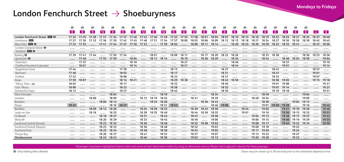#### London Fenchurch Street → Shoeburyness

|                                  | ⊛     | ⊛              | ⊛        | ⊛     | ⊛         | ⊛     | ⊛        | ⊛               | ⊛        | ⊛     | ⊛           | ⊛         | ⊛         | ⊛     | ⊛     | ⊛           | ⊛     | ⊛              | ⊛              | ⊛     | ⊛     | ⊛     | ⊛              | ⊛           |                |                |
|----------------------------------|-------|----------------|----------|-------|-----------|-------|----------|-----------------|----------|-------|-------------|-----------|-----------|-------|-------|-------------|-------|----------------|----------------|-------|-------|-------|----------------|-------------|----------------|----------------|
|                                  | 8     | 8 <sup>1</sup> | <b>8</b> | 12    | 8         | -8    | <b>8</b> | 12 <sup>2</sup> | <b>8</b> | 12    | <b>8</b>    | 8         | 12        | 8     | 12    | $\bullet$   | 8     | 4 <sup>1</sup> | 8 <sup>1</sup> | 8     | 8 I   | -4    | 8 <sup>1</sup> | 8           | 4 <sup>1</sup> | 8 <sup>1</sup> |
| London Fenchurch Street DE +     |       | 17 22 17 25    | 17 28    | 1731  | 1734 1737 |       | 1740     | 1743            | 1746     | 1749  | 17 52 17 55 |           | 1758      | 1801  | 1804  | 1807        | 18 10 | 18 13          | 18 16          | 18 19 | 18 22 | 18 25 | 1831           | 18 34 18 37 |                | 1840           |
| Limehouse DIR                    | 17 27 | 1730           | 1733     | 17 36 | 1739      | 1742  | 1745     | 1748            | 1751     | 17.54 | 17.57       | 1800      | 1803      | 1806  | 1809  | 18 12       | 18 15 | 18 18          | 18 21          | 18 24 | 18 27 | 1830  | 18 36          | 1839        | 1842           | 1845           |
| West Ham <b>DR</b> $\Theta$      | 1732  | 1735           |          | 1741  | 1744      | 1747  | 17 50    | 1753            |          | 17 59 | 1802        |           | 18 08     | 18 11 | 18 14 |             | 18 20 | 18 23          | 18 26          | 18 29 | 1832  | 1835  | 1841           |             | 1847           | 18 50          |
| London Liverpool Street $\Theta$ |       |                |          |       |           |       |          |                 |          |       |             |           |           |       |       |             |       |                |                |       |       |       |                |             |                |                |
| Stratford <b>DR</b> $\Theta$     |       |                |          |       |           |       |          |                 |          |       |             |           |           |       |       |             |       |                |                |       |       |       |                |             |                |                |
| Barking $\Theta$                 | 1739  | 1741           | 1744     |       | 1750      | 1754  |          |                 | 1801     |       | 1809        | 18 11     |           | 18 17 | 18 20 | 18 23       | 18 26 |                |                | 1835  | 1838  |       |                | 18 50       | 18 53          | 18 56          |
| Upminster $\Theta$               |       | 1749           |          | 1755  | 17 59     |       | 1804     |                 | 18 11    | 18 14 |             | 18 19     |           | 18 26 | 18 29 |             | 18 34 |                |                | 1844  |       | 1848  | 18 54          | 18 59       |                | 1904           |
| Ockendon                         |       | 17 57          |          |       |           |       | 18 10    |                 |          |       |             | 18 27     |           |       |       |             | 1840  |                |                |       |       | 18 57 |                |             |                | 19 10          |
| Chafford Hundred (Lakeside)      |       | 18 01          |          |       |           |       | 18 14    |                 |          |       |             | 1831      |           |       |       |             | 1844  |                |                |       |       | 19 01 |                |             |                | 19 14          |
| Dagenham Dock                    | 1744  |                |          |       |           | 1759  |          |                 |          |       | 18 13       |           |           |       |       | 18 27       |       |                |                |       | 1843  |       |                |             | 18 57          |                |
| Rainham                          | 1748  |                |          |       |           | 1803  |          |                 |          |       | 18 17       |           |           |       |       | 1831        |       |                |                |       | 1847  |       |                |             | 1901           |                |
| Purfleet                         | 1753  |                |          |       |           | 1808  |          |                 | .        |       | 18 23       |           |           |       |       | 1837        |       |                |                |       | 1852  |       |                |             | 1907           |                |
| Grays                            | 1759  | 1807           |          |       |           | 18 14 | 18 21    |                 |          |       | 18 29       | 1838      |           |       |       | 18 43       | 18.50 |                |                |       | 1858  | 1905  |                |             | 19 15          | 19 18          |
| Tilbury Town                     | 1802  |                |          |       |           | 18 17 |          |                 |          |       | 1832        |           |           |       |       | 18 46       |       |                |                |       | 1901  | 1908  |                |             |                | 19 21          |
| East Tilbury                     | 1808  |                |          |       |           | 18 23 |          |                 |          |       | 1838        |           |           |       |       | 18 52       |       |                |                |       | 1907  | 19 14 |                |             |                | 19 27          |
| Stanford-le-Hope                 | 18 12 |                |          |       |           | 18 27 |          |                 |          |       | 1842        |           |           |       |       | 18 56       |       |                |                |       | 19 10 | 19 18 |                |             |                | 1931           |
| West Horndon                     |       |                |          |       | 1804      |       |          |                 |          | 18 19 |             |           |           |       | 1834  |             |       |                |                | 1849  |       |       |                | 1904        |                |                |
| Laindon                          |       |                | 18 00    |       | 18 09     |       |          | 18 15           | 18 19    | 18 24 |             | 1.1.1.1.1 | 1831      |       | 1839  |             |       |                | 1848           | 18 54 |       |       |                | 1909        |                |                |
| Basildon                         |       |                |          | 1806  | 18 12     |       |          |                 | 18 23    | 18 28 |             |           | 1.1.1.1.1 | 18 36 | 1843  |             |       |                |                | 18 58 |       |       | 1904           | 19 13       |                |                |
| Pitsea                           | 18 22 |                |          |       | 18 16     | 18 37 |          |                 |          | 1831  | 18 52       |           |           |       |       | 18 46 19 06 |       |                |                | 1901  | 19 20 | 19 28 |                | 19 16       |                | 1942           |
| Benfleet                         |       |                | 1809     | 18 12 | 18 20     |       |          | 18 24           | 18 29    | 1835  |             |           | 18 39     | 1843  | 18.50 |             |       | 18 54          |                | 1905  |       | 19 31 | 19 10          | 19 20       |                | 1946           |
| Leigh-on-Sea                     |       |                | 18 16    |       | 18 25     |       |          | 18 29           | 1835     | 1840  |             |           | 1844      | 18 50 | 18 55 |             |       | 1901           |                | 19 10 |       | 19 36 | 19 15          | 19 25       |                | 19 51          |
| Chalkwell                        |       |                |          | 18 18 | 18 27     |       |          | 1831            |          | 1843  |             |           | 1847      |       | 18 58 |             |       |                | 1904           | 19 13 |       | 1938  | 19 17          | 19 27       |                | 19 53          |
| Westcliff                        |       |                |          | 18 20 | 18 29     |       |          | 1833            |          | 1845  |             |           | 1849      |       | 1900  |             |       |                | 1906           | 19 15 |       | 1940  | 19 19          | 19 29       |                | 19 55          |
| Southend Central (Arrival)       |       | --------       |          | 18 23 | 1832      |       |          | 18 36           |          | 1848  |             |           | 1852      | 1858  | 1902  |             |       |                | 1908           | 19 17 |       | 1944  | 19 22          | 1934        |                | 19 59          |
| Southend Central (Depart)        |       |                |          | 18 23 | 18 32     |       |          | 18 36           |          | 1848  |             |           | 1852      |       | 1903  |             |       |                | 1909           | 19 18 |       |       | 19 22          |             |                |                |
| Southend East                    |       |                |          | 18 25 | 18 34     |       |          | 1838            |          | 18 50 |             |           | 18 54     |       | 1905  |             |       |                | 19 11          | 19 20 |       |       | 19 24          |             |                |                |
| Thorpe Bay                       |       |                |          | 18 28 | 1837      |       |          | 1841            |          | 18 53 |             |           | 18 57     |       | 1907  |             |       |                | 19 13          | 19 22 |       |       | 19 27          |             |                |                |
| Shoeburvness                     |       |                |          | 1833  | 1843      |       |          | 1846            |          | 1858  |             | $\cdots$  | 1902      | .     | 19 13 |             |       |                | 19 20          | 19 28 |       |       | 19 3 3         |             |                |                |

Passengers may leave highlighted stations later and arrive at their destination earlier by using an alternative service. Please check adjacent columns for these journeys.

C Only folding bikes allowed. Doors may be closed up to 30 seconds prior to the advertised departure time.

**Mondays to Fridays**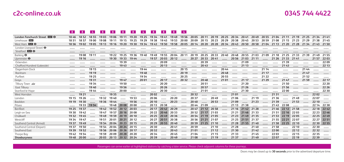**0345 744 4422**

|                                  | 18 I  | 18 I  | - 4   | lö.   | lö.    | 18 I        | 18 I  | $\sim$ 4 | 18 I  | 18 I        | 18 I  | $\frac{1}{4}$ |       |             |             |       |                   |                   |       |       |                                    |                   |       |       |             |       |
|----------------------------------|-------|-------|-------|-------|--------|-------------|-------|----------|-------|-------------|-------|---------------|-------|-------------|-------------|-------|-------------------|-------------------|-------|-------|------------------------------------|-------------------|-------|-------|-------------|-------|
| London Fenchurch Street ELLI O   | 1846  | 18.52 | 18.55 | 1903  | 1906   | 19 11       | 19 20 | 19 25    | 19 34 | 1941        | 1949  | 1956          | 2005  |             | 20 11 20 19 |       | 20 25 20 34 20 41 |                   | 2049  |       | 2055 2104 2111 2119 2125 2134 2141 |                   |       |       |             |       |
| Limehouse DIR                    | 18.51 | 18.57 | 1900  | 1908  | 19 11  | 19 15       | 19 25 | 19 29    | 1938  | 1945        | 19 53 | 20.00         | 2009  | 20 15 20 23 |             | 20 29 | 20 38 20 45 20 53 |                   |       | 20.59 | 21 08 21 15 21 23 21 29            |                   |       |       | 21 38 21 45 |       |
| West Ham <b>DR</b> $\Theta$      | 18 56 | 19 02 | 1905  | 19 13 | 19 16  | 19 20       | 19 30 | 19 34    | 1943  | 19 50       | 1958  | 2005          | 20 14 | 20 20       | 20 28       | 2034  | 2043              | 20 50             | 20 58 | 21 04 | 21 13                              | 21 20             | 21 28 | 2134  | 21 43       | 21 50 |
| London Liverpool Street $\Theta$ |       |       |       |       |        |             |       |          |       |             |       |               |       |             |             |       |                   |                   |       |       |                                    |                   |       |       |             |       |
| Stratford <b>DIR</b> $\Theta$    |       |       |       |       |        |             |       |          |       |             |       |               |       |             |             |       |                   |                   |       |       |                                    |                   |       |       |             |       |
| Barking $\Theta$                 |       | 1908  | 19 11 |       | 19 22  | 19 25       | 1936  | 1940     | 1949  | 1955        | 2004  | 20 11         | 20 19 | 2025        | 2033        | 2040  | 2048              | 20 55 21 03       |       | 21 09 | 21 18                              | 21 25             | 21 33 | 2139  | 2149        | 21 55 |
| Upminster $\Theta$               |       | 19 16 |       |       | 19 30  | 19 33       | 1944  |          | 1957  | 20 03       | 20 12 |               | 20 27 | 20 33       | 2041        |       |                   | 20 56 21 03       | 21 11 |       |                                    | 21 26 21 33 21 41 |       |       | 21 57       | 2203  |
| Ockendon                         |       |       |       |       |        | 1939        |       |          |       | 20 09       |       |               |       | 20 39       |             |       |                   | 21 09             |       |       |                                    | 2139              |       |       |             | 2209  |
| Chafford Hundred (Lakeside)      |       |       |       |       |        | 1943        |       |          |       | 20 13       |       |               |       | 20 43       |             |       |                   | 21 13             |       |       |                                    | 2143              |       |       |             | 22 13 |
| Dagenham Dock                    |       |       | 19 15 |       |        |             |       | 1944     |       |             |       | 20 15         |       |             |             | 2044  |                   |                   |       | 21 14 |                                    |                   |       | 21 44 |             |       |
| Rainham                          |       |       | 19 19 |       |        |             |       | 1948     |       |             |       | 20 19         |       |             |             | 2048  |                   |                   |       | 21 17 |                                    |                   |       | 21 47 |             |       |
| Purfleet                         |       |       | 19 25 |       |        |             |       | 1954     |       |             |       | 20 25         |       |             |             | 20 55 |                   |                   |       | 21 22 |                                    |                   |       | 2152  |             |       |
| Grays                            |       |       | 19 31 |       |        | 1947        |       | 20 01    |       | 20 17       |       | 20 32         |       | 2048        |             | 2101  |                   | 21 17             |       | 21 29 |                                    | 21 47             |       | 21 59 |             | 22 17 |
| Tilbury Town                     |       |       | 19 34 |       |        | 19 50       |       |          |       | 20 20       |       |               |       | 20 51       |             |       |                   | 21 20             |       |       |                                    | 2150              |       |       |             | 22 20 |
| East Tilbury                     |       |       | 1940  |       |        | 19 56       |       |          |       | 20 26       |       |               |       | 20 57       |             |       |                   | 21 26             |       |       |                                    | 21 56             |       |       |             | 22 26 |
| Stanford-le-Hope                 |       |       | 1944  |       |        | 20 00       |       |          |       | 20 30       |       |               |       | 21 01       |             |       |                   | 2130              |       |       |                                    | 22 00             |       |       |             | 22 30 |
| West Horndon                     |       | 19 21 |       |       | 19 3 5 |             |       |          | 20 02 |             |       |               | 20 32 |             |             |       | 21 01             |                   |       |       | 21 31                              |                   |       |       | 22 02       |       |
| Laindon                          | 19 15 | 19 26 |       | 1932  | 19 40  |             | 1953  |          | 2006  |             | 20 20 |               | 2037  |             | 2049        |       | 21 06             |                   | 21 19 |       | 21 36                              |                   | 2149  |       | 22 07       |       |
| Basildon                         | 19 19 | 19 30 |       | 19 36 | 19 44  |             | 1956  |          | 20 10 |             | 20 23 |               | 20 40 |             | 20 53       |       | 21 09             |                   | 21 23 |       | 2139                               |                   | 21 53 |       | 22 10       |       |
| Pitsea                           |       | 1933  | 1954  |       | 1948   | 20 08 20 00 |       |          | 20 13 | 2038        |       |               |       | 2044 2109   |             |       | 21 13 21 38       |                   |       |       | 2143                               | 2208              |       |       | 22 14       | 22 38 |
| Benfleet                         | 19 25 | 19 37 |       | 1942  | 19 52  | 20 12 20 03 |       |          | 20 17 | 2042        | 20 29 |               | 2047  | 21 12       | 20 58       |       | 21 16             | 21 42 21 28       |       |       | 2146                               | 22 12             | 2158  |       | 22 18       | 2242  |
| Leigh-on-Sea                     | 19 30 | 1942  |       | 1947  | 1957   | 20 16 20 08 |       |          | 20 22 | 20 46 20 33 |       |               |       | 20 52 21 17 | 2103        |       |                   | 21 21 21 46 21 33 |       |       | 21 51                              | 22 16 22 03       |       |       | 22 23 22 46 |       |
| Chalkwell                        | 19 32 | 1945  |       | 1949  | 19 59  | 20 19       | 20 10 |          | 20 25 | 2049        | 20 36 |               |       | 20 54 21 19 | 2105        |       | 21 23             | 21 49 21 35       |       |       | 21 53                              | 22 19             | 2205  |       | 22 25       | 2249  |
| Westcliff                        | 1934  | 1947  |       | 1951  | 2001   | 20 21 20 12 |       |          | 20 27 | 20 51       | 2038  |               |       | 20 56 21 21 | 21 07       |       |                   | 21 25 21 51 21 37 |       |       | 21 55                              | 22 21             | 2207  |       | 22 27       | 22 51 |
| Southend Central (Arrival)       | 19 37 | 1949  |       | 19 54 | 2004   | 20 23       | 2015  |          | 20 29 | 20 55       | 2040  |               | 20 59 | 21 25       | 21 10       |       | 21 28             | 21 55 21 40       |       |       | 21 58                              | 22 25             | 22 10 |       | 22 30       | 22 55 |
| Southend Central (Depart)        | 1937  | 1950  |       | 1954  | 2004   | 20 24 20 15 |       |          | 20 30 |             | 2041  |               | 20 59 |             | 21 10       |       | 21 28             |                   | 2140  |       | 21 58                              |                   | 22 10 |       | 22 30       |       |
| Southend East                    | 19 39 | 1952  |       | 19 56 | 2006   | 20 26       | 20 17 |          | 20 32 |             | 2043  |               | 21 01 |             | 21 12       |       | 21 30             |                   | 2142  |       | 2200                               |                   | 22 12 |       | 22 32       |       |
| Thorpe Bay                       | 1942  | 1954  |       | 19 59 | 2009   | 20 28 20 20 |       |          | 20 34 |             | 2045  |               | 21 04 |             | 21 15       |       | 21 33             |                   | 2145  |       | 2203                               |                   | 22 15 |       | 22 35       |       |
| Shoeburyness                     | 1948  | 20 00 |       | 20 03 | 2013   | 20 32 20 24 |       |          | 20 39 |             | 2049  |               | 21 08 |             | 21 19       |       | 2137              |                   | 2149  |       | 2207                               |                   | 22 19 |       | 22 39       |       |

**8 4 8 8 8 8 4 8 8 8 4**

Passengers can arrive earlier at highlighted stations by catching a later service. Please check adjacent columns for these journeys.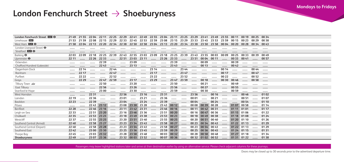#### London Fenchurch Street → Shoeburyness

| London Fenchurch Street <b>DISI O</b> | 2149  | 21.55 |             |                   |             | 22.04 22.11 22.25 22.29 22.41 22.49 22.55 23.04 23.11 23.25 23.29 23.41 23.49 |                   |       |                         |       |                                                 |               |           |                   |       |       | 23 55 00 11 00 19 |       | 00 25 00 34 |       |
|---------------------------------------|-------|-------|-------------|-------------------|-------------|-------------------------------------------------------------------------------|-------------------|-------|-------------------------|-------|-------------------------------------------------|---------------|-----------|-------------------|-------|-------|-------------------|-------|-------------|-------|
| Limehouse DIR                         | 21.53 | 21.59 |             | 22 08 22 15 22 29 |             | 22 33                                                                         |                   |       | 22 45 22 53 22 59 23 08 |       | 23 15 23 29 23 33 23 45 23 53                   |               |           |                   |       | 23 59 | 00 15 00 23       |       | 00 29       | 00 38 |
| West Ham $DB$ $\Theta$                | 21 58 | 22 04 | 22 13 22 20 |                   |             | 22 34 22 38 22 50                                                             |                   |       |                         |       | 22 58 23 04 23 13 23 20 23 34 23 38 23 50 23 58 |               |           |                   |       | 00 04 | 00 20             | 00 28 | 00 34 00 43 |       |
| London Liverpool Street $\Theta$      |       |       |             |                   |             |                                                                               |                   |       |                         |       |                                                 |               |           |                   |       |       |                   |       |             |       |
| Stratford <b>DIR</b> $\Theta$         |       |       |             |                   |             |                                                                               |                   |       |                         |       |                                                 |               |           |                   |       |       |                   |       |             |       |
| Barking $\Theta$                      | 2203  | 22 09 |             | 22 18 22 25 22 39 |             | 22 43 22 55 23 03 23 09                                                       |                   |       |                         |       | 23 18 23 25 23 39 23 43 23 55 00 03             |               |           |                   |       | 00 09 | 00 25 00 33       |       | 00 39       | 00 49 |
| Upminster $\Theta$                    | 22 11 |       | 22 26 22 33 |                   |             | 22 51 23 03                                                                   |                   | 23 11 | .                       | 23 26 | 23 33                                           |               | 23 51     | 00 04 00 11       |       |       | 00 33 00 41       |       |             | 00 57 |
| Ockendon                              |       |       |             | 22 39             |             |                                                                               | 23 09             |       |                         |       | 23 39                                           |               | .         | 00 09             |       |       | 00 39             |       |             |       |
| Chafford Hundred (Lakeside)           |       |       |             | 22 43             |             |                                                                               | 23 13             |       |                         |       | 23 43                                           |               |           | 00 13             |       |       | 00 42             |       |             |       |
| Dagenham Dock                         |       | 22 14 |             |                   | 22 44       |                                                                               |                   |       | 23 14                   |       |                                                 | 23 44         |           |                   |       | 00 14 |                   |       | 00 44       |       |
| Rainham                               |       | 22 17 |             |                   | 2247        |                                                                               |                   |       | 23 17                   |       |                                                 | 23 47         |           |                   |       | 00 17 |                   |       | 00 47       |       |
| Purfleet                              |       | 22 22 |             |                   | 22 52       |                                                                               |                   |       | 23 22                   |       |                                                 | 23 52         |           |                   |       | 00 22 |                   |       | 00 52       |       |
| Grays                                 |       | 22 29 |             | 2247              | 22 59       |                                                                               | 23 17             |       | 2329                    |       | 23 47                                           | 23 59         |           | 00 18             |       | 00 30 | 00 46             |       | 00 58       |       |
| Tilbury Town                          |       |       |             | 22 50             |             |                                                                               | 23 20             |       |                         |       | 23 50                                           |               | 1.1.1.1.1 | 00 21             |       |       | 00 49             |       |             |       |
| East Tilbury                          |       |       |             | 22 56             |             |                                                                               | 23 26             |       |                         |       | 23 56                                           |               | .         | 00 27             |       |       | 00 55             |       |             |       |
| Stanford-le-Hope                      |       |       |             | 23 00             |             |                                                                               | 23 30             |       |                         |       | 23 59                                           |               |           | 00 30             |       |       | 00 59             |       |             |       |
| West Horndon                          |       |       | 22 31       |                   |             | 22.56                                                                         |                   | 23 16 | 1.1.1.1.1               | 23 31 |                                                 | $\cdots$      | 23 56     |                   | 00 16 |       |                   | 00 46 |             | 0102  |
| Laindon                               | 22 19 |       | 22 36       |                   | 1.1.1.1.1.1 | 23 01                                                                         |                   | 23 21 |                         | 23 36 |                                                 |               | 00 01     |                   | 00 21 |       |                   | 00 51 |             | 0107  |
| Basildon                              | 22 23 |       | 2239        |                   |             | 23 04                                                                         |                   | 23 24 |                         | 23 39 | 1.1.1.1.1.1                                     |               | 00 04     |                   | 00 24 |       |                   | 00 54 |             | 01 10 |
| Pitsea                                |       |       |             | 22 43 23 12       |             |                                                                               | 23 08 23 38 23 28 |       |                         |       | 23 43 00 12                                     |               |           | 00 08 00 39 00 28 |       |       | 01 07 00 58       |       |             | 01 14 |
| Benfleet                              | 22 28 |       |             | 22 46 23 16       |             |                                                                               | 23 11 23 42 23 31 |       |                         |       | 23 46 00 16                                     | 1.1.1.1.1.1.1 |           | 00 11 00 42 00 31 |       |       | 01 11 01 01       |       |             | 01 17 |
| Leigh-on-Sea                          | 22 33 |       | 22.51       | 23 20             |             |                                                                               | 23 16 23 46 23 36 |       |                         |       | 23 51 00 20                                     |               |           | 00 16 00 47 00 36 |       |       | 01 15 01 06       |       |             | 01 22 |
| Chalkwell                             | 22 35 |       | 22 53       | 23 23             | 1.1.1.1.1   | 23 18                                                                         | 23 49 23 38       |       |                         | 23 53 | 00 23                                           |               |           | 00 18 00 49 00 38 |       |       | 01 18 01 08       |       |             | 01 24 |
| Westcliff                             | 22 37 |       |             | 22 55 23 25       |             |                                                                               | 23 20 23 51 23 40 |       |                         |       | 23 55 00 25                                     |               |           | 00 20 00 51 00 40 |       |       | 01 20 01 10       |       |             | 01 26 |
| Southend Central (Arrival)            | 2240  |       | 22 58       | 23 27             |             | 23 23                                                                         | 23 54 23 43       |       |                         | 23 58 | 00 27                                           |               |           | 00 23 00 54 00 43 |       |       | 01 22 01 13       |       |             | 01 29 |
| Southend Central (Depart)             | 2240  |       |             | 22 58 23 28       |             |                                                                               | 23 23 23 54 23 43 |       |                         |       | 23 58 00 27                                     |               |           | 00 23 00 54 00 43 |       |       | 01 22 01 13       |       |             | 01 29 |
| Southend East                         | 2242  |       | 23 00       | 23 30             |             | 23 25                                                                         | 23 56             | 23 45 |                         | 23 59 | 00 29                                           |               |           | 00 25 00 56 00 45 |       |       | 01 24 01 15       |       |             | 0131  |
| Thorpe Bay                            | 2245  |       |             | 23 03 23 32       |             |                                                                               | 23 28 23 58 23 48 |       |                         |       | 00 03 00 32                                     |               |           | 00 28 00 58 00 48 |       |       | 01 27 01 18       |       |             | 01 34 |
| Shoeburyness                          | 2249  |       |             | 23 07 23 36       |             |                                                                               | 23 32 00 03 23 52 |       | .                       |       | 00 07 00 36                                     |               |           | 00 32 01 02 00 52 |       |       | 01 31 01 22       |       |             | 01 38 |

Passengers may leave highlighted stations later and arrive at their destination earlier by using an alternative service. Please check adjacent columns for these journeys.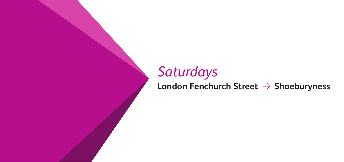# **25 Saturdays**<br> **25 London Fenchurch Street → Shoeburyness**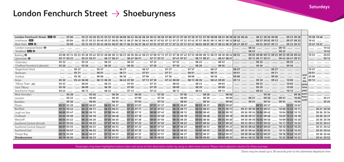**Saturdays**

### London Fenchurch Street → Shoeburyness

| London Fenchurch Street DB O     | 05 23 05 28 05 35 05 53 05 58 06 08 06 23 06 28 06 58 06 53 06 58 07 08 07 23 07 28 07 38 07 53 07 58 08 08 08 08 23 08 28 08 38 08 48<br>$0500$<br>08 53 08 58 09 08 (29 23 09 28       | 19 38 19 48             |
|----------------------------------|------------------------------------------------------------------------------------------------------------------------------------------------------------------------------------------|-------------------------|
| Limehouse DIR                    | 08 57 09 02 09 12  09 27 09 32<br>0504                                                                                                                                                   | 1942                    |
| West Ham $DB$ $\Theta$           |                                                                                                                                                                                          | 19 47 19 57             |
| London Liverpool Street $\Theta$ | 09 15<br>والمستر المستنبين المستنبين المستنبين المستنبين المستنبين المستنبين المستنبين المستنبين المستنبين المستنبين المستنبي                                                            | 1945                    |
| Stratford <b>DIR</b> $\Theta$    | $\sim$ 08.52 $\sim$ 09.22 $\sim$                                                                                                                                                         |                         |
| Barking $\Theta$                 | 05 08 05 14 05 23 05 38 05 42 05 53 06 08 06 12 06 23 06 38 06 42 06 53 07 08 07 12 07 23 07 38 07 42 07 53 08 08 12 08 23 08 38 08 42 08 53 00 12 09 03 09 08 09 12 09 23 09 38 09 42   | 1953 2003               |
| Upminster $\Theta$               | 05 17 05 23  05 47 05 51  06 17 06 21  06 47 06 51  07 17 07 21  07 47 07 51  08 17 08 21  08 47 08 51<br>09 13 09 17 09 21  09 43 09 47 09 51                                           | 2013                    |
| Ockendon                         | 09 22<br>09 52<br>05 22                                                                                                                                                                  | ------- ------- ------- |
| Chafford Hundred (Lakeside)      | 05 26                                                                                                                                                                                    |                         |
| Dagenham Dock                    |                                                                                                                                                                                          |                         |
| Rainham                          | 0531   0601   0631                                                                                                                                                                       | 20 01                   |
| Purfleet                         |                                                                                                                                                                                          |                         |
| Gravs                            | 09 13   09 30  09 43  10 00<br>05 43 06 00  06 13 06 30  06 43 07 00  07 13 07 30  07 43 08 00  08 13 08 30  08 43 09 00<br>the                                                          | 2013                    |
| Tilbury Town                     | 09 33<br>10 03<br>0533<br>same                                                                                                                                                           |                         |
| East Tilbury                     | 0709<br>08 39   09 09<br>0639<br>09 39<br>time<br>0539<br>$\cdots$                                                                                                                       |                         |
| Stanford-le-Hope                 | ________________06 13 ________________06 43 ______________07 13 ______________07 43 _______________08 13 _____________08 43 ____________09 13 ________<br>09 43   10 13    past<br>0543  |                         |
| West Horndon                     | 09 56 each<br>______ ______ 05 56 _____ ______ 06 26 _____ _____ 06 56 _____ ______ 07 26 _____ _______ 07 56 _____ ________ 08 26 ______ ______ 08 56 ______ ___________<br>$\sim 0528$ |                         |
| Laindon                          | 07 00 ستة بالدول من السنة 09 09 سنة 09 00 سنة من 21 09 00 سنة السنة 08 30 سنة السنة 08 00 سنة السنة 07 07 سنة السنة 07 00 07 00 00 سنة<br>06 00<br>06 30<br>$0532$ $\ldots$              | $\sim 20.21$            |
| Basildon                         | _____ _____ 06 34 _____ _____ 07 04 ______ _____ 07 34 ______ ____ 08 04 ______ _____ 08 34 ______ ____ 09 04 ______ ____ 09 24 ______ 09 34 ______ 09 54 ______ 10 04<br>$0536$ $0604$  | 20.24                   |
| Pitsea                           | 05 51 05 39  06 21 06 07  06 51 06 37  07 21 07 07  07 51 07 37  08 21 08 07  08 51 08 37  09 21 09 07<br>09 51 09 37   10 21 10 07                                                      |                         |
| Benfleet                         | 06 55 06 41  07 25 07 11  07 55 07 41  08 25 08 11  08 55 08 41  09 25 09 11<br>06 25 06 11<br>09 21 09 30 09 55 09 41  10 00 10 25 10 11<br>05 55 05 43                                 | 20 21 20 30             |
| Leigh-on-Sea                     | 07 00 06 45  07 30 07 15  08 00 07 45<br>08 30 08 15  09 00 08 45<br>09 30 09 15<br>06 30 06 15<br>09 26 09 34 10 00 09 45  10 04 10 30 10 15<br>06 00 05 47                             | 20 26 20 34             |
| Chalkwell                        | 06 02 05 50  06 32 06 18  07 02 06 48  07 32 07 18  08 02 07 48  08 32 08 18  09 02 08 48<br>09 32 09 18  09 28 09 37 10 02 09 48  10 07 10 32 10 18                                     | 20 28 20 37             |
| Westcliff                        | 07 34 07 20  08 04 07 50<br>08 34 08 20<br>09 04 08 50<br>$\ldots$ 09 34 09 20 $\ldots$<br>06 34 06 20<br>07 04 06 50<br>09 30 09 39 10 04 09 50<br>10 09 10 34 10 20<br>06 04 05 52     | 20 30 20 39             |
| Southend Central (Arrival)       | 06 07 05 54  06 37 06 22  07 07 06 52  07 37 07 22  08 07 07 52  08 37 08 22  09 07 08 52  09 37 09 22<br>09 33 09 41 10 07 09 52<br>10 11 10 37 10 22                                   | 20 33 20 41             |
| Southend Central (Depart)        | 09 37 09 23<br>07 37 07 23  08 07 07 53<br>08 37 08 23<br>09 07 08 53<br>07 07 06 53<br>06 37 06 23<br>09 33 09 42 10 07 09 53<br>10 12 10 37 10 23<br>06 07 05 55                       | 20 33 20 42             |
| Southend East                    | 07 09 06 55<br>07 39 07 25  08 09 07 55<br>08 39 08 25  09 09 08 55<br>$\ldots$ 09 39 09 25<br>0639 06 25<br>09 35 09 44 10 09 09 55  10 14 10 39 10 25<br>06 09 05 57                   | 20 35 20 44             |
| Thorpe Bay                       | 06 42 06 27<br>07 12 06 57<br>07 42 07 27<br>08 12 07 57<br>08 42 08 27  09 12 08 57<br>09 42 09 27<br>09 38 09 46 10 12 09 57<br>10 16 10 42 10 27<br>06 12 05 59<br>$\cdots$           | 20 38 20 46             |
| Shoeburyness                     | 06 19 06 05  06 49 06 33  07 19 07 03  07 49 07 33  08 19 08 03  08 49 08 33  09 19 09 03<br>$\ldots$ 09 49 09 33<br>09 44 09 52 10 19 10 03  10 22 10 49 10 33                          | 20 44 20 52             |

Passengers may leave highlighted stations later and arrive at their destination earlier by using an alternative service. Please check adjacent columns for these journeys.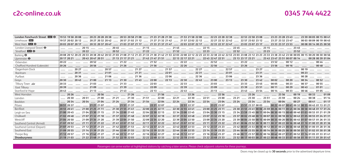#### **0345 744 4422**

| London Fenchurch Street EL +     | 1953 1958 2008 ……… 2023 2028 2038 ……. 2053 2058 2108 ……… 2123 2128 2138 ……… 2153 2158 2208 ……… 2223 2228 2238 ……… 2253 2258 2308 ……… 2323 23 28 23 343 ……… 2359 00 05 00 15 00 41                                                              |
|----------------------------------|------------------------------------------------------------------------------------------------------------------------------------------------------------------------------------------------------------------------------------------------|
| Limehouse DIR                    | 19 57 20 02 20 12 ……. 20 27 20 32 20 42 …… 20 57 21 02 21 12 …… 21 27 21 32 21 42 …… 21 57 22 02 22 12 ……. 22 27 22 32 22 42 …… 22 57 23 02 23 12 …… 23 27 23 32 23 47 …… 00 03 00 09 00 19 00 45                                              |
| West Ham <b>DIR O</b>            | 2003 2007 2017  2033 2037 2047  2103 2107 2117  2133 2137 2147  2203 2207 2217  22 33 2237 2247  23 33 23 37 23 33 23 37 23 53  0008 0014 00 25 00 50                                                                                          |
| London Liverpool Street $\Theta$ |                                                                                                                                                                                                                                                |
| Stratford <b>DIR</b> $\Theta$    |                                                                                                                                                                                                                                                |
| Barking $\Theta$                 | 20 08 20 12 20 23 20 33 20 38 20 42 20 53 21 03 21 08 21 12 21 23 21 33 21 38 21 42 21 53 22 03 22 08 22 12 22 23 22 33 22 38 22 42 22 53 23 03 23 03 23 32 33 23 38 23 42 23 58 00 05 00 15 00 20 00 30 00 56                                 |
| Upminster $\Theta$               |                                                                                                                                                                                                                                                |
| Ockendon                         |                                                                                                                                                                                                                                                |
| Chafford Hundred (Lakeside)      |                                                                                                                                                                                                                                                |
| Dagenham Dock                    |                                                                                                                                                                                                                                                |
| Rainham                          | _____ _____ 2031 _____ ______ 2101 _____ _____ 2131 _____ _____ 2201 _____ _____ 2231 _____ _____ 2301 _____ _____ 2331 _____ _____ 2331 _____ _____ _____ 0023 _____ _____ ______                                                             |
| Purfleet                         | _____ _____ 2036 _____ ______ _____ 2106 _____ ______ _____ 2136 _____ ______ 2206 _____ ______ 2236 _____ _____ _____ 2336 _____ _____ 2336 _____ _____ _____ _____ _____ 0028 _____ ___                                                      |
| Gravs                            |                                                                                                                                                                                                                                                |
| Tilbury Town                     | 20 33                                                                                                                                                                                                                                          |
| East Tilbury                     | 2039                                                                                                                                                                                                                                           |
| Stanford-le-Hope                 |                                                                                                                                                                                                                                                |
| West Horndon                     |                                                                                                                                                                                                                                                |
| Laindon                          |                                                                                                                                                                                                                                                |
| Basildon                         | .20 ] 20 ] 20 ] 20 ] 20 [  21 24  21 34  21 34  21 34  22 24  22 34  23 34  23 34  23 54  00 04  00 07  00 41  01                                                                                                                              |
| Pitsea                           |                                                                                                                                                                                                                                                |
| Benfleet                         | 20 20 23 23 24 24 26 27 28 29 30 21 25 27 30 21 25 27 41 22 30 22 25 27 41 22 30 22 25 27 44 23 30 23 25 23 41 23 30 23 35 23 41 00 06 23 59 00 26 00 11 00 45 00 36 00 58 00 48 01 17 01 24                                                   |
| Leigh-on-Sea                     | 21 21 20 20 45  21 24 21 30 21 15  21 34 22 00 21 45  22 04 22 30 22 15  22 34 23 00 22 45  23 34 23 39 23 15  23 34 23 59 23 45 00 11 00 04 00 30 00 15 00 49 00 40 01 03 00                                                                  |
| Chalkwell                        | 21 37 22 02 21 48 20 27 37 22 23 23 24 24 25 26 20 27 28 27 28 27 28 27 28 27 28 27 28 27 28 27 28 27 28 27 28 27 28 27 28 27 28 27 28 27 28 27 28 27 28 27 28 27 28 27 28 27 28 27 28 27 28 27 28 27 28 27 28 27 28 27 28 27 2<br>21 02 20 48 |
| Westcliff                        | 21 04 20 50  21 09 21 34 21 20  21 39 22 04 21 50  22 09 22 34 22 20  22 39 23 04 22 50<br>23 09 23 34 23 20<br>23 39 00 04 23 50 00 15 00 09 00 35 00 20 00 54 00 45 01 07 00 57 01 26 01 33                                                  |
| Southend Central (Arrival)       | 21 07 20 52 21 11 21 37 21 22 22 24 24 27 27 52 27 27 37 27 22 22 22 23<br>22 41 23 07 22 52 23 11 23 37 23 22 23 41 00 06 23 52 00 18 00 11 00 37 00 22 00 56 00 48 01 10 01 00 01 28 01 36                                                   |
| Southend Central (Depart)        | 23 12 23 37 23 23<br>21 07 20 53  21 12 21 37 21 23  21 42 22 07 21 53  22 12 22 37 22 23<br>22 42 23 07 22 53<br>23 42 00 07 23 53 00 18 00 12 00 37 00 23 00 56 00 48 01 10 01 00 01 28 01 36                                                |
| Southend East                    | 21 09 20 55                                                                                                                                                                                                                                    |
| Thorpe Bay                       | 22 46 23 12 22 57  23 16 23 42 23 27<br>21 12 20 57  21 16 21 42 21 27  21 46 22 12 21 57  22 16 22 42 22 27<br>23 46 00 11 23 57 00 22 00 16 00 42 00 27 01 01 00 52 01 14 01 05 01 33 01 41                                                  |
| Shoeburyness                     | 21 19 21 03  21 22 21 49 21 33  21 52 22 19 22 03  22 22 22 49 22 33  22 52 23 19 23 03  23 22 23 49 23 33  23 52 00 17 00 03 00 27 00 03 00 27 00 28 00 13 00 107 00 58 01 19                                                                 |

Passengers can arrive earlier at highlighted stations by catching a later service. Please check adjacent columns for these journeys.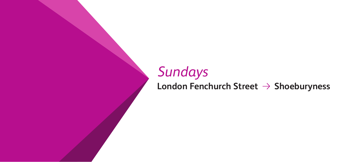# *Sundays* **London Fenchurch Street → Shoeburyness**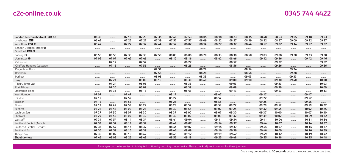|  | 0345 744 4422 |
|--|---------------|
|--|---------------|

| London Fenchurch Street DE O     | 06 38 |       | 07 18 | 07 23 | 0735  | 0748  | 07 53 | 08 05 | 08 18 | 08 23 | 08 35 | 08 48 | 08 53 | 09 05 | 09 18 | 09 23 |
|----------------------------------|-------|-------|-------|-------|-------|-------|-------|-------|-------|-------|-------|-------|-------|-------|-------|-------|
| Limehouse DIR                    | 06 42 |       | 07 22 | 07 27 | 0739  | 0752  | 07 57 | 08 09 | 08 22 | 08 27 | 08 39 | 08 52 | 08 57 | 09 09 | 09 22 | 09 27 |
| West Ham <b>DIG +</b>            | 06 47 |       | 07 27 | 0732  | 07 44 | 07 57 | 08 02 | 08 14 | 08 27 | 08 32 | 08 44 | 08 57 | 09 02 | 09 14 | 09 27 | 09 32 |
| London Liverpool Street $\Theta$ |       |       |       |       |       |       |       |       |       |       |       |       |       |       |       |       |
| Stratford <b>DIR</b> $\Theta$    |       |       |       |       |       |       |       |       |       |       |       |       |       |       |       |       |
| Barking $\Theta$                 | 06 53 | 06 58 | 0733  | 0738  | 0750  | 08 03 | 08 08 | 08 20 | 08 33 | 08 38 | 08 50 | 09 03 | 09 08 | 09 20 | 09 33 | 09 38 |
| Upminster $\Theta$               | 0702  | 0707  | 0742  | 0746  |       | 08 12 | 08 16 |       | 08 42 | 08 46 |       | 09 12 | 09 16 |       | 09 42 | 09 46 |
| Ockendon                         |       | 07 12 |       | 0752  |       |       | 08 22 |       |       | 08 52 |       |       | 09 22 |       |       | 09 52 |
| Chafford Hundred (Lakeside)      |       | 07 16 |       | 07 56 |       |       | 08 26 |       |       | 08 56 |       |       | 09 26 |       |       | 09 56 |
| Dagenham Dock                    |       |       |       |       | 07 54 |       |       | 08 24 |       |       | 08 54 |       |       | 09 24 |       |       |
| Rainham                          |       |       |       |       | 0758  |       |       | 08 28 |       |       | 08 58 |       |       | 09 28 |       |       |
| Purfleet                         |       |       |       |       | 08 03 |       |       | 08 33 |       |       | 09 03 |       |       | 09 33 |       |       |
| Grays                            |       | 07 21 |       | 08 00 | 08 10 |       | 08 30 | 08 40 |       | 09 00 | 09 10 |       | 09 30 | 09 40 |       | 10 00 |
| Tilbury Town                     |       | 07 24 |       | 08 03 |       |       | 08 33 |       |       | 09 03 |       |       | 09 33 |       |       | 1003  |
| East Tilbury                     |       | 07 30 |       | 08 09 |       |       | 08 39 |       |       | 09 09 |       |       | 09 39 |       |       | 1009  |
| Stanford-le-Hope                 |       | 0733  |       | 08 13 |       |       | 08 43 |       |       | 09 13 |       |       | 0943  |       |       | 10 13 |
| West Horndon                     | 07 07 |       | 0747  |       |       | 08 17 |       |       | 08 47 |       |       | 09 17 |       |       | 09 47 |       |
| Laindon                          | 07 12 |       | 0752  |       |       | 08 22 |       |       | 08 52 |       |       | 09 22 |       |       | 09 52 |       |
| Basildon                         | 07 15 |       | 07 55 |       |       | 08 25 |       |       | 08 55 |       |       | 09 25 |       |       | 09 55 |       |
| Pitsea                           | 07 19 | 0742  | 07 59 | 08 22 |       | 08 29 | 08 52 |       | 08 59 | 09 22 |       | 09 29 | 09 52 |       | 09 59 | 10 22 |
| Benfleet                         | 07 22 | 0745  | 08 02 | 08 25 |       | 08 32 | 08 55 |       | 09 02 | 09 25 |       | 09 32 | 09 55 |       | 1002  | 1025  |
| Leigh-on-Sea                     | 07 27 | 07 50 | 08 07 | 08 30 |       | 08 37 | 09 00 |       | 09 07 | 09 30 |       | 09 37 | 1000  |       | 1007  | 10 30 |
| Chalkwell                        | 07 29 | 0752  | 08 09 | 08 32 |       | 08 39 | 09 02 |       | 09 09 | 09 32 |       | 09 39 | 1002  |       | 1009  | 10 32 |
| Westcliff                        | 0731  | 07 54 | 08 11 | 08 34 |       | 08 41 | 09 04 |       | 09 11 | 09 34 |       | 09 41 | 1004  |       | 10 11 | 10 34 |
| Southend Central (Arrival)       | 07 34 | 07 57 | 08 14 | 08 37 |       | 08 44 | 09 07 |       | 09 14 | 09 37 |       | 09 44 | 1007  |       | 10 14 | 1037  |
| Southend Central (Depart)        | 0734  | 07 57 | 08 14 | 08 37 |       | 08 44 | 09 07 |       | 09 14 | 09 37 |       | 09 44 | 10 07 |       | 10 14 | 1037  |
| Southend East                    | 07 36 | 07 59 | 08 16 | 08 39 |       | 08 46 | 09 09 |       | 09 16 | 09 39 |       | 09 46 | 1009  |       | 10 16 | 1039  |
| Thorpe Bay                       | 0739  | 08 02 | 08 19 | 08 42 |       | 08 49 | 09 12 |       | 09 19 | 0942  |       | 0949  | 10 12 |       | 10 19 | 1042  |
| Shoeburvness                     | 0745  | 08 08 | 08 25 | 08 48 |       | 08 55 | 09 18 |       | 09 25 | 0948  |       | 09 55 | 10 18 |       | 10 25 | 1048  |

Passengers can arrive earlier at highlighted stations by catching a later service. Please check adjacent columns for these journeys.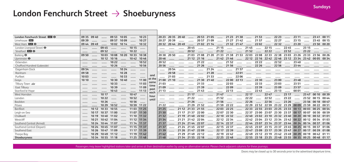#### **Sundays**

### London Fenchurch Street → Shoeburyness

| London Fenchurch Street <b>DE</b> O |       | 09 35 09 40 |                   | 09 53 10 05       |           |             | 10 23 |               |             | 20 23 20 35 20 40 |       |                   |                                                                                           | 20 53 21 05 | .           | 21 23 21 38   |       |       | 21 53 |                   | 22 23                                                 |                               | 23 11 |       | 23 41 00 11       |       |
|-------------------------------------|-------|-------------|-------------------|-------------------|-----------|-------------|-------|---------------|-------------|-------------------|-------|-------------------|-------------------------------------------------------------------------------------------|-------------|-------------|---------------|-------|-------|-------|-------------------|-------------------------------------------------------|-------------------------------|-------|-------|-------------------|-------|
| Limehouse DIR                       | 09 39 |             |                   | 09 57             | 1009      |             | 10 27 |               | 20 27       | 2039              |       |                   | 20 57 21 09                                                                               |             |             | 21 27 21 42   |       |       | 2157  |                   | 22 27                                                 |                               | 23 15 |       | 23 45 00 15       |       |
| West Ham <b>DIR O</b>               | 09 44 | 09 49       |                   | 10 02             | 10 14     |             | 10 32 |               | 20 32 20 44 |                   | 2049  |                   | 21 02 21 14                                                                               |             | .           | 21 32 21 47   |       |       | 2202  |                   | 22 32                                                 |                               | 23 20 |       | 23 50 00 20       |       |
| London Liverpool Street $\Theta$    |       |             | 09 45             |                   |           | 10 15       |       |               |             |                   |       | 2045              |                                                                                           |             | 21 15       |               |       | 21 45 |       | 22 15             |                                                       | 2245                          |       | 23 15 |                   |       |
| Stratford <b>DIR</b> $\Theta$       |       |             | 09 52             |                   |           | 10 22       |       |               |             |                   |       | 20 52             |                                                                                           |             | 21 22       |               |       | 21 52 |       | 22 22             |                                                       | 22 52                         |       | 23 22 |                   |       |
| Barking $\Theta$                    | 09 50 |             | 10 03             | 1008              | 10 20     | 10 33       | 10 38 |               |             | 20 38 20 50       |       |                   | 21 03 21 08 21 20 21 33 21 38 21 53 22 03 22 08 22 33 22 38 23 03 23 26 23 33 23 56 00 26 |             |             |               |       |       |       |                   |                                                       |                               |       |       |                   |       |
| Upminster $\Theta$                  |       |             | 10 12             | 10 16             |           | 1042        | 1046  |               | 2046        |                   |       |                   | 21 12 21 16                                                                               |             | $2142$ 2146 |               |       |       |       |                   | 22 12 22 16 22 42 22 46 23 12 23 34 23 42 00 05 00 34 |                               |       |       |                   |       |
| Ockendon                            |       |             |                   | 10 22             |           |             | 10 52 |               | 20 52       |                   |       |                   | 21 22                                                                                     |             |             | 21 52         |       |       | 22 22 |                   | 22 52                                                 |                               | 23 40 |       |                   |       |
| Chafford Hundred (Lakeside)         |       |             |                   | 10 26             |           | .           | 10 56 |               | 20 56       |                   |       |                   | 21 26                                                                                     |             | $\cdots$    | 21 56         |       |       | 22 26 | .                 | 22 56                                                 |                               | 23 44 |       |                   |       |
| Dagenham Dock                       | 09 54 |             |                   |                   | 10 24     |             |       |               |             | 20 54             |       |                   |                                                                                           | 21 24       |             |               | 2157  |       |       |                   |                                                       |                               |       |       |                   |       |
| Rainham                             | 09 58 |             |                   |                   | 10 28     |             |       |               |             | 2058              |       |                   |                                                                                           | 21 28       |             | 1.1.1.1.1.1.1 | 2201  |       |       |                   |                                                       |                               |       |       |                   |       |
| Purfleet                            | 1003  |             |                   |                   | 10 33     |             |       | and<br>at the |             | 2103              |       |                   |                                                                                           | 21 33       |             |               | 2206  |       |       |                   |                                                       |                               |       |       |                   |       |
| Grays                               | 10 10 |             |                   | 10 30             | 1040      |             | 11 00 | same          |             | 21 00 21 10       |       |                   |                                                                                           | 21 30 21 40 |             | 22.00         | 22 13 |       | 22 30 |                   | 23 00                                                 |                               | 23 48 |       |                   |       |
| Tilbury Town                        |       |             |                   | 10 33             |           |             | 1103  | time          | 2103        |                   |       |                   | 21 33                                                                                     |             |             | 22 03         |       |       | 22 33 |                   | 23 03                                                 |                               | 23 51 |       |                   |       |
| East Tilbury                        |       |             |                   | 10 39             |           |             | 1109  | past          | 21 09       |                   |       |                   | 2139                                                                                      |             |             | 22 09         |       |       | 22 39 |                   | 23 09                                                 |                               | 23 57 |       |                   |       |
| Stanford-le-Hope                    |       |             |                   | 1043              |           |             | 11 13 | each          | 21 13       |                   |       |                   | 2143                                                                                      |             |             | 22 13         |       |       | 22 43 |                   | 23 13                                                 |                               | 00 01 |       |                   |       |
| West Horndon                        |       |             | 10 17             |                   |           | 1047        |       | hour          |             |                   |       | 21 17             |                                                                                           |             | 21 47       |               |       | 22 17 |       | 22 47             |                                                       | 23 17                         |       | 23 47 | 00 10             | 00 39 |
| Laindon                             |       |             | 10 22             |                   |           | 1052        |       | until         |             |                   |       | 21 22             |                                                                                           |             | 21 52       |               |       | 22 22 |       | 22 52             |                                                       | 23 22                         |       |       | 23 52 00 15 00 44 |       |
| Basildon                            |       |             | 10 26             |                   |           | 10 56       |       |               |             |                   |       | 21 26             |                                                                                           |             | 21 56       |               |       | 22 26 |       | 22 56             |                                                       | 23 26                         |       | 23 56 | 00 18 00 47       |       |
| Pitsea                              |       |             | 10 29             | 10 52             |           | 10 59       | 11 22 |               | 21 22       |                   |       |                   | 21 29 21 52                                                                               |             |             | 21 59 22 22   |       | 22 29 |       | 22 52 22 59       | 23 22                                                 | 23 29 00 09 23 59 00 22 00 51 |       |       |                   |       |
| Benfleet                            |       | 10 12       | 10 33             | 1055              |           | 1103        | 11 25 |               | 21 25       |                   | 21 12 |                   | 21 33 21 55                                                                               |             |             | 22 03 22 25   |       | 22 33 |       | 22 55 23 03       | 23 25 23 33 00 13 00 03                               |                               |       |       | 00 25             | 00 54 |
| Leigh-on-Sea                        |       | 10 17       | 10 37 11 00       |                   |           | 1107        | 11 30 |               | 21 30       |                   | 21 17 |                   | 21 37 22 00                                                                               |             |             | 22 07 22 30   |       | 22 37 |       | 23 00 23 07       | 23 30 23 37 00 17 00 07                               |                               |       |       | 00 30 00 59       |       |
| Chalkwell                           |       | 10 19       | 10 40 11 02       |                   |           | 11 10 11 32 |       |               | 21 32       |                   |       |                   | 21 19 21 40 22 02                                                                         |             |             | 22 10 22 32   |       | 22 40 |       | 23 02 23 10       | 23 32 23 40 00 20 00 10                               |                               |       |       | 00 32 01 01       |       |
| Westcliff                           |       | 10 21       | 10 42 11 04       |                   |           | 11 12 11 34 |       |               | 21 34       |                   | 21 21 |                   | 21 42 22 04                                                                               |             |             | 22 12 22 34   |       |       |       | 22 42 23 04 23 12 | 23 34 23 42 00 22 00 12 00 34 01 03                   |                               |       |       |                   |       |
| Southend Central (Arrival)          |       |             | 10 24 10 44 11 07 |                   | 1.1.1.1.1 | 11 14 11 37 |       |               | 21 37       |                   |       |                   | 21 24 21 44 22 07                                                                         |             |             | 22 14 22 37   |       |       |       |                   | 22 44 23 07 23 14 23 37 23 44 00 24 00 14 00 37 01 06 |                               |       |       |                   |       |
| Southend Central (Depart)           |       | 10 24       |                   | 10 45 11 07       |           | 11 15 11 37 |       |               | 21 37       |                   | 21 24 |                   | 21 45 22 07                                                                               |             |             | 22 15 22 37   |       | 22 45 | 23 07 |                   | 23 15 23 37 23 45 00 25 00 15 00 37 01 06             |                               |       |       |                   |       |
| Southend East                       |       | 10 26       | 10 47 11 09       |                   |           | 11 17 11 39 |       |               | 21 39       |                   |       | 21 26 21 47 22 09 |                                                                                           |             |             | 22 17 22 39   |       |       |       |                   | 22 47 23 09 23 17 23 39 23 47 00 27 00 17             |                               |       |       | 00 39             | 01 08 |
| Thorpe Bay                          |       | 10 29       | 1049              | 11 12             |           | 11 19 11 42 |       |               | 2142        |                   | 21 29 | 2149              | 22 12                                                                                     |             |             | 22 19 22 42   |       | 2249  |       | 23 12 23 19       | 23 42 23 49 00 29 00 19                               |                               |       |       | 00 42 01 11       |       |
| Shoeburyness                        |       |             |                   | 10 34 10 55 11 18 | .         | 11 25 11 48 |       |               | 2148        |                   |       |                   | 21 34 21 55 22 18                                                                         |             |             | 22 25 22 48   |       |       |       |                   | 22 55 23 18 23 25 23 48 23 55 00 35 00 25 00 48 01 17 |                               |       |       |                   |       |

Passengers may leave highlighted stations later and arrive at their destination earlier by using an alternative service. Please check adjacent columns for these journeys.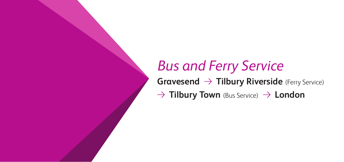## *Bus and Ferry Service* **Gravesend**  $\rightarrow$  **Tilbury Riverside** (Ferry Service)  $\rightarrow$  **Tilbury Town** (Bus Service)  $\rightarrow$  **London**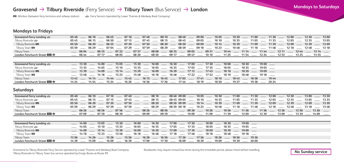#### **Gravesend → Tilbury Riverside** (Ferry Service) → Tilbury Town (Bus Service) → London

b Minibus (between ferry terminus and railway station) <sup>f</sup> Ferry Service (operated by Lower Thames & Medway Boat Company)

#### **Mondays to Fridays**

| Gravesend Ferry Landing                              |                                                                                                                        |                                                                                           |      |       |                                                                                                                     |                  |      |       |                                          |       |                                         |       |      |              |                     |                  |       |              |       |                                                              |      |                                                          | 06 10  06 45  07 10  07 40  08 10  08 40  09 00  10 05  11 00  11 30  12 00  12 30  13 00 |       |       |
|------------------------------------------------------|------------------------------------------------------------------------------------------------------------------------|-------------------------------------------------------------------------------------------|------|-------|---------------------------------------------------------------------------------------------------------------------|------------------|------|-------|------------------------------------------|-------|-----------------------------------------|-------|------|--------------|---------------------|------------------|-------|--------------|-------|--------------------------------------------------------------|------|----------------------------------------------------------|-------------------------------------------------------------------------------------------|-------|-------|
| Tilbury Riverside                                    | 05 45                                                                                                                  | 06 15                                                                                     |      | 06 50 | 07 15                                                                                                               |                  |      | 0745  |                                          | 08 15 | 08 45                                   |       |      | 09 05  10 10 |                     | 1035  1105  1135 |       |              |       |                                                              | 1205 | .                                                        | 1235                                                                                      |       | 1305  |
| Tilbury Riverside (四                                 | 05 50                                                                                                                  | 06 20                                                                                     |      |       | 06 55 ……… 07 20 ……… 07 50 ……… 08 20 ……… 08 50 ……… 09 09 ……… 10 14 ……… 10 39 ……… 11 09 ……… 11 39 ……… 12 09 ……… 12 39 |                  |      |       |                                          |       |                                         |       |      |              |                     |                  |       |              |       |                                                              |      |                                                          |                                                                                           | 1309  |       |
| Tilbury Town 吗                                       |                                                                                                                        | 06 29                                                                                     |      |       | 07 04  07 29                                                                                                        |                  |      | 07 59 | 08 29                                    |       | 08 59  09 18  10 23                     |       |      |              |                     |                  |       |              |       |                                                              |      | 1048  1118  1148  1218  1248                             |                                                                                           | 13 18 |       |
| <b>Tilbury Town</b>                                  | 0604  0635  0722  0737  0808  0835  0905  0931  1044  1114  1144  1211  1244  1314                                     |                                                                                           |      |       |                                                                                                                     |                  |      |       |                                          |       |                                         |       |      |              |                     |                  |       |              |       |                                                              |      |                                                          |                                                                                           |       |       |
| London Fenchurch Street DRI O                        | 0717  0805  0820  0850  0917  0947  1125  11125  11224  1223  1325  1335                                               |                                                                                           |      |       |                                                                                                                     |                  |      |       |                                          |       |                                         |       |      |              |                     |                  |       |              |       |                                                              |      |                                                          |                                                                                           |       |       |
|                                                      |                                                                                                                        |                                                                                           |      |       |                                                                                                                     |                  |      |       |                                          |       |                                         |       |      |              |                     |                  |       |              |       |                                                              |      |                                                          |                                                                                           |       |       |
| Gravesend Ferry Landing                              |                                                                                                                        | 13 30  14 00  15 05  15 30                                                                |      |       |                                                                                                                     |                  |      |       | 16 00                                    |       | 1630  1700  1730  1800                  |       |      |              |                     |                  |       | 18 30  19 00 |       |                                                              |      |                                                          |                                                                                           |       |       |
| Tilbury Riverside                                    | 1335                                                                                                                   |                                                                                           | 1405 |       | 15 10                                                                                                               |                  | 1535 |       | 1605  1635  1705  1735  1805  1835  1905 |       |                                         |       |      |              |                     |                  |       |              |       |                                                              |      |                                                          |                                                                                           |       |       |
| Tilbury Riverside (四                                 | 1339  1409  1514  1539  1609  1639  1713  1743  1810  1839  1909                                                       |                                                                                           |      |       |                                                                                                                     |                  |      |       |                                          |       |                                         |       |      |              |                     |                  |       |              |       |                                                              |      |                                                          |                                                                                           |       |       |
| Tilbury Town 吗                                       | 1348                                                                                                                   |                                                                                           |      |       | 1418  1523  1548  1618  1648  1722  1752  1819  1848  1918                                                          |                  |      |       |                                          |       |                                         |       |      |              |                     |                  |       |              |       |                                                              |      |                                                          |                                                                                           |       |       |
| <b>Tilbury Town</b>                                  | 1343  1414  1444  1543  1615  1645  1705  1741  1810  1843  1858  1944                                                 |                                                                                           |      |       |                                                                                                                     |                  |      |       |                                          |       |                                         |       |      |              |                     |                  |       |              |       |                                                              |      |                                                          |                                                                                           |       |       |
| London Fenchurch Street DRI O                        | 14 24 ……… 14 54 ……… 15 24 ……… 16 26 ……… 16 56 ……… 17 26 ……… 17 44 ……… 18 19 ……… 18 50 ……… 19 27 ……… 19 38 ……… 20 24    |                                                                                           |      |       |                                                                                                                     |                  |      |       |                                          |       |                                         |       |      |              |                     |                  |       |              |       |                                                              |      |                                                          |                                                                                           |       |       |
|                                                      |                                                                                                                        |                                                                                           |      |       |                                                                                                                     |                  |      |       |                                          |       |                                         |       |      |              |                     |                  |       |              |       |                                                              |      |                                                          |                                                                                           |       |       |
| Saturdays                                            |                                                                                                                        |                                                                                           |      |       |                                                                                                                     |                  |      |       |                                          |       |                                         |       |      |              |                     |                  |       |              |       |                                                              |      |                                                          |                                                                                           |       |       |
| Gravesend Ferry Landing                              | $0540$                                                                                                                 | $0610$                                                                                    |      |       | 07 10  07 40                                                                                                        |                  |      |       | 08 10                                    |       | 08 40 09 00  10 05  10 30  11 00  11 30 |       |      |              |                     |                  |       |              |       | 1200  1230                                                   |      |                                                          | 13 00                                                                                     |       | 13 30 |
| Tilbury Riverside                                    | 05 45                                                                                                                  | $0615$                                                                                    |      |       | 07 15  07 45                                                                                                        |                  |      | .     | 08 15  08 45 09 05  10 10  10 35         |       |                                         |       |      |              |                     | $1105$           |       | 1135         |       | 1205  1235                                                   |      |                                                          | 13 05                                                                                     | 1335  |       |
| Tilbury Riverside (四                                 | 05 50  06 20  07 20  07 50                                                                                             |                                                                                           |      |       |                                                                                                                     |                  |      |       |                                          |       |                                         |       |      |              |                     |                  |       |              |       |                                                              |      | .08 20  08 50 09 09  10 14  10 39  11 09  11 39  12 09 . |                                                                                           | 1339  |       |
| Tilbury Town 吗                                       |                                                                                                                        | 06 29                                                                                     |      |       | 07 59                                                                                                               |                  |      |       |                                          |       |                                         |       |      |              |                     |                  |       |              |       | 08 29  08 59 09 18  10 23  10 48  11 18  11 48  12 18  12 48 |      | $m = 1318$                                               |                                                                                           | 13 48 |       |
| <b>Tilbury Town</b>                                  | …… 06 26 …… 06 56 …… 07 56 …… ……. 08 26 …… 08 56 …… ……… 09 26 …… 10 26 …… 11 26 …… 11 26 ……… 12 26 ……… 12 56 ……… 13 26 |                                                                                           |      |       |                                                                                                                     |                  |      |       |                                          |       |                                         |       |      |              |                     |                  |       |              |       |                                                              |      |                                                          |                                                                                           |       |       |
| London Fenchurch Street 23 O                         |                                                                                                                        |                                                                                           | 0739 |       | 08 39                                                                                                               | $\cdots$         |      | 09 09 |                                          | 09 39 |                                         | 10 09 |      |              | 1109  1139          |                  | 12 09 |              | 12 39 | 1309                                                         |      |                                                          | 13 39  14 09                                                                              |       |       |
|                                                      |                                                                                                                        |                                                                                           |      |       |                                                                                                                     |                  |      |       |                                          |       |                                         |       |      |              |                     |                  |       |              |       |                                                              |      |                                                          |                                                                                           |       |       |
| Gravesend Ferry Landing                              |                                                                                                                        | 14 00                                                                                     |      |       | 1505  1530  1600                                                                                                    |                  |      |       | 1630  1700  1730  1800  1830  1900       |       |                                         |       |      |              |                     |                  |       |              |       |                                                              |      |                                                          |                                                                                           |       |       |
| Tilbury Riverside                                    | 1405                                                                                                                   |                                                                                           |      |       | 1510  1535  1605  1635  1705  1735                                                                                  |                  |      |       |                                          |       |                                         |       | 1805 | 1.1.1.1      | 18 35               | 1905             |       |              |       |                                                              |      |                                                          |                                                                                           |       |       |
| Tilbury Riverside <b>吗</b>                           | $m = 1409$                                                                                                             |                                                                                           |      |       | 1514  1539  1609  1639  1709  1739  1839  1909                                                                      |                  |      |       |                                          |       |                                         |       |      |              |                     |                  |       |              |       |                                                              |      |                                                          |                                                                                           |       |       |
| Tilbury Town 吗                                       | 14 18                                                                                                                  | 1523                                                                                      |      |       | 1548                                                                                                                | $1618$ 16 $1648$ |      |       |                                          |       | $1718$ 1748                             |       |      |              | $1818$ 18 18 $1848$ | 1918             |       |              |       |                                                              |      |                                                          |                                                                                           |       |       |
| <b>Tilbury Town</b><br>London Fenchurch Street DRI O | 13 56  14 26  15 26  15 56  16 26  16 56  17 26  17 56  18 26  18 56  19 26<br>1439                                    | سس 1939 سست 1909 سست 1839 سست 1809 سست 1709 سست 1739 سست 1809 سست 1839 سست 1909 سست 1939. |      |       |                                                                                                                     |                  |      |       |                                          |       |                                         |       |      |              |                     |                  |       | 20 09        |       |                                                              |      |                                                          |                                                                                           |       |       |

Gravesend to Tilbury Riverside Ferry Service operated by Lower Thames and Medway Boat Company Roadworks may require revised bus times during the timetable period. please check before travelling.<br>Tilbury Riverside to Tilbur

Roadworks may require revised bus times during the timetable period. please check before travelling.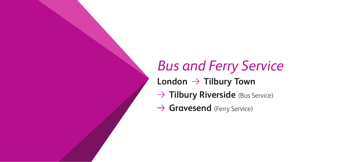## *Bus and Ferry Service* London  $\rightarrow$  Tilbury Town → Tilbury Riverside (Bus Service)

→ **Gravesend** (Ferry Service)